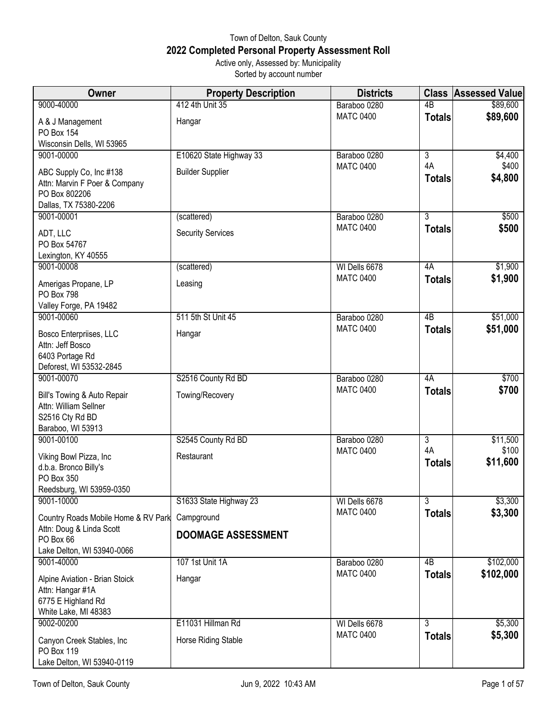## Town of Delton, Sauk County **2022 Completed Personal Property Assessment Roll** Active only, Assessed by: Municipality

Sorted by account number

| Owner                                                           | <b>Property Description</b> | <b>Districts</b>                 |                     | <b>Class Assessed Value</b> |
|-----------------------------------------------------------------|-----------------------------|----------------------------------|---------------------|-----------------------------|
| 9000-40000                                                      | 412 4th Unit 35             | Baraboo 0280                     | 4 <sub>B</sub>      | \$89,600                    |
| A & J Management                                                | Hangar                      | <b>MATC 0400</b>                 | <b>Totals</b>       | \$89,600                    |
| PO Box 154                                                      |                             |                                  |                     |                             |
| Wisconsin Dells, WI 53965                                       |                             |                                  |                     |                             |
| 9001-00000                                                      | E10620 State Highway 33     | Baraboo 0280                     | $\overline{3}$      | \$4,400                     |
| ABC Supply Co, Inc #138                                         | <b>Builder Supplier</b>     | <b>MATC 0400</b>                 | 4A                  | \$400                       |
| Attn: Marvin F Poer & Company                                   |                             |                                  | <b>Totals</b>       | \$4,800                     |
| PO Box 802206                                                   |                             |                                  |                     |                             |
| Dallas, TX 75380-2206                                           |                             |                                  | $\overline{3}$      |                             |
| 9001-00001                                                      | (scattered)                 | Baraboo 0280<br><b>MATC 0400</b> | <b>Totals</b>       | \$500<br>\$500              |
| ADT, LLC                                                        | <b>Security Services</b>    |                                  |                     |                             |
| PO Box 54767                                                    |                             |                                  |                     |                             |
| Lexington, KY 40555<br>9001-00008                               | (scattered)                 | WI Dells 6678                    | 4A                  | \$1,900                     |
|                                                                 |                             | <b>MATC 0400</b>                 | <b>Totals</b>       | \$1,900                     |
| Amerigas Propane, LP                                            | Leasing                     |                                  |                     |                             |
| PO Box 798<br>Valley Forge, PA 19482                            |                             |                                  |                     |                             |
| 9001-00060                                                      | 511 5th St Unit 45          | Baraboo 0280                     | 4B                  | \$51,000                    |
|                                                                 |                             | <b>MATC 0400</b>                 | <b>Totals</b>       | \$51,000                    |
| Bosco Enterpriises, LLC<br>Attn: Jeff Bosco                     | Hangar                      |                                  |                     |                             |
| 6403 Portage Rd                                                 |                             |                                  |                     |                             |
| Deforest, WI 53532-2845                                         |                             |                                  |                     |                             |
| 9001-00070                                                      | S2516 County Rd BD          | Baraboo 0280                     | 4A                  | \$700                       |
| Bill's Towing & Auto Repair                                     | Towing/Recovery             | <b>MATC 0400</b>                 | <b>Totals</b>       | \$700                       |
| Attn: William Sellner                                           |                             |                                  |                     |                             |
| S2516 Cty Rd BD                                                 |                             |                                  |                     |                             |
| Baraboo, WI 53913                                               |                             |                                  |                     |                             |
| 9001-00100                                                      | S2545 County Rd BD          | Baraboo 0280                     | $\overline{3}$      | \$11,500                    |
| Viking Bowl Pizza, Inc                                          | Restaurant                  | <b>MATC 0400</b>                 | 4A<br><b>Totals</b> | \$100<br>\$11,600           |
| d.b.a. Bronco Billy's                                           |                             |                                  |                     |                             |
| PO Box 350                                                      |                             |                                  |                     |                             |
| Reedsburg, WI 53959-0350<br>9001-10000                          | S1633 State Highway 23      | WI Dells 6678                    | $\overline{3}$      | \$3,300                     |
|                                                                 |                             | <b>MATC 0400</b>                 | <b>Totals</b>       | \$3,300                     |
| Country Roads Mobile Home & RV Park<br>Attn: Doug & Linda Scott | Campground                  |                                  |                     |                             |
| PO Box 66                                                       | <b>DOOMAGE ASSESSMENT</b>   |                                  |                     |                             |
| Lake Delton, WI 53940-0066                                      |                             |                                  |                     |                             |
| 9001-40000                                                      | 107 1st Unit 1A             | Baraboo 0280                     | 4B                  | \$102,000                   |
| Alpine Aviation - Brian Stoick                                  | Hangar                      | <b>MATC 0400</b>                 | <b>Totals</b>       | \$102,000                   |
| Attn: Hangar #1A                                                |                             |                                  |                     |                             |
| 6775 E Highland Rd                                              |                             |                                  |                     |                             |
| White Lake, MI 48383                                            |                             |                                  |                     |                             |
| 9002-00200                                                      | E11031 Hillman Rd           | WI Dells 6678                    | $\overline{3}$      | \$5,300                     |
| Canyon Creek Stables, Inc                                       | Horse Riding Stable         | <b>MATC 0400</b>                 | <b>Totals</b>       | \$5,300                     |
| PO Box 119                                                      |                             |                                  |                     |                             |
| Lake Delton, WI 53940-0119                                      |                             |                                  |                     |                             |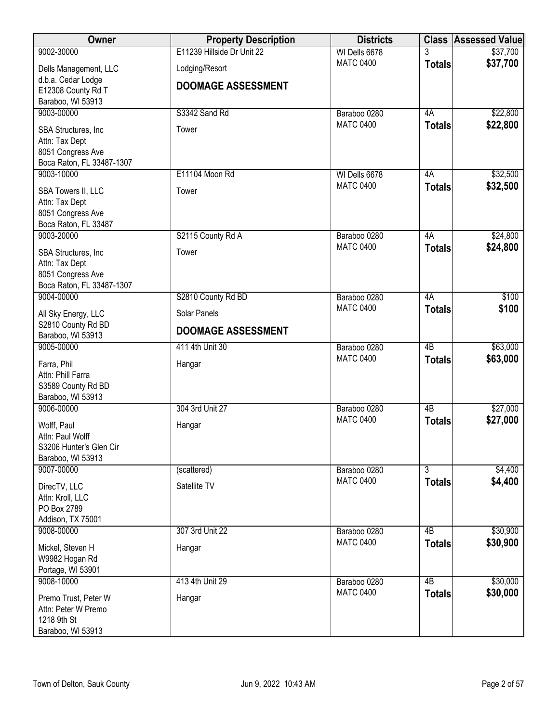| Owner                                   | <b>Property Description</b> | <b>Districts</b>                 |                           | <b>Class Assessed Value</b> |
|-----------------------------------------|-----------------------------|----------------------------------|---------------------------|-----------------------------|
| 9002-30000                              | E11239 Hillside Dr Unit 22  | WI Dells 6678                    | 3                         | \$37,700                    |
| Dells Management, LLC                   | Lodging/Resort              | <b>MATC 0400</b>                 | <b>Totals</b>             | \$37,700                    |
| d.b.a. Cedar Lodge                      | <b>DOOMAGE ASSESSMENT</b>   |                                  |                           |                             |
| E12308 County Rd T                      |                             |                                  |                           |                             |
| Baraboo, WI 53913<br>9003-00000         | S3342 Sand Rd               | Baraboo 0280                     | 4A                        | \$22,800                    |
|                                         |                             | <b>MATC 0400</b>                 | <b>Totals</b>             | \$22,800                    |
| SBA Structures, Inc.                    | Tower                       |                                  |                           |                             |
| Attn: Tax Dept<br>8051 Congress Ave     |                             |                                  |                           |                             |
| Boca Raton, FL 33487-1307               |                             |                                  |                           |                             |
| 9003-10000                              | E11104 Moon Rd              | WI Dells 6678                    | 4A                        | \$32,500                    |
| SBA Towers II, LLC                      | Tower                       | <b>MATC 0400</b>                 | <b>Totals</b>             | \$32,500                    |
| Attn: Tax Dept                          |                             |                                  |                           |                             |
| 8051 Congress Ave                       |                             |                                  |                           |                             |
| Boca Raton, FL 33487                    |                             |                                  |                           |                             |
| 9003-20000                              | S2115 County Rd A           | Baraboo 0280                     | 4A                        | \$24,800                    |
| SBA Structures, Inc.                    | Tower                       | <b>MATC 0400</b>                 | <b>Totals</b>             | \$24,800                    |
| Attn: Tax Dept                          |                             |                                  |                           |                             |
| 8051 Congress Ave                       |                             |                                  |                           |                             |
| Boca Raton, FL 33487-1307               |                             |                                  |                           |                             |
| 9004-00000                              | S2810 County Rd BD          | Baraboo 0280<br><b>MATC 0400</b> | 4A                        | \$100<br>\$100              |
| All Sky Energy, LLC                     | Solar Panels                |                                  | <b>Totals</b>             |                             |
| S2810 County Rd BD<br>Baraboo, WI 53913 | <b>DOOMAGE ASSESSMENT</b>   |                                  |                           |                             |
| 9005-00000                              | 411 4th Unit 30             | Baraboo 0280                     | $\overline{AB}$           | \$63,000                    |
|                                         |                             | <b>MATC 0400</b>                 | <b>Totals</b>             | \$63,000                    |
| Farra, Phil<br>Attn: Phill Farra        | Hangar                      |                                  |                           |                             |
| S3589 County Rd BD                      |                             |                                  |                           |                             |
| Baraboo, WI 53913                       |                             |                                  |                           |                             |
| 9006-00000                              | 304 3rd Unit 27             | Baraboo 0280                     | 4B                        | \$27,000                    |
| Wolff, Paul                             | Hangar                      | <b>MATC 0400</b>                 | <b>Totals</b>             | \$27,000                    |
| Attn: Paul Wolff                        |                             |                                  |                           |                             |
| S3206 Hunter's Glen Cir                 |                             |                                  |                           |                             |
| Baraboo, WI 53913                       |                             |                                  |                           |                             |
| 9007-00000                              | (scattered)                 | Baraboo 0280<br><b>MATC 0400</b> | $\overline{\overline{3}}$ | \$4,400                     |
| DirecTV, LLC                            | Satellite TV                |                                  | <b>Totals</b>             | \$4,400                     |
| Attn: Kroll, LLC                        |                             |                                  |                           |                             |
| PO Box 2789<br>Addison, TX 75001        |                             |                                  |                           |                             |
| 9008-00000                              | 307 3rd Unit 22             | Baraboo 0280                     | 4B                        | \$30,900                    |
|                                         |                             | <b>MATC 0400</b>                 | <b>Totals</b>             | \$30,900                    |
| Mickel, Steven H<br>W9982 Hogan Rd      | Hangar                      |                                  |                           |                             |
| Portage, WI 53901                       |                             |                                  |                           |                             |
| 9008-10000                              | 413 4th Unit 29             | Baraboo 0280                     | $\overline{AB}$           | \$30,000                    |
| Premo Trust, Peter W                    | Hangar                      | <b>MATC 0400</b>                 | <b>Totals</b>             | \$30,000                    |
| Attn: Peter W Premo                     |                             |                                  |                           |                             |
| 1218 9th St                             |                             |                                  |                           |                             |
| Baraboo, WI 53913                       |                             |                                  |                           |                             |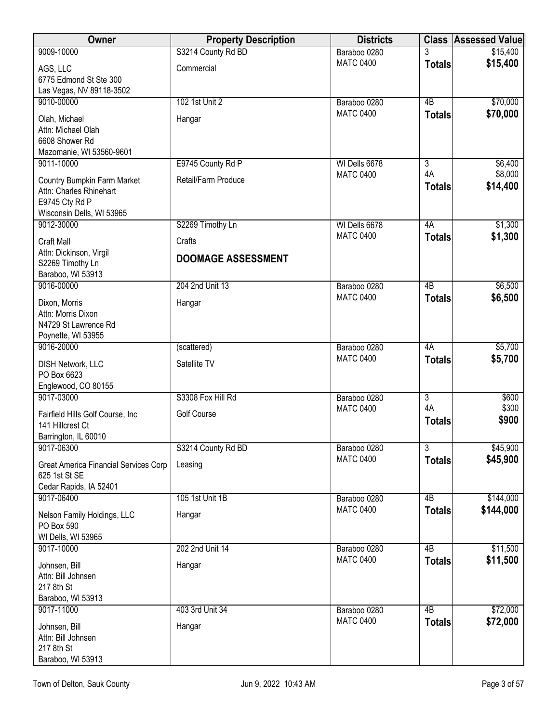| Owner                                                                                                        | <b>Property Description</b> | <b>Districts</b> |                     | <b>Class Assessed Value</b> |
|--------------------------------------------------------------------------------------------------------------|-----------------------------|------------------|---------------------|-----------------------------|
| 9009-10000                                                                                                   | S3214 County Rd BD          | Baraboo 0280     |                     | \$15,400                    |
| AGS, LLC<br>6775 Edmond St Ste 300<br>Las Vegas, NV 89118-3502                                               | Commercial                  | <b>MATC 0400</b> | <b>Totals</b>       | \$15,400                    |
| 9010-00000                                                                                                   | 102 1st Unit 2              | Baraboo 0280     | 4B                  | \$70,000                    |
| Olah, Michael<br>Attn: Michael Olah<br>6608 Shower Rd<br>Mazomanie, WI 53560-9601                            | Hangar                      | <b>MATC 0400</b> | <b>Totals</b>       | \$70,000                    |
| 9011-10000                                                                                                   | E9745 County Rd P           | WI Dells 6678    | $\overline{3}$      | \$6,400                     |
| <b>Country Bumpkin Farm Market</b><br>Attn: Charles Rhinehart<br>E9745 Cty Rd P<br>Wisconsin Dells, WI 53965 | Retail/Farm Produce         | <b>MATC 0400</b> | 4A<br><b>Totals</b> | \$8,000<br>\$14,400         |
| 9012-30000                                                                                                   | S2269 Timothy Ln            | WI Dells 6678    | 4A                  | \$1,300                     |
| <b>Craft Mall</b>                                                                                            | Crafts                      | <b>MATC 0400</b> | <b>Totals</b>       | \$1,300                     |
| Attn: Dickinson, Virgil<br>S2269 Timothy Ln<br>Baraboo, WI 53913                                             | <b>DOOMAGE ASSESSMENT</b>   |                  |                     |                             |
| 9016-00000                                                                                                   | 204 2nd Unit 13             | Baraboo 0280     | $\overline{AB}$     | \$6,500                     |
| Dixon, Morris<br>Attn: Morris Dixon<br>N4729 St Lawrence Rd<br>Poynette, WI 53955                            | Hangar                      | <b>MATC 0400</b> | <b>Totals</b>       | \$6,500                     |
| 9016-20000                                                                                                   | (scattered)                 | Baraboo 0280     | 4A                  | \$5,700                     |
| <b>DISH Network, LLC</b><br>PO Box 6623<br>Englewood, CO 80155                                               | Satellite TV                | <b>MATC 0400</b> | <b>Totals</b>       | \$5,700                     |
| 9017-03000                                                                                                   | S3308 Fox Hill Rd           | Baraboo 0280     | $\overline{3}$      | \$600                       |
| Fairfield Hills Golf Course, Inc.<br>141 Hillcrest Ct<br>Barrington, IL 60010                                | Golf Course                 | <b>MATC 0400</b> | 4A<br><b>Totals</b> | \$300<br>\$900              |
| 9017-06300                                                                                                   | S3214 County Rd BD          | Baraboo 0280     | $\overline{3}$      | \$45,900                    |
| Great America Financial Services Corp<br>625 1st St SE<br>Cedar Rapids, IA 52401                             | Leasing                     | <b>MATC 0400</b> | <b>Totals</b>       | \$45,900                    |
| 9017-06400                                                                                                   | 105 1st Unit 1B             | Baraboo 0280     | 4B                  | \$144,000                   |
| Nelson Family Holdings, LLC<br>PO Box 590<br>WI Dells, WI 53965                                              | Hangar                      | <b>MATC 0400</b> | <b>Totals</b>       | \$144,000                   |
| 9017-10000                                                                                                   | 202 2nd Unit 14             | Baraboo 0280     | 4B                  | \$11,500                    |
| Johnsen, Bill<br>Attn: Bill Johnsen<br>217 8th St<br>Baraboo, WI 53913                                       | Hangar                      | <b>MATC 0400</b> | <b>Totals</b>       | \$11,500                    |
| 9017-11000                                                                                                   | 403 3rd Unit 34             | Baraboo 0280     | 4B                  | \$72,000                    |
| Johnsen, Bill<br>Attn: Bill Johnsen<br>217 8th St<br>Baraboo, WI 53913                                       | Hangar                      | <b>MATC 0400</b> | <b>Totals</b>       | \$72,000                    |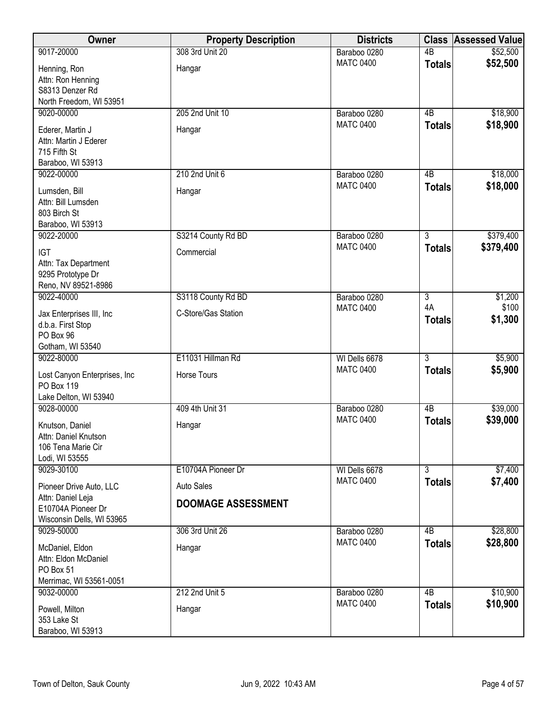| Owner                                                                           | <b>Property Description</b> | <b>Districts</b> |                     | <b>Class Assessed Value</b> |
|---------------------------------------------------------------------------------|-----------------------------|------------------|---------------------|-----------------------------|
| 9017-20000                                                                      | 308 3rd Unit 20             | Baraboo 0280     | $\overline{AB}$     | \$52,500                    |
| Henning, Ron<br>Attn: Ron Henning<br>S8313 Denzer Rd<br>North Freedom, WI 53951 | Hangar                      | <b>MATC 0400</b> | <b>Totals</b>       | \$52,500                    |
| 9020-00000                                                                      | 205 2nd Unit 10             | Baraboo 0280     | 4B                  | \$18,900                    |
| Ederer, Martin J<br>Attn: Martin J Ederer<br>715 Fifth St<br>Baraboo, WI 53913  | Hangar                      | <b>MATC 0400</b> | <b>Totals</b>       | \$18,900                    |
| 9022-00000                                                                      | 210 2nd Unit 6              | Baraboo 0280     | 4B                  | \$18,000                    |
| Lumsden, Bill<br>Attn: Bill Lumsden<br>803 Birch St<br>Baraboo, WI 53913        | Hangar                      | <b>MATC 0400</b> | <b>Totals</b>       | \$18,000                    |
| 9022-20000                                                                      | S3214 County Rd BD          | Baraboo 0280     | $\overline{3}$      | \$379,400                   |
| <b>IGT</b><br>Attn: Tax Department<br>9295 Prototype Dr<br>Reno, NV 89521-8986  | Commercial                  | <b>MATC 0400</b> | <b>Totals</b>       | \$379,400                   |
| 9022-40000                                                                      | S3118 County Rd BD          | Baraboo 0280     | $\overline{3}$      | \$1,200                     |
| Jax Enterprises III, Inc<br>d.b.a. First Stop<br>PO Box 96<br>Gotham, WI 53540  | C-Store/Gas Station         | <b>MATC 0400</b> | 4A<br><b>Totals</b> | \$100<br>\$1,300            |
| 9022-80000                                                                      | E11031 Hillman Rd           | WI Dells 6678    | $\overline{3}$      | \$5,900                     |
| Lost Canyon Enterprises, Inc<br>PO Box 119<br>Lake Delton, WI 53940             | Horse Tours                 | <b>MATC 0400</b> | <b>Totals</b>       | \$5,900                     |
| 9028-00000                                                                      | 409 4th Unit 31             | Baraboo 0280     | $\overline{AB}$     | \$39,000                    |
| Knutson, Daniel<br>Attn: Daniel Knutson<br>106 Tena Marie Cir<br>Lodi, WI 53555 | Hangar                      | <b>MATC 0400</b> | <b>Totals</b>       | \$39,000                    |
| 9029-30100                                                                      | E10704A Pioneer Dr          | WI Dells 6678    | $\overline{3}$      | \$7,400                     |
| Pioneer Drive Auto, LLC                                                         | <b>Auto Sales</b>           | <b>MATC 0400</b> | <b>Totals</b>       | \$7,400                     |
| Attn: Daniel Leja<br>E10704A Pioneer Dr<br>Wisconsin Dells, WI 53965            | <b>DOOMAGE ASSESSMENT</b>   |                  |                     |                             |
| 9029-50000                                                                      | 306 3rd Unit 26             | Baraboo 0280     | 4B                  | \$28,800                    |
| McDaniel, Eldon<br>Attn: Eldon McDaniel<br>PO Box 51<br>Merrimac, WI 53561-0051 | Hangar                      | <b>MATC 0400</b> | <b>Totals</b>       | \$28,800                    |
| 9032-00000                                                                      | 212 2nd Unit 5              | Baraboo 0280     | $\overline{AB}$     | \$10,900                    |
| Powell, Milton<br>353 Lake St<br>Baraboo, WI 53913                              | Hangar                      | <b>MATC 0400</b> | <b>Totals</b>       | \$10,900                    |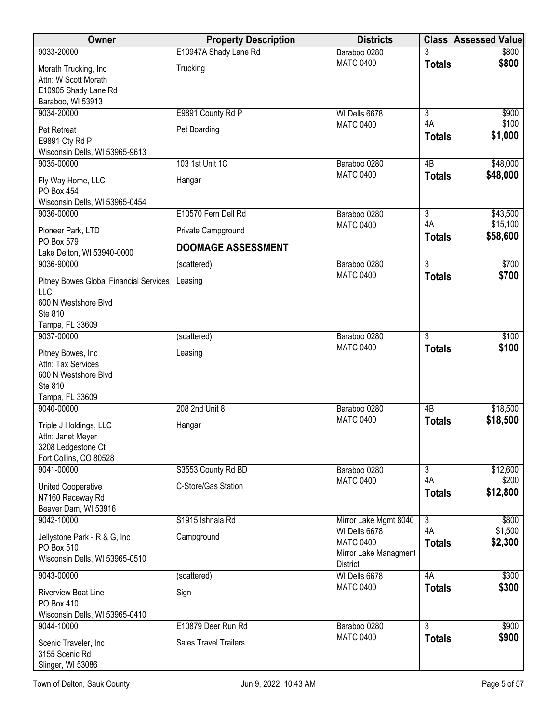| Owner                                                                                         | <b>Property Description</b>  | <b>Districts</b>                                                              | <b>Class</b>        | <b>Assessed Value</b> |
|-----------------------------------------------------------------------------------------------|------------------------------|-------------------------------------------------------------------------------|---------------------|-----------------------|
| 9033-20000                                                                                    | E10947A Shady Lane Rd        | Baraboo 0280                                                                  |                     | \$800                 |
| Morath Trucking, Inc<br>Attn: W Scott Morath<br>E10905 Shady Lane Rd<br>Baraboo, WI 53913     | Trucking                     | <b>MATC 0400</b>                                                              | <b>Totals</b>       | \$800                 |
| 9034-20000                                                                                    | E9891 County Rd P            | WI Dells 6678                                                                 | $\overline{3}$      | \$900                 |
| Pet Retreat<br>E9891 Cty Rd P<br>Wisconsin Dells, WI 53965-9613                               | Pet Boarding                 | <b>MATC 0400</b>                                                              | 4A<br><b>Totals</b> | \$100<br>\$1,000      |
| 9035-00000                                                                                    | 103 1st Unit 1C              | Baraboo 0280                                                                  | 4B                  | \$48,000              |
| Fly Way Home, LLC<br>PO Box 454<br>Wisconsin Dells, WI 53965-0454                             | Hangar                       | <b>MATC 0400</b>                                                              | <b>Totals</b>       | \$48,000              |
| 9036-00000                                                                                    | E10570 Fern Dell Rd          | Baraboo 0280                                                                  | $\overline{3}$      | \$43,500              |
| Pioneer Park, LTD                                                                             | Private Campground           | <b>MATC 0400</b>                                                              | 4A<br><b>Totals</b> | \$15,100<br>\$58,600  |
| PO Box 579<br>Lake Delton, WI 53940-0000                                                      | <b>DOOMAGE ASSESSMENT</b>    |                                                                               |                     |                       |
| 9036-90000                                                                                    | (scattered)                  | Baraboo 0280                                                                  | $\overline{3}$      | \$700                 |
| Pitney Bowes Global Financial Services<br>LLC<br>600 N Westshore Blvd                         | Leasing                      | <b>MATC 0400</b>                                                              | <b>Totals</b>       | \$700                 |
| Ste 810                                                                                       |                              |                                                                               |                     |                       |
| Tampa, FL 33609<br>9037-00000                                                                 | (scattered)                  | Baraboo 0280                                                                  | $\overline{3}$      | \$100                 |
| Pitney Bowes, Inc<br>Attn: Tax Services<br>600 N Westshore Blvd<br>Ste 810<br>Tampa, FL 33609 | Leasing                      | <b>MATC 0400</b>                                                              | <b>Totals</b>       | \$100                 |
| 9040-00000                                                                                    | 208 2nd Unit 8               | Baraboo 0280                                                                  | 4B                  | \$18,500              |
| Triple J Holdings, LLC<br>Attn: Janet Meyer<br>3208 Ledgestone Ct<br>Fort Collins, CO 80528   | Hangar                       | <b>MATC 0400</b>                                                              | <b>Totals</b>       | \$18,500              |
| 9041-00000                                                                                    | S3553 County Rd BD           | Baraboo 0280                                                                  | $\overline{3}$      | \$12,600              |
| <b>United Cooperative</b><br>N7160 Raceway Rd<br>Beaver Dam, WI 53916                         | C-Store/Gas Station          | <b>MATC 0400</b>                                                              | 4A<br><b>Totals</b> | \$200<br>\$12,800     |
| 9042-10000                                                                                    | S1915 Ishnala Rd             | Mirror Lake Mgmt 8040                                                         | $\overline{3}$      | \$800                 |
| Jellystone Park - R & G, Inc<br>PO Box 510<br>Wisconsin Dells, WI 53965-0510                  | Campground                   | WI Dells 6678<br><b>MATC 0400</b><br>Mirror Lake Managment<br><b>District</b> | 4A<br><b>Totals</b> | \$1,500<br>\$2,300    |
| 9043-00000                                                                                    | (scattered)                  | WI Dells 6678                                                                 | 4A                  | \$300                 |
| Riverview Boat Line<br>PO Box 410<br>Wisconsin Dells, WI 53965-0410                           | Sign                         | <b>MATC 0400</b>                                                              | <b>Totals</b>       | \$300                 |
| 9044-10000                                                                                    | E10879 Deer Run Rd           | Baraboo 0280                                                                  | $\overline{3}$      | \$900                 |
| Scenic Traveler, Inc<br>3155 Scenic Rd<br>Slinger, WI 53086                                   | <b>Sales Travel Trailers</b> | <b>MATC 0400</b>                                                              | <b>Totals</b>       | \$900                 |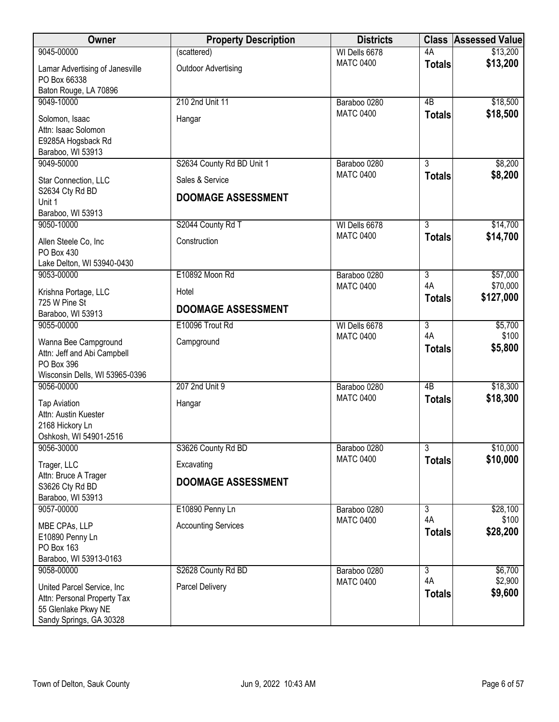| Owner                                                                                                             | <b>Property Description</b>                                               | <b>Districts</b>                  |                                       | <b>Class Assessed Value</b> |
|-------------------------------------------------------------------------------------------------------------------|---------------------------------------------------------------------------|-----------------------------------|---------------------------------------|-----------------------------|
| 9045-00000                                                                                                        | (scattered)                                                               | WI Dells 6678                     | 4A                                    | \$13,200                    |
| Lamar Advertising of Janesville<br>PO Box 66338                                                                   | <b>Outdoor Advertising</b>                                                | <b>MATC 0400</b>                  | <b>Totals</b>                         | \$13,200                    |
| Baton Rouge, LA 70896<br>9049-10000                                                                               | 210 2nd Unit 11                                                           |                                   | $\overline{AB}$                       |                             |
| Solomon, Isaac<br>Attn: Isaac Solomon<br>E9285A Hogsback Rd                                                       | Hangar                                                                    | Baraboo 0280<br><b>MATC 0400</b>  | <b>Totals</b>                         | \$18,500<br>\$18,500        |
| Baraboo, WI 53913                                                                                                 |                                                                           |                                   |                                       |                             |
| 9049-50000<br>Star Connection, LLC<br>S2634 Cty Rd BD<br>Unit 1<br>Baraboo, WI 53913                              | S2634 County Rd BD Unit 1<br>Sales & Service<br><b>DOOMAGE ASSESSMENT</b> | Baraboo 0280<br><b>MATC 0400</b>  | $\overline{3}$<br><b>Totals</b>       | \$8,200<br>\$8,200          |
| 9050-10000                                                                                                        | S2044 County Rd T                                                         | WI Dells 6678                     | $\overline{3}$                        | \$14,700                    |
| Allen Steele Co, Inc<br>PO Box 430<br>Lake Delton, WI 53940-0430                                                  | Construction                                                              | <b>MATC 0400</b>                  | <b>Totals</b>                         | \$14,700                    |
| 9053-00000                                                                                                        | E10892 Moon Rd                                                            | Baraboo 0280                      | $\overline{3}$                        | \$57,000                    |
| Krishna Portage, LLC<br>725 W Pine St                                                                             | Hotel                                                                     | <b>MATC 0400</b>                  | 4A<br><b>Totals</b>                   | \$70,000<br>\$127,000       |
| Baraboo, WI 53913                                                                                                 | <b>DOOMAGE ASSESSMENT</b>                                                 |                                   |                                       |                             |
| 9055-00000<br>Wanna Bee Campground<br>Attn: Jeff and Abi Campbell<br>PO Box 396<br>Wisconsin Dells, WI 53965-0396 | E10096 Trout Rd<br>Campground                                             | WI Dells 6678<br><b>MATC 0400</b> | $\overline{3}$<br>4A<br><b>Totals</b> | \$5,700<br>\$100<br>\$5,800 |
| 9056-00000                                                                                                        | 207 2nd Unit 9                                                            | Baraboo 0280                      | $\overline{AB}$                       | \$18,300                    |
| <b>Tap Aviation</b><br>Attn: Austin Kuester<br>2168 Hickory Ln<br>Oshkosh, WI 54901-2516                          | Hangar                                                                    | <b>MATC 0400</b>                  | <b>Totals</b>                         | \$18,300                    |
| 9056-30000                                                                                                        | S3626 County Rd BD                                                        | Baraboo 0280<br><b>MATC 0400</b>  | $\overline{3}$                        | \$10,000                    |
| Trager, LLC<br>Attn: Bruce A Trager<br>S3626 Cty Rd BD<br>Baraboo, WI 53913                                       | Excavating<br><b>DOOMAGE ASSESSMENT</b>                                   |                                   | <b>Totals</b>                         | \$10,000                    |
| 9057-00000                                                                                                        | E10890 Penny Ln                                                           | Baraboo 0280                      | $\overline{3}$                        | \$28,100                    |
| MBE CPAs, LLP<br>E10890 Penny Ln<br>PO Box 163<br>Baraboo, WI 53913-0163                                          | <b>Accounting Services</b>                                                | <b>MATC 0400</b>                  | 4A<br><b>Totals</b>                   | \$100<br>\$28,200           |
| 9058-00000                                                                                                        | S2628 County Rd BD                                                        | Baraboo 0280                      | $\overline{3}$                        | \$6,700                     |
| United Parcel Service, Inc<br>Attn: Personal Property Tax<br>55 Glenlake Pkwy NE<br>Sandy Springs, GA 30328       | Parcel Delivery                                                           | <b>MATC 0400</b>                  | 4A<br><b>Totals</b>                   | \$2,900<br>\$9,600          |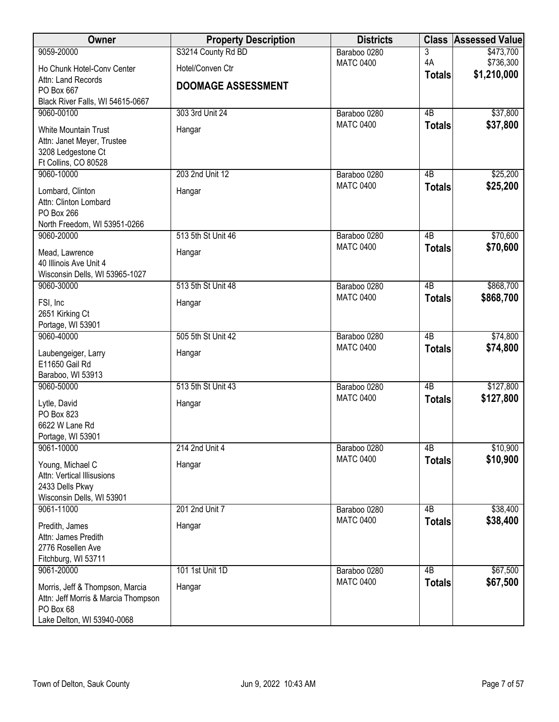| Owner                                          | <b>Property Description</b> | <b>Districts</b>                 |                 | <b>Class Assessed Value</b> |
|------------------------------------------------|-----------------------------|----------------------------------|-----------------|-----------------------------|
| 9059-20000                                     | S3214 County Rd BD          | Baraboo 0280                     | 3               | \$473,700                   |
| Ho Chunk Hotel-Conv Center                     | Hotel/Conven Ctr            | <b>MATC 0400</b>                 | 4A              | \$736,300                   |
| Attn: Land Records                             | <b>DOOMAGE ASSESSMENT</b>   |                                  | <b>Totals</b>   | \$1,210,000                 |
| PO Box 667                                     |                             |                                  |                 |                             |
| Black River Falls, WI 54615-0667               |                             |                                  |                 |                             |
| 9060-00100                                     | 303 3rd Unit 24             | Baraboo 0280<br><b>MATC 0400</b> | 4B              | \$37,800<br>\$37,800        |
| White Mountain Trust                           | Hangar                      |                                  | <b>Totals</b>   |                             |
| Attn: Janet Meyer, Trustee                     |                             |                                  |                 |                             |
| 3208 Ledgestone Ct<br>Ft Collins, CO 80528     |                             |                                  |                 |                             |
| 9060-10000                                     | 203 2nd Unit 12             | Baraboo 0280                     | 4B              | \$25,200                    |
|                                                |                             | <b>MATC 0400</b>                 | <b>Totals</b>   | \$25,200                    |
| Lombard, Clinton<br>Attn: Clinton Lombard      | Hangar                      |                                  |                 |                             |
| PO Box 266                                     |                             |                                  |                 |                             |
| North Freedom, WI 53951-0266                   |                             |                                  |                 |                             |
| 9060-20000                                     | 513 5th St Unit 46          | Baraboo 0280                     | $\overline{AB}$ | \$70,600                    |
| Mead, Lawrence                                 | Hangar                      | <b>MATC 0400</b>                 | <b>Totals</b>   | \$70,600                    |
| 40 Illinois Ave Unit 4                         |                             |                                  |                 |                             |
| Wisconsin Dells, WI 53965-1027                 |                             |                                  |                 |                             |
| 9060-30000                                     | 513 5th St Unit 48          | Baraboo 0280                     | $\overline{AB}$ | \$868,700                   |
| FSI, Inc                                       | Hangar                      | <b>MATC 0400</b>                 | <b>Totals</b>   | \$868,700                   |
| 2651 Kirking Ct                                |                             |                                  |                 |                             |
| Portage, WI 53901                              |                             |                                  |                 |                             |
| 9060-40000                                     | 505 5th St Unit 42          | Baraboo 0280                     | 4B              | \$74,800                    |
| Laubengeiger, Larry                            | Hangar                      | <b>MATC 0400</b>                 | <b>Totals</b>   | \$74,800                    |
| E11650 Gail Rd                                 |                             |                                  |                 |                             |
| Baraboo, WI 53913                              |                             |                                  |                 |                             |
| 9060-50000                                     | 513 5th St Unit 43          | Baraboo 0280<br><b>MATC 0400</b> | $\overline{AB}$ | \$127,800                   |
| Lytle, David                                   | Hangar                      |                                  | <b>Totals</b>   | \$127,800                   |
| PO Box 823                                     |                             |                                  |                 |                             |
| 6622 W Lane Rd<br>Portage, WI 53901            |                             |                                  |                 |                             |
| 9061-10000                                     | 214 2nd Unit 4              | Baraboo 0280                     | 4B              | \$10,900                    |
|                                                |                             | <b>MATC 0400</b>                 | <b>Totals</b>   | \$10,900                    |
| Young, Michael C<br>Attn: Vertical Illisusions | Hangar                      |                                  |                 |                             |
| 2433 Dells Pkwy                                |                             |                                  |                 |                             |
| Wisconsin Dells, WI 53901                      |                             |                                  |                 |                             |
| 9061-11000                                     | 201 2nd Unit 7              | Baraboo 0280                     | 4B              | \$38,400                    |
| Predith, James                                 | Hangar                      | <b>MATC 0400</b>                 | <b>Totals</b>   | \$38,400                    |
| Attn: James Predith                            |                             |                                  |                 |                             |
| 2776 Rosellen Ave                              |                             |                                  |                 |                             |
| Fitchburg, WI 53711                            |                             |                                  |                 |                             |
| 9061-20000                                     | 101 1st Unit 1D             | Baraboo 0280                     | $\overline{AB}$ | \$67,500                    |
| Morris, Jeff & Thompson, Marcia                | Hangar                      | <b>MATC 0400</b>                 | <b>Totals</b>   | \$67,500                    |
| Attn: Jeff Morris & Marcia Thompson            |                             |                                  |                 |                             |
| PO Box 68<br>Lake Delton, WI 53940-0068        |                             |                                  |                 |                             |
|                                                |                             |                                  |                 |                             |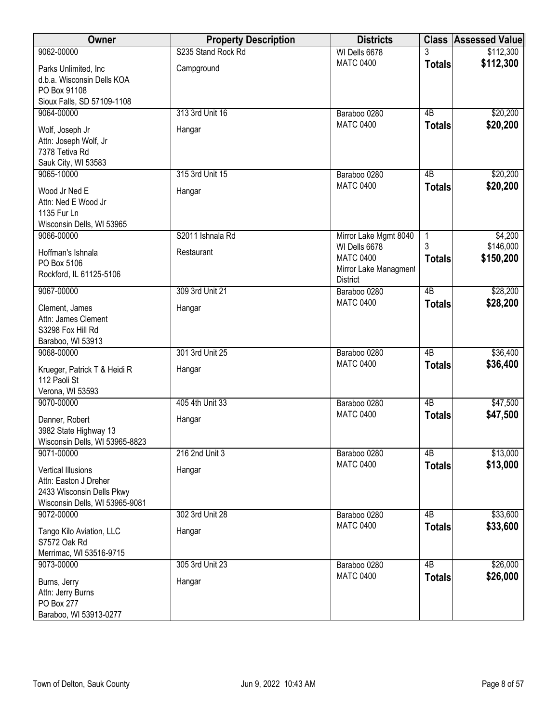| Owner                                                                                                             | <b>Property Description</b> | <b>Districts</b>                                                              |                    | <b>Class Assessed Value</b> |
|-------------------------------------------------------------------------------------------------------------------|-----------------------------|-------------------------------------------------------------------------------|--------------------|-----------------------------|
| 9062-00000                                                                                                        | S235 Stand Rock Rd          | WI Dells 6678                                                                 |                    | \$112,300                   |
| Parks Unlimited, Inc.<br>d.b.a. Wisconsin Dells KOA<br>PO Box 91108<br>Sioux Falls, SD 57109-1108                 | Campground                  | <b>MATC 0400</b>                                                              | <b>Totals</b>      | \$112,300                   |
| 9064-00000                                                                                                        | 313 3rd Unit 16             | Baraboo 0280                                                                  | 4B                 | \$20,200                    |
| Wolf, Joseph Jr<br>Attn: Joseph Wolf, Jr<br>7378 Tetiva Rd<br>Sauk City, WI 53583                                 | Hangar                      | <b>MATC 0400</b>                                                              | <b>Totals</b>      | \$20,200                    |
| 9065-10000                                                                                                        | 315 3rd Unit 15             | Baraboo 0280                                                                  | 4B                 | \$20,200                    |
| Wood Jr Ned E<br>Attn: Ned E Wood Jr<br>1135 Fur Ln<br>Wisconsin Dells, WI 53965                                  | Hangar                      | <b>MATC 0400</b>                                                              | <b>Totals</b>      | \$20,200                    |
| 9066-00000                                                                                                        | S2011 Ishnala Rd            | Mirror Lake Mgmt 8040                                                         | 1                  | \$4,200                     |
| Hoffman's Ishnala<br>PO Box 5106<br>Rockford, IL 61125-5106                                                       | Restaurant                  | WI Dells 6678<br><b>MATC 0400</b><br>Mirror Lake Managment<br><b>District</b> | 3<br><b>Totals</b> | \$146,000<br>\$150,200      |
| 9067-00000                                                                                                        | 309 3rd Unit 21             | Baraboo 0280                                                                  | 4B                 | \$28,200                    |
| Clement, James<br>Attn: James Clement<br>S3298 Fox Hill Rd<br>Baraboo, WI 53913                                   | Hangar                      | <b>MATC 0400</b>                                                              | <b>Totals</b>      | \$28,200                    |
| 9068-00000                                                                                                        | 301 3rd Unit 25             | Baraboo 0280                                                                  | $\overline{AB}$    | \$36,400                    |
| Krueger, Patrick T & Heidi R<br>112 Paoli St<br>Verona, WI 53593                                                  | Hangar                      | <b>MATC 0400</b>                                                              | <b>Totals</b>      | \$36,400                    |
| 9070-00000                                                                                                        | 405 4th Unit 33             | Baraboo 0280                                                                  | $\overline{AB}$    | \$47,500                    |
| Danner, Robert<br>3982 State Highway 13<br>Wisconsin Dells, WI 53965-8823                                         | Hangar                      | <b>MATC 0400</b>                                                              | <b>Totals</b>      | \$47,500                    |
| 9071-00000                                                                                                        | 216 2nd Unit 3              | Baraboo 0280                                                                  | 4B                 | \$13,000                    |
| <b>Vertical Illusions</b><br>Attn: Easton J Dreher<br>2433 Wisconsin Dells Pkwy<br>Wisconsin Dells, WI 53965-9081 | Hangar                      | <b>MATC 0400</b>                                                              | <b>Totals</b>      | \$13,000                    |
| 9072-00000                                                                                                        | 302 3rd Unit 28             | Baraboo 0280                                                                  | 4B                 | \$33,600                    |
| Tango Kilo Aviation, LLC<br>S7572 Oak Rd<br>Merrimac, WI 53516-9715                                               | Hangar                      | <b>MATC 0400</b>                                                              | <b>Totals</b>      | \$33,600                    |
| 9073-00000                                                                                                        | 305 3rd Unit 23             | Baraboo 0280                                                                  | 4B                 | \$26,000                    |
| Burns, Jerry<br>Attn: Jerry Burns<br>PO Box 277<br>Baraboo, WI 53913-0277                                         | Hangar                      | <b>MATC 0400</b>                                                              | <b>Totals</b>      | \$26,000                    |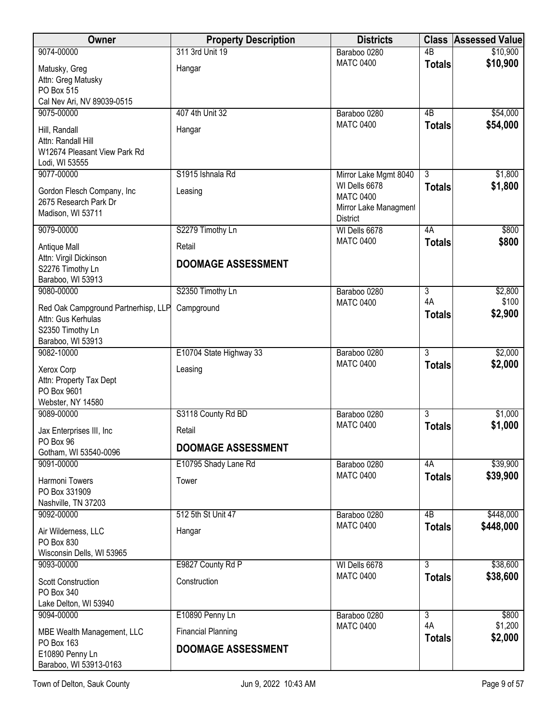| Owner                                                                         | <b>Property Description</b> | <b>Districts</b>                                                              | <b>Class</b>        | <b>Assessed Value</b> |
|-------------------------------------------------------------------------------|-----------------------------|-------------------------------------------------------------------------------|---------------------|-----------------------|
| 9074-00000                                                                    | 311 3rd Unit 19             | Baraboo 0280                                                                  | $\overline{AB}$     | \$10,900              |
| Matusky, Greg<br>Attn: Greg Matusky<br>PO Box 515                             | Hangar                      | <b>MATC 0400</b>                                                              | <b>Totals</b>       | \$10,900              |
| Cal Nev Ari, NV 89039-0515<br>9075-00000                                      | 407 4th Unit 32             | Baraboo 0280                                                                  | 4B                  | \$54,000              |
| Hill, Randall<br>Attn: Randall Hill<br>W12674 Pleasant View Park Rd           | Hangar                      | <b>MATC 0400</b>                                                              | <b>Totals</b>       | \$54,000              |
| Lodi, WI 53555                                                                |                             |                                                                               |                     |                       |
| 9077-00000                                                                    | S1915 Ishnala Rd            | Mirror Lake Mgmt 8040                                                         | 3                   | \$1,800               |
| Gordon Flesch Company, Inc<br>2675 Research Park Dr<br>Madison, WI 53711      | Leasing                     | WI Dells 6678<br><b>MATC 0400</b><br>Mirror Lake Managment<br><b>District</b> | <b>Totals</b>       | \$1,800               |
| 9079-00000                                                                    | S2279 Timothy Ln            | WI Dells 6678                                                                 | 4A                  | \$800                 |
| Antique Mall                                                                  | Retail                      | <b>MATC 0400</b>                                                              | <b>Totals</b>       | \$800                 |
| Attn: Virgil Dickinson<br>S2276 Timothy Ln<br>Baraboo, WI 53913               | <b>DOOMAGE ASSESSMENT</b>   |                                                                               |                     |                       |
| 9080-00000                                                                    | S2350 Timothy Ln            | Baraboo 0280                                                                  | 3                   | \$2,800               |
| Red Oak Campground Partnerhisp, LLP<br>Attn: Gus Kerhulas<br>S2350 Timothy Ln | Campground                  | <b>MATC 0400</b>                                                              | 4A<br><b>Totals</b> | \$100<br>\$2,900      |
| Baraboo, WI 53913                                                             |                             |                                                                               |                     |                       |
| 9082-10000                                                                    | E10704 State Highway 33     | Baraboo 0280<br><b>MATC 0400</b>                                              | $\overline{3}$      | \$2,000               |
| Xerox Corp<br>Attn: Property Tax Dept<br>PO Box 9601<br>Webster, NY 14580     | Leasing                     |                                                                               | <b>Totals</b>       | \$2,000               |
| 9089-00000                                                                    | S3118 County Rd BD          | Baraboo 0280                                                                  | 3                   | \$1,000               |
| Jax Enterprises III, Inc<br>PO Box 96                                         | Retail                      | <b>MATC 0400</b>                                                              | <b>Totals</b>       | \$1,000               |
| Gotham, WI 53540-0096                                                         | <b>DOOMAGE ASSESSMENT</b>   |                                                                               |                     |                       |
| 9091-00000                                                                    | E10795 Shady Lane Rd        | Baraboo 0280                                                                  | 4A                  | \$39,900              |
| <b>Harmoni Towers</b><br>PO Box 331909<br>Nashville, TN 37203                 | Tower                       | <b>MATC 0400</b>                                                              | <b>Totals</b>       | \$39,900              |
| 9092-00000                                                                    | 512 5th St Unit 47          | Baraboo 0280                                                                  | $\overline{AB}$     | \$448,000             |
| Air Wilderness, LLC<br>PO Box 830<br>Wisconsin Dells, WI 53965                | Hangar                      | <b>MATC 0400</b>                                                              | <b>Totals</b>       | \$448,000             |
| 9093-00000                                                                    | E9827 County Rd P           | WI Dells 6678                                                                 | 3                   | \$38,600              |
| <b>Scott Construction</b><br>PO Box 340                                       | Construction                | <b>MATC 0400</b>                                                              | <b>Totals</b>       | \$38,600              |
| Lake Delton, WI 53940<br>9094-00000                                           | E10890 Penny Ln             | Baraboo 0280                                                                  | $\overline{3}$      | \$800                 |
| MBE Wealth Management, LLC                                                    | <b>Financial Planning</b>   | <b>MATC 0400</b>                                                              | 4A<br><b>Totals</b> | \$1,200<br>\$2,000    |
| PO Box 163<br>E10890 Penny Ln<br>Baraboo, WI 53913-0163                       | <b>DOOMAGE ASSESSMENT</b>   |                                                                               |                     |                       |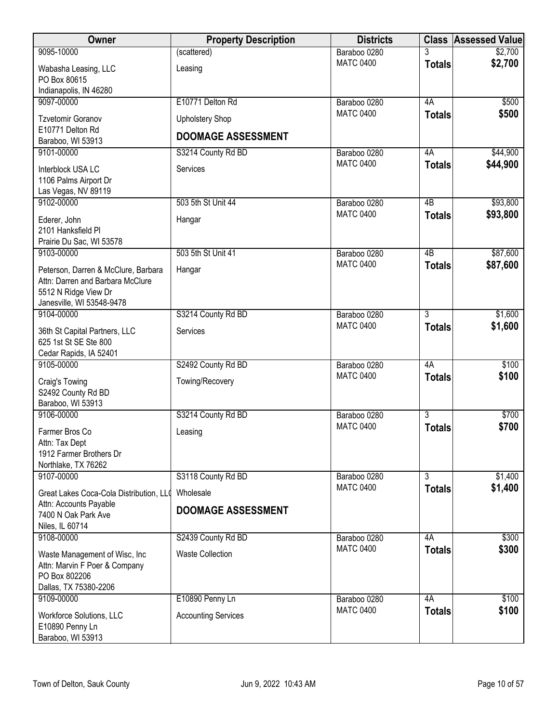| Owner                                                                                                                        | <b>Property Description</b>                         | <b>Districts</b> |                 | <b>Class Assessed Value</b> |
|------------------------------------------------------------------------------------------------------------------------------|-----------------------------------------------------|------------------|-----------------|-----------------------------|
| 9095-10000                                                                                                                   | (scattered)                                         | Baraboo 0280     | 3               | \$2,700                     |
| Wabasha Leasing, LLC<br>PO Box 80615<br>Indianapolis, IN 46280                                                               | Leasing                                             | <b>MATC 0400</b> | <b>Totals</b>   | \$2,700                     |
| 9097-00000                                                                                                                   | E10771 Delton Rd                                    | Baraboo 0280     | 4A              | \$500                       |
| <b>Tzvetomir Goranov</b><br>E10771 Delton Rd<br>Baraboo, WI 53913                                                            | <b>Upholstery Shop</b><br><b>DOOMAGE ASSESSMENT</b> | <b>MATC 0400</b> | <b>Totals</b>   | \$500                       |
| 9101-00000                                                                                                                   | S3214 County Rd BD                                  | Baraboo 0280     | 4A              | \$44,900                    |
| Interblock USA LC<br>1106 Palms Airport Dr<br>Las Vegas, NV 89119                                                            | Services                                            | <b>MATC 0400</b> | <b>Totals</b>   | \$44,900                    |
| 9102-00000                                                                                                                   | 503 5th St Unit 44                                  | Baraboo 0280     | $\overline{AB}$ | \$93,800                    |
| Ederer, John<br>2101 Hanksfield PI<br>Prairie Du Sac, WI 53578                                                               | Hangar                                              | <b>MATC 0400</b> | <b>Totals</b>   | \$93,800                    |
| 9103-00000                                                                                                                   | 503 5th St Unit 41                                  | Baraboo 0280     | $\overline{AB}$ | \$87,600                    |
| Peterson, Darren & McClure, Barbara<br>Attn: Darren and Barbara McClure<br>5512 N Ridge View Dr<br>Janesville, WI 53548-9478 | Hangar                                              | <b>MATC 0400</b> | <b>Totals</b>   | \$87,600                    |
| 9104-00000                                                                                                                   | S3214 County Rd BD                                  | Baraboo 0280     | $\overline{3}$  | \$1,600                     |
| 36th St Capital Partners, LLC<br>625 1st St SE Ste 800<br>Cedar Rapids, IA 52401                                             | Services                                            | <b>MATC 0400</b> | <b>Totals</b>   | \$1,600                     |
| 9105-00000                                                                                                                   | S2492 County Rd BD                                  | Baraboo 0280     | 4A              | \$100                       |
| Craig's Towing<br>S2492 County Rd BD<br>Baraboo, WI 53913                                                                    | Towing/Recovery                                     | <b>MATC 0400</b> | <b>Totals</b>   | \$100                       |
| 9106-00000                                                                                                                   | S3214 County Rd BD                                  | Baraboo 0280     | $\overline{3}$  | \$700                       |
| Farmer Bros Co<br>Attn: Tax Dept<br>1912 Farmer Brothers Dr<br>Northlake, TX 76262                                           | Leasing                                             | <b>MATC 0400</b> | <b>Totals</b>   | \$700                       |
| 9107-00000                                                                                                                   | S3118 County Rd BD                                  | Baraboo 0280     | $\overline{3}$  | \$1,400                     |
| Great Lakes Coca-Cola Distribution, LLO                                                                                      | Wholesale                                           | <b>MATC 0400</b> | <b>Totals</b>   | \$1,400                     |
| Attn: Accounts Payable<br>7400 N Oak Park Ave<br>Niles, IL 60714                                                             | <b>DOOMAGE ASSESSMENT</b>                           |                  |                 |                             |
| 9108-00000                                                                                                                   | S2439 County Rd BD                                  | Baraboo 0280     | 4A              | \$300                       |
| Waste Management of Wisc, Inc.<br>Attn: Marvin F Poer & Company<br>PO Box 802206<br>Dallas, TX 75380-2206                    | <b>Waste Collection</b>                             | <b>MATC 0400</b> | <b>Totals</b>   | \$300                       |
| 9109-00000                                                                                                                   | E10890 Penny Ln                                     | Baraboo 0280     | 4A              | \$100                       |
| Workforce Solutions, LLC<br>E10890 Penny Ln<br>Baraboo, WI 53913                                                             | <b>Accounting Services</b>                          | <b>MATC 0400</b> | <b>Totals</b>   | \$100                       |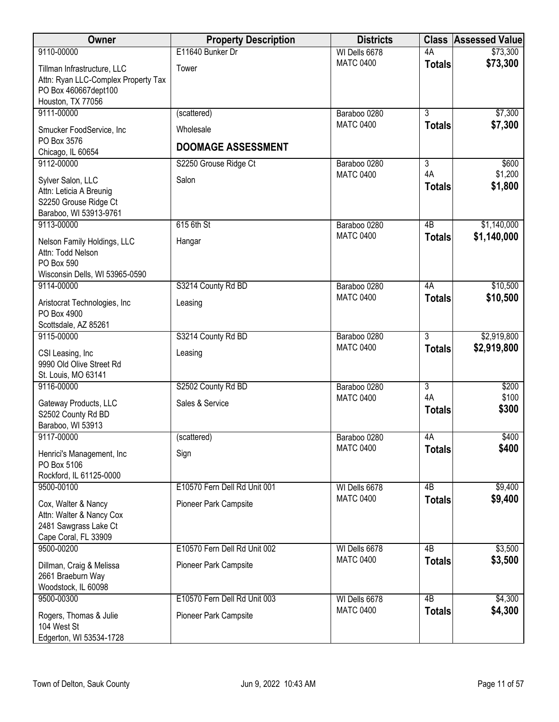| Owner                                                                                                           | <b>Property Description</b>            | <b>Districts</b> | <b>Class</b>        | <b>Assessed Value</b> |
|-----------------------------------------------------------------------------------------------------------------|----------------------------------------|------------------|---------------------|-----------------------|
| 9110-00000                                                                                                      | E11640 Bunker Dr                       | WI Dells 6678    | 4A                  | \$73,300              |
| Tillman Infrastructure, LLC<br>Attn: Ryan LLC-Complex Property Tax<br>PO Box 460667dept100<br>Houston, TX 77056 | Tower                                  | <b>MATC 0400</b> | <b>Totals</b>       | \$73,300              |
| 9111-00000                                                                                                      | (scattered)                            | Baraboo 0280     | $\overline{3}$      | \$7,300               |
| Smucker FoodService, Inc<br>PO Box 3576<br>Chicago, IL 60654                                                    | Wholesale<br><b>DOOMAGE ASSESSMENT</b> | <b>MATC 0400</b> | <b>Totals</b>       | \$7,300               |
| 9112-00000                                                                                                      | S2250 Grouse Ridge Ct                  | Baraboo 0280     | $\overline{3}$      | \$600                 |
| Sylver Salon, LLC<br>Attn: Leticia A Breunig<br>S2250 Grouse Ridge Ct<br>Baraboo, WI 53913-9761                 | Salon                                  | <b>MATC 0400</b> | 4A<br><b>Totals</b> | \$1,200<br>\$1,800    |
| 9113-00000                                                                                                      | 615 6th St                             | Baraboo 0280     | $\overline{AB}$     | \$1,140,000           |
| Nelson Family Holdings, LLC<br>Attn: Todd Nelson<br>PO Box 590<br>Wisconsin Dells, WI 53965-0590                | Hangar                                 | <b>MATC 0400</b> | <b>Totals</b>       | \$1,140,000           |
| 9114-00000                                                                                                      | S3214 County Rd BD                     | Baraboo 0280     | 4A                  | \$10,500              |
| Aristocrat Technologies, Inc.<br>PO Box 4900<br>Scottsdale, AZ 85261                                            | Leasing                                | <b>MATC 0400</b> | <b>Totals</b>       | \$10,500              |
| 9115-00000                                                                                                      | S3214 County Rd BD                     | Baraboo 0280     | $\overline{3}$      | \$2,919,800           |
| CSI Leasing, Inc<br>9990 Old Olive Street Rd<br>St. Louis, MO 63141                                             | Leasing                                | <b>MATC 0400</b> | <b>Totals</b>       | \$2,919,800           |
| 9116-00000                                                                                                      | S2502 County Rd BD                     | Baraboo 0280     | $\overline{3}$      | \$200                 |
| Gateway Products, LLC<br>S2502 County Rd BD<br>Baraboo, WI 53913                                                | Sales & Service                        | <b>MATC 0400</b> | 4A<br><b>Totals</b> | \$100<br>\$300        |
| 9117-00000                                                                                                      | (scattered)                            | Baraboo 0280     | 4A                  | \$400                 |
| Henrici's Management, Inc.<br>PO Box 5106<br>Rockford, IL 61125-0000                                            | Sign                                   | <b>MATC 0400</b> | <b>Totals</b>       | \$400                 |
| 9500-00100                                                                                                      | E10570 Fern Dell Rd Unit 001           | WI Dells 6678    | 4B                  | \$9,400               |
| Cox, Walter & Nancy<br>Attn: Walter & Nancy Cox<br>2481 Sawgrass Lake Ct<br>Cape Coral, FL 33909                | Pioneer Park Campsite                  | <b>MATC 0400</b> | <b>Totals</b>       | \$9,400               |
| 9500-00200                                                                                                      | E10570 Fern Dell Rd Unit 002           | WI Dells 6678    | $\overline{AB}$     | \$3,500               |
| Dillman, Craig & Melissa<br>2661 Braeburn Way<br>Woodstock, IL 60098                                            | Pioneer Park Campsite                  | <b>MATC 0400</b> | <b>Totals</b>       | \$3,500               |
| 9500-00300                                                                                                      | E10570 Fern Dell Rd Unit 003           | WI Dells 6678    | 4B                  | \$4,300               |
| Rogers, Thomas & Julie<br>104 West St<br>Edgerton, WI 53534-1728                                                | Pioneer Park Campsite                  | <b>MATC 0400</b> | <b>Totals</b>       | \$4,300               |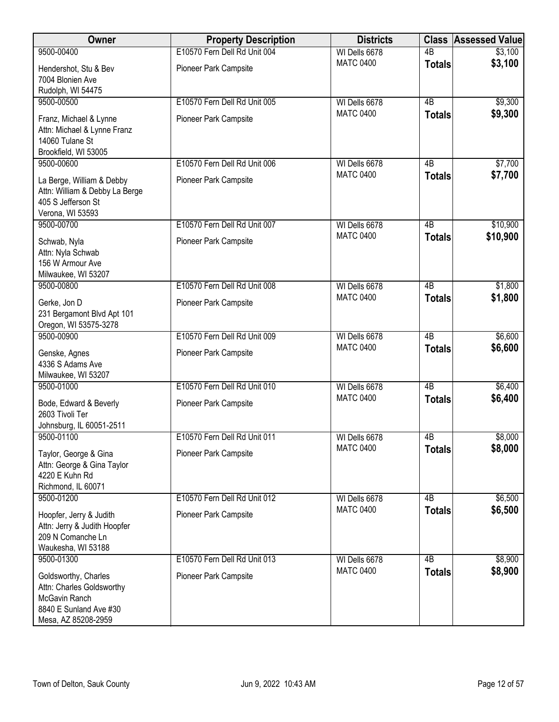| Owner                                          | <b>Property Description</b>  | <b>Districts</b>                  |                 | <b>Class Assessed Value</b> |
|------------------------------------------------|------------------------------|-----------------------------------|-----------------|-----------------------------|
| 9500-00400                                     | E10570 Fern Dell Rd Unit 004 | WI Dells 6678                     | $\overline{AB}$ | \$3,100                     |
| Hendershot, Stu & Bev                          | Pioneer Park Campsite        | <b>MATC 0400</b>                  | <b>Totals</b>   | \$3,100                     |
| 7004 Blonien Ave                               |                              |                                   |                 |                             |
| Rudolph, WI 54475                              |                              |                                   |                 |                             |
| 9500-00500                                     | E10570 Fern Dell Rd Unit 005 | WI Dells 6678                     | 4B              | \$9,300                     |
|                                                |                              | <b>MATC 0400</b>                  | <b>Totals</b>   | \$9,300                     |
| Franz, Michael & Lynne                         | Pioneer Park Campsite        |                                   |                 |                             |
| Attn: Michael & Lynne Franz<br>14060 Tulane St |                              |                                   |                 |                             |
| Brookfield, WI 53005                           |                              |                                   |                 |                             |
| 9500-00600                                     | E10570 Fern Dell Rd Unit 006 | WI Dells 6678                     | 4B              | \$7,700                     |
|                                                |                              | <b>MATC 0400</b>                  | <b>Totals</b>   | \$7,700                     |
| La Berge, William & Debby                      | Pioneer Park Campsite        |                                   |                 |                             |
| Attn: William & Debby La Berge                 |                              |                                   |                 |                             |
| 405 S Jefferson St                             |                              |                                   |                 |                             |
| Verona, WI 53593                               |                              |                                   |                 |                             |
| 9500-00700                                     | E10570 Fern Dell Rd Unit 007 | WI Dells 6678<br><b>MATC 0400</b> | 4B              | \$10,900                    |
| Schwab, Nyla                                   | Pioneer Park Campsite        |                                   | <b>Totals</b>   | \$10,900                    |
| Attn: Nyla Schwab                              |                              |                                   |                 |                             |
| 156 W Armour Ave                               |                              |                                   |                 |                             |
| Milwaukee, WI 53207                            |                              |                                   |                 |                             |
| 9500-00800                                     | E10570 Fern Dell Rd Unit 008 | WI Dells 6678                     | $\overline{AB}$ | \$1,800                     |
| Gerke, Jon D                                   | Pioneer Park Campsite        | <b>MATC 0400</b>                  | <b>Totals</b>   | \$1,800                     |
| 231 Bergamont Blvd Apt 101                     |                              |                                   |                 |                             |
| Oregon, WI 53575-3278                          |                              |                                   |                 |                             |
| 9500-00900                                     | E10570 Fern Dell Rd Unit 009 | WI Dells 6678                     | $\overline{AB}$ | \$6,600                     |
| Genske, Agnes                                  | Pioneer Park Campsite        | <b>MATC 0400</b>                  | <b>Totals</b>   | \$6,600                     |
| 4336 S Adams Ave                               |                              |                                   |                 |                             |
| Milwaukee, WI 53207                            |                              |                                   |                 |                             |
| 9500-01000                                     | E10570 Fern Dell Rd Unit 010 | WI Dells 6678                     | $\overline{AB}$ | \$6,400                     |
| Bode, Edward & Beverly                         | Pioneer Park Campsite        | <b>MATC 0400</b>                  | <b>Totals</b>   | \$6,400                     |
| 2603 Tivoli Ter                                |                              |                                   |                 |                             |
| Johnsburg, IL 60051-2511                       |                              |                                   |                 |                             |
| 9500-01100                                     | E10570 Fern Dell Rd Unit 011 | WI Dells 6678                     | 4B              | \$8,000                     |
|                                                |                              | <b>MATC 0400</b>                  | <b>Totals</b>   | \$8,000                     |
| Taylor, George & Gina                          | Pioneer Park Campsite        |                                   |                 |                             |
| Attn: George & Gina Taylor<br>4220 E Kuhn Rd   |                              |                                   |                 |                             |
| Richmond, IL 60071                             |                              |                                   |                 |                             |
| 9500-01200                                     | E10570 Fern Dell Rd Unit 012 | WI Dells 6678                     | 4B              | \$6,500                     |
|                                                |                              | <b>MATC 0400</b>                  | <b>Totals</b>   | \$6,500                     |
| Hoopfer, Jerry & Judith                        | Pioneer Park Campsite        |                                   |                 |                             |
| Attn: Jerry & Judith Hoopfer                   |                              |                                   |                 |                             |
| 209 N Comanche Ln                              |                              |                                   |                 |                             |
| Waukesha, WI 53188                             |                              |                                   |                 |                             |
| 9500-01300                                     | E10570 Fern Dell Rd Unit 013 | WI Dells 6678<br><b>MATC 0400</b> | $\overline{AB}$ | \$8,900                     |
| Goldsworthy, Charles                           | Pioneer Park Campsite        |                                   | <b>Totals</b>   | \$8,900                     |
| Attn: Charles Goldsworthy                      |                              |                                   |                 |                             |
| McGavin Ranch                                  |                              |                                   |                 |                             |
| 8840 E Sunland Ave #30                         |                              |                                   |                 |                             |
| Mesa, AZ 85208-2959                            |                              |                                   |                 |                             |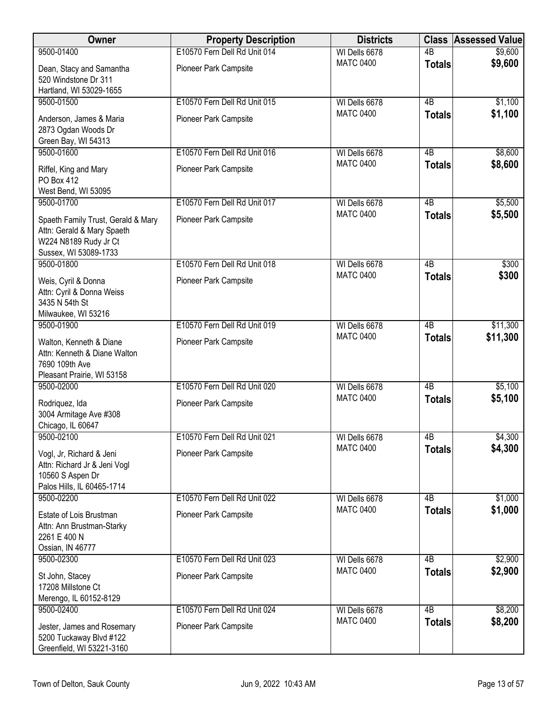| Owner                                                                                                              | <b>Property Description</b>  | <b>Districts</b> |                 | <b>Class Assessed Value</b> |
|--------------------------------------------------------------------------------------------------------------------|------------------------------|------------------|-----------------|-----------------------------|
| 9500-01400                                                                                                         | E10570 Fern Dell Rd Unit 014 | WI Dells 6678    | $\overline{AB}$ | \$9,600                     |
| Dean, Stacy and Samantha<br>520 Windstone Dr 311<br>Hartland, WI 53029-1655                                        | Pioneer Park Campsite        | <b>MATC 0400</b> | <b>Totals</b>   | \$9,600                     |
| 9500-01500                                                                                                         | E10570 Fern Dell Rd Unit 015 | WI Dells 6678    | $\overline{AB}$ | \$1,100                     |
| Anderson, James & Maria<br>2873 Ogdan Woods Dr<br>Green Bay, WI 54313                                              | Pioneer Park Campsite        | <b>MATC 0400</b> | <b>Totals</b>   | \$1,100                     |
| 9500-01600                                                                                                         | E10570 Fern Dell Rd Unit 016 | WI Dells 6678    | 4B              | \$8,600                     |
| Riffel, King and Mary<br><b>PO Box 412</b><br>West Bend, WI 53095                                                  | Pioneer Park Campsite        | <b>MATC 0400</b> | <b>Totals</b>   | \$8,600                     |
| 9500-01700                                                                                                         | E10570 Fern Dell Rd Unit 017 | WI Dells 6678    | $\overline{AB}$ | \$5,500                     |
| Spaeth Family Trust, Gerald & Mary<br>Attn: Gerald & Mary Spaeth<br>W224 N8189 Rudy Jr Ct<br>Sussex, WI 53089-1733 | Pioneer Park Campsite        | <b>MATC 0400</b> | <b>Totals</b>   | \$5,500                     |
| 9500-01800                                                                                                         | E10570 Fern Dell Rd Unit 018 | WI Dells 6678    | $\overline{AB}$ | \$300                       |
| Weis, Cyril & Donna<br>Attn: Cyril & Donna Weiss<br>3435 N 54th St<br>Milwaukee, WI 53216                          | Pioneer Park Campsite        | <b>MATC 0400</b> | <b>Totals</b>   | \$300                       |
| 9500-01900                                                                                                         | E10570 Fern Dell Rd Unit 019 | WI Dells 6678    | $\overline{AB}$ | \$11,300                    |
| Walton, Kenneth & Diane<br>Attn: Kenneth & Diane Walton<br>7690 109th Ave<br>Pleasant Prairie, WI 53158            | Pioneer Park Campsite        | <b>MATC 0400</b> | <b>Totals</b>   | \$11,300                    |
| 9500-02000                                                                                                         | E10570 Fern Dell Rd Unit 020 | WI Dells 6678    | $\overline{AB}$ | \$5,100                     |
| Rodriquez, Ida<br>3004 Armitage Ave #308<br>Chicago, IL 60647                                                      | <b>Pioneer Park Campsite</b> | <b>MATC 0400</b> | <b>Totals</b>   | \$5,100                     |
| 9500-02100                                                                                                         | E10570 Fern Dell Rd Unit 021 | WI Dells 6678    | 4B              | \$4,300                     |
| Vogl, Jr, Richard & Jeni<br>Attn: Richard Jr & Jeni Vogl<br>10560 S Aspen Dr<br>Palos Hills, IL 60465-1714         | Pioneer Park Campsite        | <b>MATC 0400</b> | <b>Totals</b>   | \$4,300                     |
| 9500-02200                                                                                                         | E10570 Fern Dell Rd Unit 022 | WI Dells 6678    | $\overline{AB}$ | \$1,000                     |
| Estate of Lois Brustman<br>Attn: Ann Brustman-Starky<br>2261 E 400 N<br>Ossian, IN 46777                           | Pioneer Park Campsite        | <b>MATC 0400</b> | <b>Totals</b>   | \$1,000                     |
| 9500-02300                                                                                                         | E10570 Fern Dell Rd Unit 023 | WI Dells 6678    | $\overline{AB}$ | \$2,900                     |
| St John, Stacey<br>17208 Millstone Ct<br>Merengo, IL 60152-8129                                                    | Pioneer Park Campsite        | <b>MATC 0400</b> | <b>Totals</b>   | \$2,900                     |
| 9500-02400                                                                                                         | E10570 Fern Dell Rd Unit 024 | WI Dells 6678    | $\overline{AB}$ | \$8,200                     |
| Jester, James and Rosemary<br>5200 Tuckaway Blvd #122<br>Greenfield, WI 53221-3160                                 | Pioneer Park Campsite        | <b>MATC 0400</b> | <b>Totals</b>   | \$8,200                     |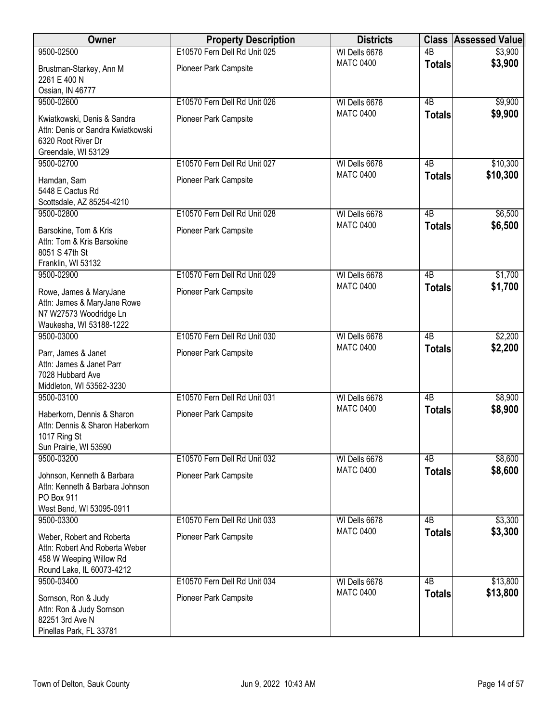| Owner                                                                                                               | <b>Property Description</b>  | <b>Districts</b> |                 | <b>Class Assessed Value</b> |
|---------------------------------------------------------------------------------------------------------------------|------------------------------|------------------|-----------------|-----------------------------|
| 9500-02500                                                                                                          | E10570 Fern Dell Rd Unit 025 | WI Dells 6678    | $\overline{AB}$ | \$3,900                     |
| Brustman-Starkey, Ann M<br>2261 E 400 N                                                                             | Pioneer Park Campsite        | <b>MATC 0400</b> | <b>Totals</b>   | \$3,900                     |
| Ossian, IN 46777                                                                                                    |                              |                  |                 |                             |
| 9500-02600                                                                                                          | E10570 Fern Dell Rd Unit 026 | WI Dells 6678    | $\overline{AB}$ | \$9,900                     |
| Kwiatkowski, Denis & Sandra<br>Attn: Denis or Sandra Kwiatkowski<br>6320 Root River Dr<br>Greendale, WI 53129       | Pioneer Park Campsite        | <b>MATC 0400</b> | <b>Totals</b>   | \$9,900                     |
| 9500-02700                                                                                                          | E10570 Fern Dell Rd Unit 027 | WI Dells 6678    | 4B              | \$10,300                    |
| Hamdan, Sam<br>5448 E Cactus Rd<br>Scottsdale, AZ 85254-4210                                                        | Pioneer Park Campsite        | <b>MATC 0400</b> | <b>Totals</b>   | \$10,300                    |
| 9500-02800                                                                                                          | E10570 Fern Dell Rd Unit 028 | WI Dells 6678    | $\overline{AB}$ | \$6,500                     |
| Barsokine, Tom & Kris<br>Attn: Tom & Kris Barsokine<br>8051 S 47th St<br>Franklin, WI 53132                         | Pioneer Park Campsite        | <b>MATC 0400</b> | <b>Totals</b>   | \$6,500                     |
| 9500-02900                                                                                                          | E10570 Fern Dell Rd Unit 029 | WI Dells 6678    | $\overline{AB}$ | \$1,700                     |
| Rowe, James & MaryJane<br>Attn: James & MaryJane Rowe<br>N7 W27573 Woodridge Ln<br>Waukesha, WI 53188-1222          | Pioneer Park Campsite        | <b>MATC 0400</b> | <b>Totals</b>   | \$1,700                     |
| 9500-03000                                                                                                          | E10570 Fern Dell Rd Unit 030 | WI Dells 6678    | $\overline{AB}$ | \$2,200                     |
| Parr, James & Janet<br>Attn: James & Janet Parr<br>7028 Hubbard Ave<br>Middleton, WI 53562-3230                     | Pioneer Park Campsite        | <b>MATC 0400</b> | <b>Totals</b>   | \$2,200                     |
| 9500-03100                                                                                                          | E10570 Fern Dell Rd Unit 031 | WI Dells 6678    | $\overline{AB}$ | \$8,900                     |
| Haberkorn, Dennis & Sharon<br>Attn: Dennis & Sharon Haberkorn<br>1017 Ring St<br>Sun Prairie, WI 53590              | Pioneer Park Campsite        | <b>MATC 0400</b> | <b>Totals</b>   | \$8,900                     |
| 9500-03200                                                                                                          | E10570 Fern Dell Rd Unit 032 | WI Dells 6678    | 4B              | \$8,600                     |
| Johnson, Kenneth & Barbara<br>Attn: Kenneth & Barbara Johnson<br>PO Box 911<br>West Bend, WI 53095-0911             | Pioneer Park Campsite        | <b>MATC 0400</b> | <b>Totals</b>   | \$8,600                     |
| 9500-03300                                                                                                          | E10570 Fern Dell Rd Unit 033 | WI Dells 6678    | 4B              | \$3,300                     |
| Weber, Robert and Roberta<br>Attn: Robert And Roberta Weber<br>458 W Weeping Willow Rd<br>Round Lake, IL 60073-4212 | Pioneer Park Campsite        | <b>MATC 0400</b> | <b>Totals</b>   | \$3,300                     |
| 9500-03400                                                                                                          | E10570 Fern Dell Rd Unit 034 | WI Dells 6678    | $\overline{AB}$ | \$13,800                    |
| Sornson, Ron & Judy<br>Attn: Ron & Judy Sornson<br>82251 3rd Ave N<br>Pinellas Park, FL 33781                       | Pioneer Park Campsite        | <b>MATC 0400</b> | <b>Totals</b>   | \$13,800                    |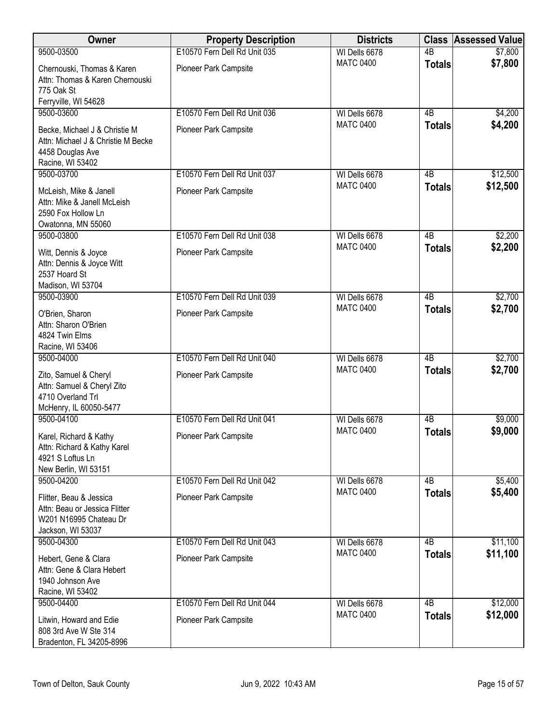| <b>Owner</b>                                                                                                | <b>Property Description</b>  | <b>Districts</b> | <b>Class</b>    | <b>Assessed Value</b> |
|-------------------------------------------------------------------------------------------------------------|------------------------------|------------------|-----------------|-----------------------|
| 9500-03500                                                                                                  | E10570 Fern Dell Rd Unit 035 | WI Dells 6678    | $\overline{AB}$ | \$7,800               |
| Chernouski, Thomas & Karen<br>Attn: Thomas & Karen Chernouski<br>775 Oak St<br>Ferryville, WI 54628         | Pioneer Park Campsite        | <b>MATC 0400</b> | <b>Totals</b>   | \$7,800               |
| 9500-03600                                                                                                  | E10570 Fern Dell Rd Unit 036 | WI Dells 6678    | 4B              | \$4,200               |
| Becke, Michael J & Christie M<br>Attn: Michael J & Christie M Becke<br>4458 Douglas Ave<br>Racine, WI 53402 | Pioneer Park Campsite        | <b>MATC 0400</b> | <b>Totals</b>   | \$4,200               |
| 9500-03700                                                                                                  | E10570 Fern Dell Rd Unit 037 | WI Dells 6678    | 4B              | \$12,500              |
| McLeish, Mike & Janell<br>Attn: Mike & Janell McLeish<br>2590 Fox Hollow Ln<br>Owatonna, MN 55060           | Pioneer Park Campsite        | <b>MATC 0400</b> | <b>Totals</b>   | \$12,500              |
| 9500-03800                                                                                                  | E10570 Fern Dell Rd Unit 038 | WI Dells 6678    | $\overline{AB}$ | \$2,200               |
| Witt, Dennis & Joyce<br>Attn: Dennis & Joyce Witt<br>2537 Hoard St<br>Madison, WI 53704                     | Pioneer Park Campsite        | <b>MATC 0400</b> | <b>Totals</b>   | \$2,200               |
| 9500-03900                                                                                                  | E10570 Fern Dell Rd Unit 039 | WI Dells 6678    | $\overline{AB}$ | \$2,700               |
| O'Brien, Sharon<br>Attn: Sharon O'Brien<br>4824 Twin Elms<br>Racine, WI 53406                               | Pioneer Park Campsite        | <b>MATC 0400</b> | <b>Totals</b>   | \$2,700               |
| 9500-04000                                                                                                  | E10570 Fern Dell Rd Unit 040 | WI Dells 6678    | $\overline{AB}$ | \$2,700               |
| Zito, Samuel & Cheryl<br>Attn: Samuel & Cheryl Zito<br>4710 Overland Trl<br>McHenry, IL 60050-5477          | Pioneer Park Campsite        | <b>MATC 0400</b> | <b>Totals</b>   | \$2,700               |
| 9500-04100                                                                                                  | E10570 Fern Dell Rd Unit 041 | WI Dells 6678    | $\overline{AB}$ | \$9,000               |
| Karel, Richard & Kathy<br>Attn: Richard & Kathy Karel<br>4921 S Loftus Ln<br>New Berlin, WI 53151           | Pioneer Park Campsite        | <b>MATC 0400</b> | <b>Totals</b>   | \$9,000               |
| 9500-04200                                                                                                  | E10570 Fern Dell Rd Unit 042 | WI Dells 6678    | 4B              | \$5,400               |
| Flitter, Beau & Jessica<br>Attn: Beau or Jessica Flitter<br>W201 N16995 Chateau Dr<br>Jackson, WI 53037     | Pioneer Park Campsite        | <b>MATC 0400</b> | <b>Totals</b>   | \$5,400               |
| 9500-04300                                                                                                  | E10570 Fern Dell Rd Unit 043 | WI Dells 6678    | 4 <sub>B</sub>  | \$11,100              |
| Hebert, Gene & Clara<br>Attn: Gene & Clara Hebert<br>1940 Johnson Ave<br>Racine, WI 53402                   | Pioneer Park Campsite        | <b>MATC 0400</b> | <b>Totals</b>   | \$11,100              |
| 9500-04400                                                                                                  | E10570 Fern Dell Rd Unit 044 | WI Dells 6678    | $\overline{AB}$ | \$12,000              |
| Litwin, Howard and Edie<br>808 3rd Ave W Ste 314<br>Bradenton, FL 34205-8996                                | Pioneer Park Campsite        | <b>MATC 0400</b> | <b>Totals</b>   | \$12,000              |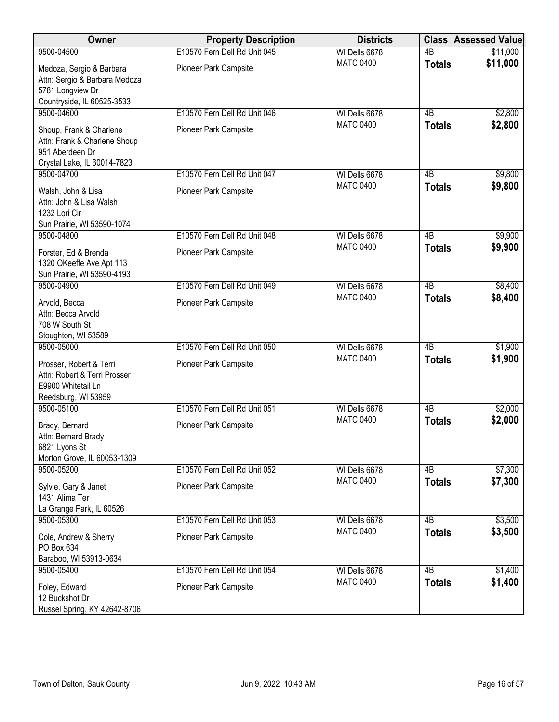| Owner                                                                                                     | <b>Property Description</b>  | <b>Districts</b> |                 | <b>Class Assessed Value</b> |
|-----------------------------------------------------------------------------------------------------------|------------------------------|------------------|-----------------|-----------------------------|
| 9500-04500                                                                                                | E10570 Fern Dell Rd Unit 045 | WI Dells 6678    | $\overline{AB}$ | \$11,000                    |
| Medoza, Sergio & Barbara<br>Attn: Sergio & Barbara Medoza<br>5781 Longview Dr                             | Pioneer Park Campsite        | <b>MATC 0400</b> | <b>Totals</b>   | \$11,000                    |
| Countryside, IL 60525-3533<br>9500-04600                                                                  | E10570 Fern Dell Rd Unit 046 | WI Dells 6678    | $\overline{AB}$ | \$2,800                     |
| Shoup, Frank & Charlene<br>Attn: Frank & Charlene Shoup<br>951 Aberdeen Dr<br>Crystal Lake, IL 60014-7823 | Pioneer Park Campsite        | <b>MATC 0400</b> | <b>Totals</b>   | \$2,800                     |
| 9500-04700                                                                                                | E10570 Fern Dell Rd Unit 047 | WI Dells 6678    | 4B              | \$9,800                     |
| Walsh, John & Lisa<br>Attn: John & Lisa Walsh<br>1232 Lori Cir                                            | Pioneer Park Campsite        | <b>MATC 0400</b> | <b>Totals</b>   | \$9,800                     |
| Sun Prairie, WI 53590-1074<br>9500-04800                                                                  | E10570 Fern Dell Rd Unit 048 | WI Dells 6678    | $\overline{AB}$ | \$9,900                     |
| Forster, Ed & Brenda<br>1320 OKeeffe Ave Apt 113<br>Sun Prairie, WI 53590-4193                            | Pioneer Park Campsite        | <b>MATC 0400</b> | <b>Totals</b>   | \$9,900                     |
| 9500-04900                                                                                                | E10570 Fern Dell Rd Unit 049 | WI Dells 6678    | $\overline{AB}$ | \$8,400                     |
| Arvold, Becca<br>Attn: Becca Arvold<br>708 W South St<br>Stoughton, WI 53589                              | Pioneer Park Campsite        | <b>MATC 0400</b> | <b>Totals</b>   | \$8,400                     |
| 9500-05000                                                                                                | E10570 Fern Dell Rd Unit 050 | WI Dells 6678    | $\overline{AB}$ | \$1,900                     |
| Prosser, Robert & Terri<br>Attn: Robert & Terri Prosser<br>E9900 Whitetail Ln<br>Reedsburg, WI 53959      | Pioneer Park Campsite        | <b>MATC 0400</b> | <b>Totals</b>   | \$1,900                     |
| 9500-05100                                                                                                | E10570 Fern Dell Rd Unit 051 | WI Dells 6678    | $\overline{AB}$ | \$2,000                     |
| Brady, Bernard<br>Attn: Bernard Brady<br>6821 Lyons St<br>Morton Grove, IL 60053-1309                     | Pioneer Park Campsite        | <b>MATC 0400</b> | <b>Totals</b>   | \$2,000                     |
| 9500-05200                                                                                                | E10570 Fern Dell Rd Unit 052 | WI Dells 6678    | 4B              | \$7,300                     |
| Sylvie, Gary & Janet<br>1431 Alima Ter<br>La Grange Park, IL 60526                                        | Pioneer Park Campsite        | <b>MATC 0400</b> | <b>Totals</b>   | \$7,300                     |
| 9500-05300                                                                                                | E10570 Fern Dell Rd Unit 053 | WI Dells 6678    | 4B              | \$3,500                     |
| Cole, Andrew & Sherry<br>PO Box 634<br>Baraboo, WI 53913-0634                                             | Pioneer Park Campsite        | <b>MATC 0400</b> | <b>Totals</b>   | \$3,500                     |
| 9500-05400                                                                                                | E10570 Fern Dell Rd Unit 054 | WI Dells 6678    | $\overline{AB}$ | \$1,400                     |
| Foley, Edward<br>12 Buckshot Dr<br>Russel Spring, KY 42642-8706                                           | Pioneer Park Campsite        | <b>MATC 0400</b> | <b>Totals</b>   | \$1,400                     |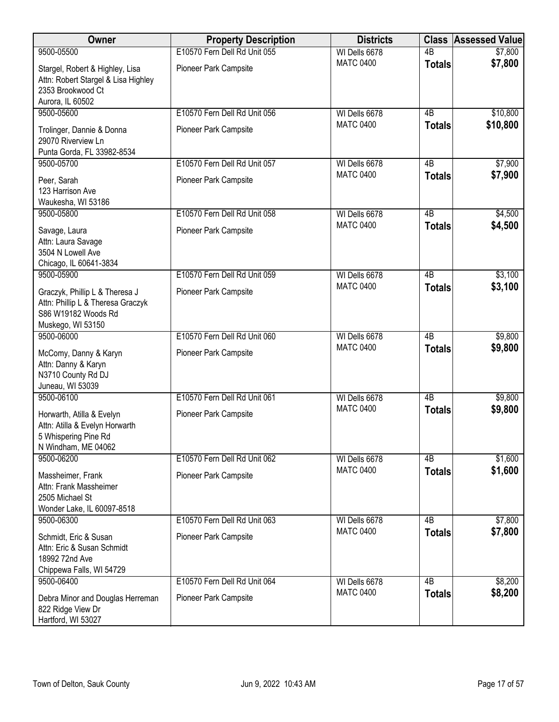| Owner                                                                                                           | <b>Property Description</b>                           | <b>Districts</b>                  |                     | <b>Class Assessed Value</b> |
|-----------------------------------------------------------------------------------------------------------------|-------------------------------------------------------|-----------------------------------|---------------------|-----------------------------|
| 9500-05500                                                                                                      | E10570 Fern Dell Rd Unit 055                          | WI Dells 6678                     | $\overline{AB}$     | \$7,800                     |
| Stargel, Robert & Highley, Lisa<br>Attn: Robert Stargel & Lisa Highley<br>2353 Brookwood Ct                     | Pioneer Park Campsite                                 | <b>MATC 0400</b>                  | <b>Totals</b>       | \$7,800                     |
| Aurora, IL 60502                                                                                                |                                                       |                                   |                     |                             |
| 9500-05600<br>Trolinger, Dannie & Donna<br>29070 Riverview Ln<br>Punta Gorda, FL 33982-8534                     | E10570 Fern Dell Rd Unit 056<br>Pioneer Park Campsite | WI Dells 6678<br><b>MATC 0400</b> | 4B<br><b>Totals</b> | \$10,800<br>\$10,800        |
| 9500-05700                                                                                                      | E10570 Fern Dell Rd Unit 057                          | WI Dells 6678                     | 4B                  | \$7,900                     |
| Peer, Sarah<br>123 Harrison Ave<br>Waukesha, WI 53186                                                           | Pioneer Park Campsite                                 | <b>MATC 0400</b>                  | <b>Totals</b>       | \$7,900                     |
| 9500-05800                                                                                                      | E10570 Fern Dell Rd Unit 058                          | WI Dells 6678                     | $\overline{AB}$     | \$4,500                     |
| Savage, Laura<br>Attn: Laura Savage<br>3504 N Lowell Ave<br>Chicago, IL 60641-3834                              | Pioneer Park Campsite                                 | <b>MATC 0400</b>                  | <b>Totals</b>       | \$4,500                     |
| 9500-05900                                                                                                      | E10570 Fern Dell Rd Unit 059                          | WI Dells 6678                     | $\overline{AB}$     | \$3,100                     |
| Graczyk, Phillip L & Theresa J<br>Attn: Phillip L & Theresa Graczyk<br>S86 W19182 Woods Rd<br>Muskego, WI 53150 | Pioneer Park Campsite                                 | <b>MATC 0400</b>                  | <b>Totals</b>       | \$3,100                     |
| 9500-06000                                                                                                      | E10570 Fern Dell Rd Unit 060                          | WI Dells 6678                     | $\overline{AB}$     | \$9,800                     |
| McComy, Danny & Karyn<br>Attn: Danny & Karyn<br>N3710 County Rd DJ<br>Juneau, WI 53039                          | Pioneer Park Campsite                                 | <b>MATC 0400</b>                  | <b>Totals</b>       | \$9,800                     |
| 9500-06100                                                                                                      | E10570 Fern Dell Rd Unit 061                          | WI Dells 6678                     | $\overline{AB}$     | \$9,800                     |
| Horwarth, Atilla & Evelyn<br>Attn: Atilla & Evelyn Horwarth<br>5 Whispering Pine Rd<br>N Windham, ME 04062      | Pioneer Park Campsite                                 | <b>MATC 0400</b>                  | <b>Totals</b>       | \$9,800                     |
| 9500-06200                                                                                                      | E10570 Fern Dell Rd Unit 062                          | WI Dells 6678                     | 4B                  | \$1,600                     |
| Massheimer, Frank<br>Attn: Frank Massheimer<br>2505 Michael St<br>Wonder Lake, IL 60097-8518                    | Pioneer Park Campsite                                 | <b>MATC 0400</b>                  | <b>Totals</b>       | \$1,600                     |
| 9500-06300                                                                                                      | E10570 Fern Dell Rd Unit 063                          | WI Dells 6678                     | 4 <sub>B</sub>      | \$7,800                     |
| Schmidt, Eric & Susan<br>Attn: Eric & Susan Schmidt<br>18992 72nd Ave<br>Chippewa Falls, WI 54729               | Pioneer Park Campsite                                 | <b>MATC 0400</b>                  | <b>Totals</b>       | \$7,800                     |
| 9500-06400                                                                                                      | E10570 Fern Dell Rd Unit 064                          | WI Dells 6678                     | $\overline{AB}$     | \$8,200                     |
| Debra Minor and Douglas Herreman<br>822 Ridge View Dr<br>Hartford, WI 53027                                     | Pioneer Park Campsite                                 | <b>MATC 0400</b>                  | <b>Totals</b>       | \$8,200                     |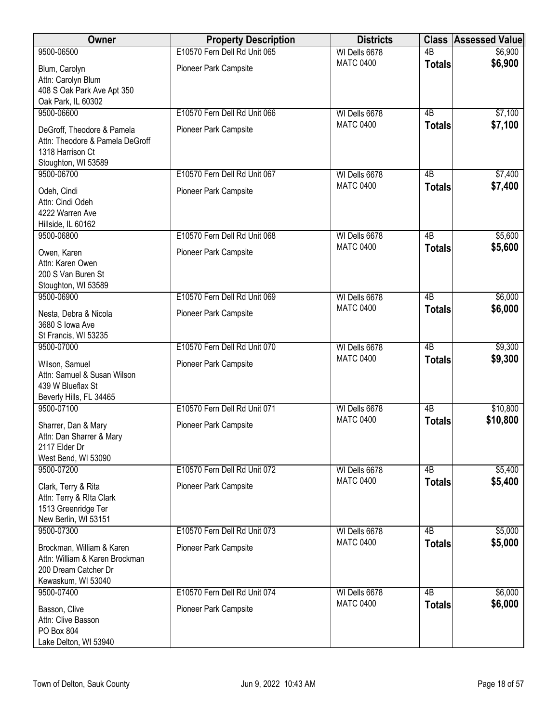| Owner                                                                                                     | <b>Property Description</b>  | <b>Districts</b> | <b>Class</b>    | <b>Assessed Value</b> |
|-----------------------------------------------------------------------------------------------------------|------------------------------|------------------|-----------------|-----------------------|
| 9500-06500                                                                                                | E10570 Fern Dell Rd Unit 065 | WI Dells 6678    | $\overline{AB}$ | \$6,900               |
| Blum, Carolyn<br>Attn: Carolyn Blum<br>408 S Oak Park Ave Apt 350                                         | Pioneer Park Campsite        | <b>MATC 0400</b> | <b>Totals</b>   | \$6,900               |
| Oak Park, IL 60302<br>9500-06600                                                                          | E10570 Fern Dell Rd Unit 066 | WI Dells 6678    | 4B              | \$7,100               |
| DeGroff, Theodore & Pamela<br>Attn: Theodore & Pamela DeGroff<br>1318 Harrison Ct<br>Stoughton, WI 53589  | Pioneer Park Campsite        | <b>MATC 0400</b> | <b>Totals</b>   | \$7,100               |
| 9500-06700                                                                                                | E10570 Fern Dell Rd Unit 067 | WI Dells 6678    | 4B              | \$7,400               |
| Odeh, Cindi<br>Attn: Cindi Odeh<br>4222 Warren Ave<br>Hillside, IL 60162                                  | Pioneer Park Campsite        | <b>MATC 0400</b> | <b>Totals</b>   | \$7,400               |
| 9500-06800                                                                                                | E10570 Fern Dell Rd Unit 068 | WI Dells 6678    | $\overline{AB}$ | \$5,600               |
| Owen, Karen<br>Attn: Karen Owen<br>200 S Van Buren St<br>Stoughton, WI 53589                              | Pioneer Park Campsite        | <b>MATC 0400</b> | <b>Totals</b>   | \$5,600               |
| 9500-06900                                                                                                | E10570 Fern Dell Rd Unit 069 | WI Dells 6678    | $\overline{AB}$ | \$6,000               |
| Nesta, Debra & Nicola<br>3680 S lowa Ave<br>St Francis, WI 53235                                          | Pioneer Park Campsite        | <b>MATC 0400</b> | <b>Totals</b>   | \$6,000               |
| 9500-07000                                                                                                | E10570 Fern Dell Rd Unit 070 | WI Dells 6678    | $\overline{AB}$ | \$9,300               |
| Wilson, Samuel<br>Attn: Samuel & Susan Wilson<br>439 W Blueflax St<br>Beverly Hills, FL 34465             | Pioneer Park Campsite        | <b>MATC 0400</b> | <b>Totals</b>   | \$9,300               |
| 9500-07100                                                                                                | E10570 Fern Dell Rd Unit 071 | WI Dells 6678    | $\overline{AB}$ | \$10,800              |
| Sharrer, Dan & Mary<br>Attn: Dan Sharrer & Mary<br>2117 Elder Dr<br>West Bend, WI 53090                   | Pioneer Park Campsite        | <b>MATC 0400</b> | <b>Totals</b>   | \$10,800              |
| 9500-07200                                                                                                | E10570 Fern Dell Rd Unit 072 | WI Dells 6678    | 4B              | \$5,400               |
| Clark, Terry & Rita<br>Attn: Terry & Rita Clark<br>1513 Greenridge Ter<br>New Berlin, WI 53151            | Pioneer Park Campsite        | <b>MATC 0400</b> | <b>Totals</b>   | \$5,400               |
| 9500-07300                                                                                                | E10570 Fern Dell Rd Unit 073 | WI Dells 6678    | 4B              | \$5,000               |
| Brockman, William & Karen<br>Attn: William & Karen Brockman<br>200 Dream Catcher Dr<br>Kewaskum, WI 53040 | Pioneer Park Campsite        | <b>MATC 0400</b> | <b>Totals</b>   | \$5,000               |
| 9500-07400                                                                                                | E10570 Fern Dell Rd Unit 074 | WI Dells 6678    | $\overline{AB}$ | \$6,000               |
| Basson, Clive<br>Attn: Clive Basson<br>PO Box 804<br>Lake Delton, WI 53940                                | Pioneer Park Campsite        | <b>MATC 0400</b> | <b>Totals</b>   | \$6,000               |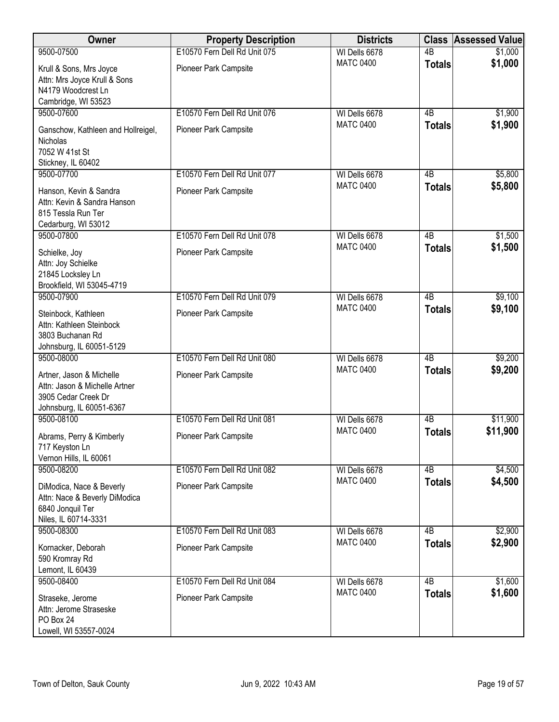| Owner                                           | <b>Property Description</b>  | <b>Districts</b>                  | <b>Class</b>                    | <b>Assessed Value</b> |
|-------------------------------------------------|------------------------------|-----------------------------------|---------------------------------|-----------------------|
| 9500-07500                                      | E10570 Fern Dell Rd Unit 075 | WI Dells 6678                     | $\overline{AB}$                 | \$1,000               |
| Krull & Sons, Mrs Joyce                         | Pioneer Park Campsite        | <b>MATC 0400</b>                  | <b>Totals</b>                   | \$1,000               |
| Attn: Mrs Joyce Krull & Sons                    |                              |                                   |                                 |                       |
| N4179 Woodcrest Ln                              |                              |                                   |                                 |                       |
| Cambridge, WI 53523<br>9500-07600               | E10570 Fern Dell Rd Unit 076 |                                   |                                 |                       |
|                                                 |                              | WI Dells 6678<br><b>MATC 0400</b> | 4B<br><b>Totals</b>             | \$1,900<br>\$1,900    |
| Ganschow, Kathleen and Hollreigel,              | Pioneer Park Campsite        |                                   |                                 |                       |
| Nicholas<br>7052 W 41st St                      |                              |                                   |                                 |                       |
| Stickney, IL 60402                              |                              |                                   |                                 |                       |
| 9500-07700                                      | E10570 Fern Dell Rd Unit 077 | WI Dells 6678                     | 4B                              | \$5,800               |
| Hanson, Kevin & Sandra                          | Pioneer Park Campsite        | <b>MATC 0400</b>                  | <b>Totals</b>                   | \$5,800               |
| Attn: Kevin & Sandra Hanson                     |                              |                                   |                                 |                       |
| 815 Tessla Run Ter                              |                              |                                   |                                 |                       |
| Cedarburg, WI 53012                             |                              |                                   |                                 |                       |
| 9500-07800                                      | E10570 Fern Dell Rd Unit 078 | WI Dells 6678<br><b>MATC 0400</b> | $\overline{AB}$                 | \$1,500               |
| Schielke, Joy                                   | Pioneer Park Campsite        |                                   | <b>Totals</b>                   | \$1,500               |
| Attn: Joy Schielke<br>21845 Locksley Ln         |                              |                                   |                                 |                       |
| Brookfield, WI 53045-4719                       |                              |                                   |                                 |                       |
| 9500-07900                                      | E10570 Fern Dell Rd Unit 079 | WI Dells 6678                     | $\overline{AB}$                 | \$9,100               |
| Steinbock, Kathleen                             | Pioneer Park Campsite        | <b>MATC 0400</b>                  | <b>Totals</b>                   | \$9,100               |
| Attn: Kathleen Steinbock                        |                              |                                   |                                 |                       |
| 3803 Buchanan Rd                                |                              |                                   |                                 |                       |
| Johnsburg, IL 60051-5129                        |                              |                                   |                                 |                       |
| 9500-08000                                      | E10570 Fern Dell Rd Unit 080 | WI Dells 6678                     | $\overline{AB}$                 | \$9,200               |
| Artner, Jason & Michelle                        | Pioneer Park Campsite        | <b>MATC 0400</b>                  | <b>Totals</b>                   | \$9,200               |
| Attn: Jason & Michelle Artner                   |                              |                                   |                                 |                       |
| 3905 Cedar Creek Dr<br>Johnsburg, IL 60051-6367 |                              |                                   |                                 |                       |
| 9500-08100                                      | E10570 Fern Dell Rd Unit 081 | WI Dells 6678                     | 4B                              | \$11,900              |
|                                                 | Pioneer Park Campsite        | <b>MATC 0400</b>                  | <b>Totals</b>                   | \$11,900              |
| Abrams, Perry & Kimberly<br>717 Keyston Ln      |                              |                                   |                                 |                       |
| Vernon Hills, IL 60061                          |                              |                                   |                                 |                       |
| 9500-08200                                      | E10570 Fern Dell Rd Unit 082 | WI Dells 6678                     | 4B                              | \$4,500               |
| DiModica, Nace & Beverly                        | Pioneer Park Campsite        | <b>MATC 0400</b>                  | <b>Totals</b>                   | \$4,500               |
| Attn: Nace & Beverly DiModica                   |                              |                                   |                                 |                       |
| 6840 Jonquil Ter                                |                              |                                   |                                 |                       |
| Niles, IL 60714-3331                            |                              |                                   |                                 |                       |
| 9500-08300                                      | E10570 Fern Dell Rd Unit 083 | WI Dells 6678<br><b>MATC 0400</b> | 4 <sub>B</sub><br><b>Totals</b> | \$2,900<br>\$2,900    |
| Kornacker, Deborah                              | Pioneer Park Campsite        |                                   |                                 |                       |
| 590 Kromray Rd<br>Lemont, IL 60439              |                              |                                   |                                 |                       |
| 9500-08400                                      | E10570 Fern Dell Rd Unit 084 | WI Dells 6678                     | $\overline{AB}$                 | \$1,600               |
|                                                 |                              | <b>MATC 0400</b>                  | <b>Totals</b>                   | \$1,600               |
| Straseke, Jerome<br>Attn: Jerome Straseske      | Pioneer Park Campsite        |                                   |                                 |                       |
| PO Box 24                                       |                              |                                   |                                 |                       |
| Lowell, WI 53557-0024                           |                              |                                   |                                 |                       |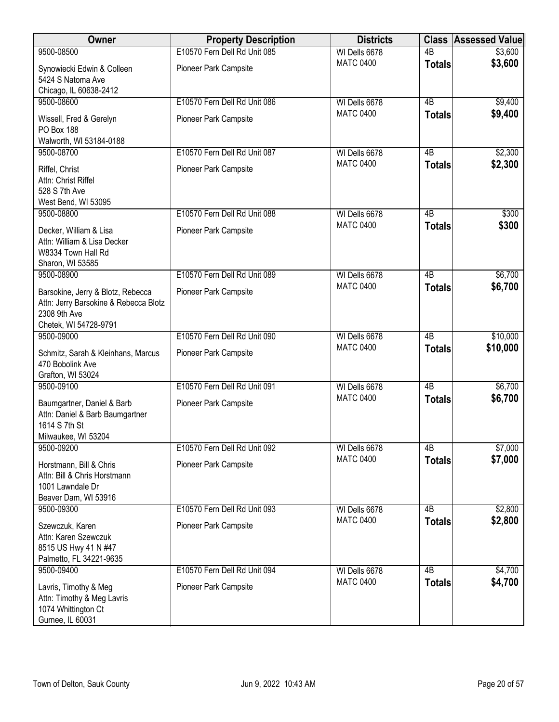| Owner                                                                                                 | <b>Property Description</b>  | <b>Districts</b> |                 | <b>Class Assessed Value</b> |
|-------------------------------------------------------------------------------------------------------|------------------------------|------------------|-----------------|-----------------------------|
| 9500-08500                                                                                            | E10570 Fern Dell Rd Unit 085 | WI Dells 6678    | $\overline{AB}$ | \$3,600                     |
| Synowiecki Edwin & Colleen<br>5424 S Natoma Ave                                                       | Pioneer Park Campsite        | <b>MATC 0400</b> | <b>Totals</b>   | \$3,600                     |
| Chicago, IL 60638-2412                                                                                |                              |                  |                 |                             |
| 9500-08600                                                                                            | E10570 Fern Dell Rd Unit 086 | WI Dells 6678    | $\overline{AB}$ | \$9,400                     |
| Wissell, Fred & Gerelyn<br>PO Box 188                                                                 | Pioneer Park Campsite        | <b>MATC 0400</b> | <b>Totals</b>   | \$9,400                     |
| Walworth, WI 53184-0188                                                                               |                              |                  |                 |                             |
| 9500-08700                                                                                            | E10570 Fern Dell Rd Unit 087 | WI Dells 6678    | 4B              | \$2,300                     |
| Riffel, Christ<br>Attn: Christ Riffel<br>528 S 7th Ave                                                | Pioneer Park Campsite        | <b>MATC 0400</b> | <b>Totals</b>   | \$2,300                     |
| West Bend, WI 53095                                                                                   |                              |                  |                 |                             |
| 9500-08800                                                                                            | E10570 Fern Dell Rd Unit 088 | WI Dells 6678    | $\overline{AB}$ | \$300                       |
| Decker, William & Lisa<br>Attn: William & Lisa Decker<br>W8334 Town Hall Rd                           | Pioneer Park Campsite        | <b>MATC 0400</b> | <b>Totals</b>   | \$300                       |
| Sharon, WI 53585<br>9500-08900                                                                        | E10570 Fern Dell Rd Unit 089 | WI Dells 6678    | 4B              | \$6,700                     |
|                                                                                                       |                              | <b>MATC 0400</b> | <b>Totals</b>   | \$6,700                     |
| Barsokine, Jerry & Blotz, Rebecca<br>Attn: Jerry Barsokine & Rebecca Blotz<br>2308 9th Ave            | Pioneer Park Campsite        |                  |                 |                             |
| Chetek, WI 54728-9791<br>9500-09000                                                                   | E10570 Fern Dell Rd Unit 090 | WI Dells 6678    | 4B              | \$10,000                    |
| Schmitz, Sarah & Kleinhans, Marcus<br>470 Bobolink Ave                                                | Pioneer Park Campsite        | <b>MATC 0400</b> | <b>Totals</b>   | \$10,000                    |
| Grafton, WI 53024<br>9500-09100                                                                       | E10570 Fern Dell Rd Unit 091 | WI Dells 6678    | $\overline{AB}$ | \$6,700                     |
| Baumgartner, Daniel & Barb<br>Attn: Daniel & Barb Baumgartner<br>1614 S 7th St<br>Milwaukee, WI 53204 | Pioneer Park Campsite        | <b>MATC 0400</b> | <b>Totals</b>   | \$6,700                     |
| 9500-09200                                                                                            | E10570 Fern Dell Rd Unit 092 | WI Dells 6678    | 4B              | \$7,000                     |
| Horstmann, Bill & Chris<br>Attn: Bill & Chris Horstmann<br>1001 Lawndale Dr<br>Beaver Dam, WI 53916   | Pioneer Park Campsite        | <b>MATC 0400</b> | <b>Totals</b>   | \$7,000                     |
| 9500-09300                                                                                            | E10570 Fern Dell Rd Unit 093 | WI Dells 6678    | 4B              | \$2,800                     |
| Szewczuk, Karen<br>Attn: Karen Szewczuk<br>8515 US Hwy 41 N #47<br>Palmetto, FL 34221-9635            | Pioneer Park Campsite        | <b>MATC 0400</b> | <b>Totals</b>   | \$2,800                     |
| 9500-09400                                                                                            | E10570 Fern Dell Rd Unit 094 | WI Dells 6678    | 4B              | \$4,700                     |
| Lavris, Timothy & Meg<br>Attn: Timothy & Meg Lavris<br>1074 Whittington Ct<br>Gurnee, IL 60031        | Pioneer Park Campsite        | <b>MATC 0400</b> | <b>Totals</b>   | \$4,700                     |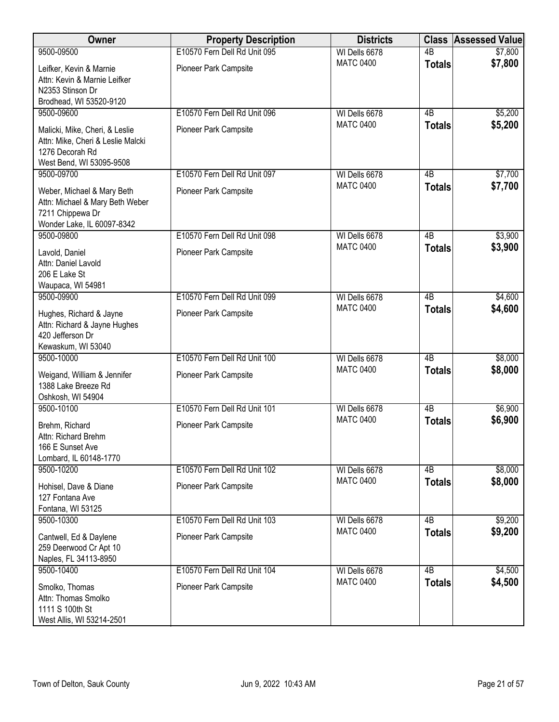| Owner                                                                                                              | <b>Property Description</b>  | <b>Districts</b> |                 | <b>Class Assessed Value</b> |
|--------------------------------------------------------------------------------------------------------------------|------------------------------|------------------|-----------------|-----------------------------|
| 9500-09500                                                                                                         | E10570 Fern Dell Rd Unit 095 | WI Dells 6678    | $\overline{AB}$ | \$7,800                     |
| Leifker, Kevin & Marnie<br>Attn: Kevin & Marnie Leifker<br>N2353 Stinson Dr<br>Brodhead, WI 53520-9120             | Pioneer Park Campsite        | <b>MATC 0400</b> | <b>Totals</b>   | \$7,800                     |
| 9500-09600                                                                                                         | E10570 Fern Dell Rd Unit 096 | WI Dells 6678    | $\overline{AB}$ | \$5,200                     |
| Malicki, Mike, Cheri, & Leslie<br>Attn: Mike, Cheri & Leslie Malcki<br>1276 Decorah Rd<br>West Bend, WI 53095-9508 | Pioneer Park Campsite        | <b>MATC 0400</b> | <b>Totals</b>   | \$5,200                     |
| 9500-09700                                                                                                         | E10570 Fern Dell Rd Unit 097 | WI Dells 6678    | 4B              | \$7,700                     |
| Weber, Michael & Mary Beth<br>Attn: Michael & Mary Beth Weber<br>7211 Chippewa Dr<br>Wonder Lake, IL 60097-8342    | Pioneer Park Campsite        | <b>MATC 0400</b> | <b>Totals</b>   | \$7,700                     |
| 9500-09800                                                                                                         | E10570 Fern Dell Rd Unit 098 | WI Dells 6678    | $\overline{AB}$ | \$3,900                     |
| Lavold, Daniel<br>Attn: Daniel Lavold<br>206 E Lake St<br>Waupaca, WI 54981                                        | Pioneer Park Campsite        | <b>MATC 0400</b> | <b>Totals</b>   | \$3,900                     |
| 9500-09900                                                                                                         | E10570 Fern Dell Rd Unit 099 | WI Dells 6678    | $\overline{AB}$ | \$4,600                     |
| Hughes, Richard & Jayne<br>Attn: Richard & Jayne Hughes<br>420 Jefferson Dr<br>Kewaskum, WI 53040                  | Pioneer Park Campsite        | <b>MATC 0400</b> | <b>Totals</b>   | \$4,600                     |
| 9500-10000                                                                                                         | E10570 Fern Dell Rd Unit 100 | WI Dells 6678    | $\overline{AB}$ | \$8,000                     |
| Weigand, William & Jennifer<br>1388 Lake Breeze Rd<br>Oshkosh, WI 54904                                            | Pioneer Park Campsite        | <b>MATC 0400</b> | <b>Totals</b>   | \$8,000                     |
| 9500-10100                                                                                                         | E10570 Fern Dell Rd Unit 101 | WI Dells 6678    | $\overline{AB}$ | \$6,900                     |
| Brehm, Richard<br>Attn: Richard Brehm<br>166 E Sunset Ave<br>Lombard, IL 60148-1770                                | <b>Pioneer Park Campsite</b> | <b>MATC 0400</b> | <b>Totals</b>   | \$6,900                     |
| 9500-10200                                                                                                         | E10570 Fern Dell Rd Unit 102 | WI Dells 6678    | 4B              | \$8,000                     |
| Hohisel, Dave & Diane<br>127 Fontana Ave<br>Fontana, WI 53125                                                      | Pioneer Park Campsite        | <b>MATC 0400</b> | <b>Totals</b>   | \$8,000                     |
| 9500-10300                                                                                                         | E10570 Fern Dell Rd Unit 103 | WI Dells 6678    | 4B              | \$9,200                     |
| Cantwell, Ed & Daylene<br>259 Deerwood Cr Apt 10<br>Naples, FL 34113-8950                                          | Pioneer Park Campsite        | <b>MATC 0400</b> | <b>Totals</b>   | \$9,200                     |
| 9500-10400                                                                                                         | E10570 Fern Dell Rd Unit 104 | WI Dells 6678    | $\overline{AB}$ | \$4,500                     |
| Smolko, Thomas<br>Attn: Thomas Smolko<br>1111 S 100th St<br>West Allis, WI 53214-2501                              | Pioneer Park Campsite        | <b>MATC 0400</b> | <b>Totals</b>   | \$4,500                     |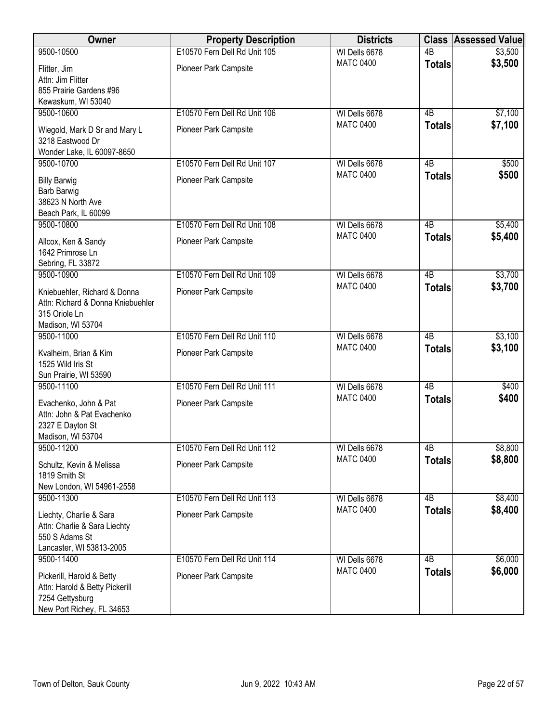| Owner                                                                                                       | <b>Property Description</b>                                  | <b>Districts</b>                  | <b>Class</b>        | <b>Assessed Value</b> |
|-------------------------------------------------------------------------------------------------------------|--------------------------------------------------------------|-----------------------------------|---------------------|-----------------------|
| 9500-10500                                                                                                  | E10570 Fern Dell Rd Unit 105                                 | WI Dells 6678                     | $\overline{AB}$     | \$3,500               |
| Flitter, Jim<br>Attn: Jim Flitter<br>855 Prairie Gardens #96                                                | Pioneer Park Campsite                                        | <b>MATC 0400</b>                  | <b>Totals</b>       | \$3,500               |
| Kewaskum, WI 53040                                                                                          |                                                              |                                   |                     |                       |
| 9500-10600<br>Wiegold, Mark D Sr and Mary L<br>3218 Eastwood Dr<br>Wonder Lake, IL 60097-8650               | E10570 Fern Dell Rd Unit 106<br><b>Pioneer Park Campsite</b> | WI Dells 6678<br><b>MATC 0400</b> | 4B<br><b>Totals</b> | \$7,100<br>\$7,100    |
| 9500-10700                                                                                                  | E10570 Fern Dell Rd Unit 107                                 | WI Dells 6678                     | 4B                  | \$500                 |
| <b>Billy Barwig</b><br>Barb Barwig<br>38623 N North Ave<br>Beach Park, IL 60099                             | Pioneer Park Campsite                                        | <b>MATC 0400</b>                  | <b>Totals</b>       | \$500                 |
| 9500-10800                                                                                                  | E10570 Fern Dell Rd Unit 108                                 | WI Dells 6678                     | 4B                  | \$5,400               |
| Allcox, Ken & Sandy<br>1642 Primrose Ln<br>Sebring, FL 33872                                                | Pioneer Park Campsite                                        | <b>MATC 0400</b>                  | <b>Totals</b>       | \$5,400               |
| 9500-10900                                                                                                  | E10570 Fern Dell Rd Unit 109                                 | WI Dells 6678                     | $\overline{AB}$     | \$3,700               |
| Kniebuehler, Richard & Donna<br>Attn: Richard & Donna Kniebuehler<br>315 Oriole Ln<br>Madison, WI 53704     | Pioneer Park Campsite                                        | <b>MATC 0400</b>                  | <b>Totals</b>       | \$3,700               |
| 9500-11000                                                                                                  | E10570 Fern Dell Rd Unit 110                                 | WI Dells 6678                     | $\overline{AB}$     | \$3,100               |
| Kvalheim, Brian & Kim<br>1525 Wild Iris St<br>Sun Prairie, WI 53590                                         | Pioneer Park Campsite                                        | <b>MATC 0400</b>                  | <b>Totals</b>       | \$3,100               |
| 9500-11100                                                                                                  | E10570 Fern Dell Rd Unit 111                                 | WI Dells 6678                     | $\overline{AB}$     | \$400                 |
| Evachenko, John & Pat<br>Attn: John & Pat Evachenko<br>2327 E Dayton St<br>Madison, WI 53704                | Pioneer Park Campsite                                        | <b>MATC 0400</b>                  | <b>Totals</b>       | \$400                 |
| 9500-11200                                                                                                  | E10570 Fern Dell Rd Unit 112                                 | WI Dells 6678                     | 4B                  | \$8,800               |
| Schultz, Kevin & Melissa<br>1819 Smith St<br>New London, WI 54961-2558                                      | Pioneer Park Campsite                                        | <b>MATC 0400</b>                  | <b>Totals</b>       | \$8,800               |
| 9500-11300                                                                                                  | E10570 Fern Dell Rd Unit 113                                 | WI Dells 6678                     | 4B                  | \$8,400               |
| Liechty, Charlie & Sara<br>Attn: Charlie & Sara Liechty<br>550 S Adams St<br>Lancaster, WI 53813-2005       | Pioneer Park Campsite                                        | <b>MATC 0400</b>                  | <b>Totals</b>       | \$8,400               |
| 9500-11400                                                                                                  | E10570 Fern Dell Rd Unit 114                                 | WI Dells 6678                     | $\overline{AB}$     | \$6,000               |
| Pickerill, Harold & Betty<br>Attn: Harold & Betty Pickerill<br>7254 Gettysburg<br>New Port Richey, FL 34653 | Pioneer Park Campsite                                        | <b>MATC 0400</b>                  | <b>Totals</b>       | \$6,000               |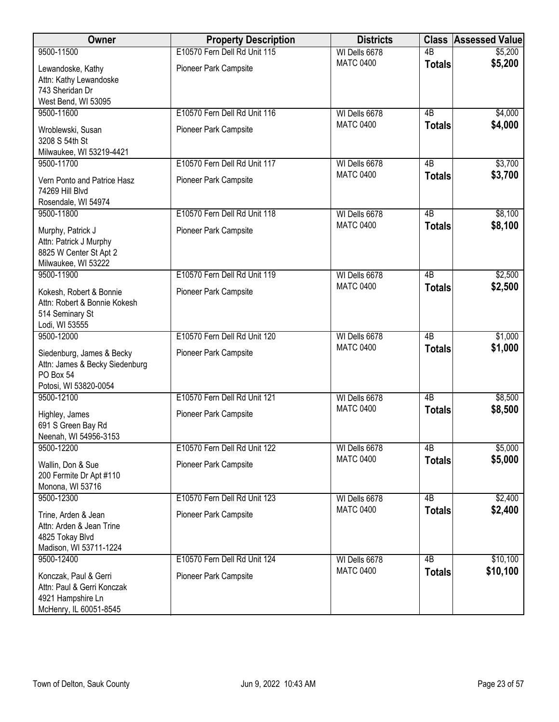| Owner                                                                                              | <b>Property Description</b>  | <b>Districts</b> |                 | <b>Class Assessed Value</b> |
|----------------------------------------------------------------------------------------------------|------------------------------|------------------|-----------------|-----------------------------|
| 9500-11500                                                                                         | E10570 Fern Dell Rd Unit 115 | WI Dells 6678    | $\overline{AB}$ | \$5,200                     |
| Lewandoske, Kathy<br>Attn: Kathy Lewandoske<br>743 Sheridan Dr                                     | Pioneer Park Campsite        | <b>MATC 0400</b> | <b>Totals</b>   | \$5,200                     |
| West Bend, WI 53095                                                                                |                              |                  |                 |                             |
| 9500-11600                                                                                         | E10570 Fern Dell Rd Unit 116 | WI Dells 6678    | $\overline{AB}$ | \$4,000                     |
| Wroblewski, Susan<br>3208 S 54th St<br>Milwaukee, WI 53219-4421                                    | Pioneer Park Campsite        | <b>MATC 0400</b> | <b>Totals</b>   | \$4,000                     |
| 9500-11700                                                                                         | E10570 Fern Dell Rd Unit 117 | WI Dells 6678    | 4B              | \$3,700                     |
| Vern Ponto and Patrice Hasz<br>74269 Hill Blvd<br>Rosendale, WI 54974                              | Pioneer Park Campsite        | <b>MATC 0400</b> | <b>Totals</b>   | \$3,700                     |
| 9500-11800                                                                                         | E10570 Fern Dell Rd Unit 118 | WI Dells 6678    | $\overline{AB}$ | \$8,100                     |
| Murphy, Patrick J<br>Attn: Patrick J Murphy<br>8825 W Center St Apt 2<br>Milwaukee, WI 53222       | Pioneer Park Campsite        | <b>MATC 0400</b> | <b>Totals</b>   | \$8,100                     |
| 9500-11900                                                                                         | E10570 Fern Dell Rd Unit 119 | WI Dells 6678    | $\overline{AB}$ | \$2,500                     |
| Kokesh, Robert & Bonnie<br>Attn: Robert & Bonnie Kokesh<br>514 Seminary St<br>Lodi, WI 53555       | Pioneer Park Campsite        | <b>MATC 0400</b> | <b>Totals</b>   | \$2,500                     |
| 9500-12000                                                                                         | E10570 Fern Dell Rd Unit 120 | WI Dells 6678    | $\overline{AB}$ | \$1,000                     |
| Siedenburg, James & Becky<br>Attn: James & Becky Siedenburg<br>PO Box 54<br>Potosi, WI 53820-0054  | Pioneer Park Campsite        | <b>MATC 0400</b> | <b>Totals</b>   | \$1,000                     |
| 9500-12100                                                                                         | E10570 Fern Dell Rd Unit 121 | WI Dells 6678    | $\overline{AB}$ | \$8,500                     |
| Highley, James<br>691 S Green Bay Rd<br>Neenah, WI 54956-3153                                      | Pioneer Park Campsite        | <b>MATC 0400</b> | <b>Totals</b>   | \$8,500                     |
| 9500-12200                                                                                         | E10570 Fern Dell Rd Unit 122 | WI Dells 6678    | 4B              | \$5,000                     |
| Wallin, Don & Sue<br>200 Fermite Dr Apt #110<br>Monona, WI 53716                                   | Pioneer Park Campsite        | <b>MATC 0400</b> | <b>Totals</b>   | \$5,000                     |
| 9500-12300                                                                                         | E10570 Fern Dell Rd Unit 123 | WI Dells 6678    | 4B              | \$2,400                     |
| Trine, Arden & Jean<br>Attn: Arden & Jean Trine<br>4825 Tokay Blvd<br>Madison, WI 53711-1224       | Pioneer Park Campsite        | <b>MATC 0400</b> | <b>Totals</b>   | \$2,400                     |
| 9500-12400                                                                                         | E10570 Fern Dell Rd Unit 124 | WI Dells 6678    | $\overline{AB}$ | \$10,100                    |
| Konczak, Paul & Gerri<br>Attn: Paul & Gerri Konczak<br>4921 Hampshire Ln<br>McHenry, IL 60051-8545 | Pioneer Park Campsite        | <b>MATC 0400</b> | <b>Totals</b>   | \$10,100                    |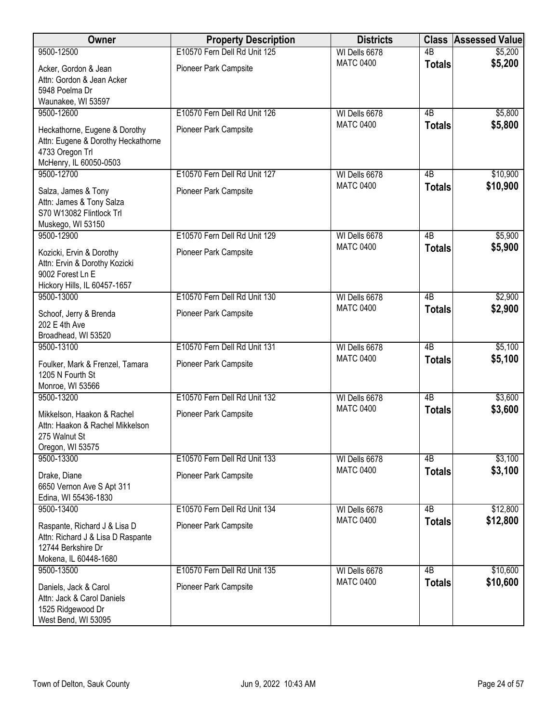| Owner                                                                                                            | <b>Property Description</b>  | <b>Districts</b> | <b>Class</b>    | <b>Assessed Value</b> |
|------------------------------------------------------------------------------------------------------------------|------------------------------|------------------|-----------------|-----------------------|
| 9500-12500                                                                                                       | E10570 Fern Dell Rd Unit 125 | WI Dells 6678    | $\overline{AB}$ | \$5,200               |
| Acker, Gordon & Jean                                                                                             | Pioneer Park Campsite        | <b>MATC 0400</b> | <b>Totals</b>   | \$5,200               |
| Attn: Gordon & Jean Acker                                                                                        |                              |                  |                 |                       |
| 5948 Poelma Dr                                                                                                   |                              |                  |                 |                       |
| Waunakee, WI 53597                                                                                               |                              |                  |                 |                       |
| 9500-12600                                                                                                       | E10570 Fern Dell Rd Unit 126 | WI Dells 6678    | 4B              | \$5,800               |
| Heckathorne, Eugene & Dorothy<br>Attn: Eugene & Dorothy Heckathorne<br>4733 Oregon Trl                           | Pioneer Park Campsite        | <b>MATC 0400</b> | <b>Totals</b>   | \$5,800               |
| McHenry, IL 60050-0503                                                                                           |                              |                  |                 |                       |
| 9500-12700                                                                                                       | E10570 Fern Dell Rd Unit 127 | WI Dells 6678    | 4B              | \$10,900              |
| Salza, James & Tony                                                                                              | Pioneer Park Campsite        | <b>MATC 0400</b> | <b>Totals</b>   | \$10,900              |
| Attn: James & Tony Salza<br>S70 W13082 Flintlock Trl<br>Muskego, WI 53150                                        |                              |                  |                 |                       |
| 9500-12900                                                                                                       | E10570 Fern Dell Rd Unit 129 | WI Dells 6678    | $\overline{AB}$ | \$5,900               |
| Kozicki, Ervin & Dorothy<br>Attn: Ervin & Dorothy Kozicki<br>9002 Forest Ln E<br>Hickory Hills, IL 60457-1657    | Pioneer Park Campsite        | <b>MATC 0400</b> | <b>Totals</b>   | \$5,900               |
| 9500-13000                                                                                                       | E10570 Fern Dell Rd Unit 130 | WI Dells 6678    | $\overline{AB}$ | \$2,900               |
| Schoof, Jerry & Brenda<br>202 E 4th Ave                                                                          | Pioneer Park Campsite        | <b>MATC 0400</b> | <b>Totals</b>   | \$2,900               |
| Broadhead, WI 53520                                                                                              |                              |                  |                 |                       |
| 9500-13100                                                                                                       | E10570 Fern Dell Rd Unit 131 | WI Dells 6678    | $\overline{AB}$ | \$5,100               |
| Foulker, Mark & Frenzel, Tamara<br>1205 N Fourth St<br>Monroe, WI 53566                                          | Pioneer Park Campsite        | <b>MATC 0400</b> | <b>Totals</b>   | \$5,100               |
| 9500-13200                                                                                                       | E10570 Fern Dell Rd Unit 132 | WI Dells 6678    | $\overline{AB}$ | \$3,600               |
| Mikkelson, Haakon & Rachel<br>Attn: Haakon & Rachel Mikkelson<br>275 Walnut St<br>Oregon, WI 53575               | Pioneer Park Campsite        | <b>MATC 0400</b> | <b>Totals</b>   | \$3,600               |
| 9500-13300                                                                                                       | E10570 Fern Dell Rd Unit 133 | WI Dells 6678    | 4B              | \$3,100               |
| Drake, Diane<br>6650 Vernon Ave S Apt 311<br>Edina, WI 55436-1830                                                | Pioneer Park Campsite        | <b>MATC 0400</b> | <b>Totals</b>   | \$3,100               |
| 9500-13400                                                                                                       | E10570 Fern Dell Rd Unit 134 | WI Dells 6678    | 4B              | \$12,800              |
| Raspante, Richard J & Lisa D<br>Attn: Richard J & Lisa D Raspante<br>12744 Berkshire Dr<br>Mokena, IL 60448-1680 | Pioneer Park Campsite        | <b>MATC 0400</b> | <b>Totals</b>   | \$12,800              |
| 9500-13500                                                                                                       | E10570 Fern Dell Rd Unit 135 | WI Dells 6678    | $\overline{AB}$ | \$10,600              |
| Daniels, Jack & Carol<br>Attn: Jack & Carol Daniels<br>1525 Ridgewood Dr<br>West Bend, WI 53095                  | Pioneer Park Campsite        | <b>MATC 0400</b> | <b>Totals</b>   | \$10,600              |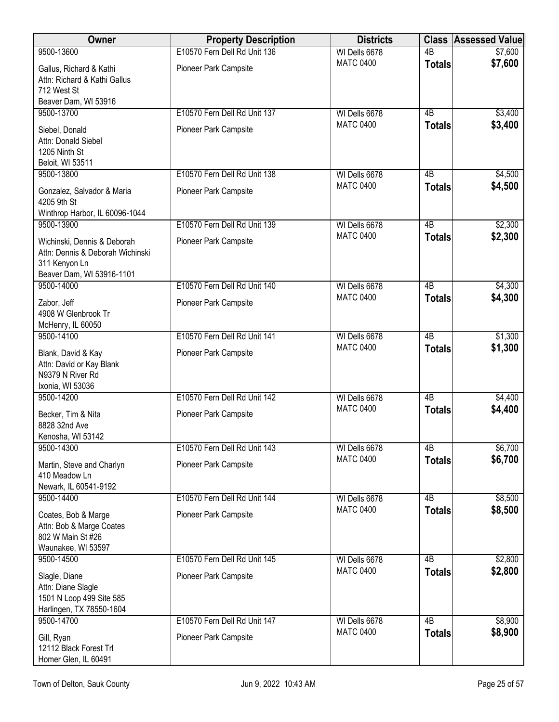| Owner                                                                                                         | <b>Property Description</b>  | <b>Districts</b>                  |                 | <b>Class Assessed Value</b> |
|---------------------------------------------------------------------------------------------------------------|------------------------------|-----------------------------------|-----------------|-----------------------------|
| 9500-13600                                                                                                    | E10570 Fern Dell Rd Unit 136 | WI Dells 6678                     | $\overline{AB}$ | \$7,600                     |
| Gallus, Richard & Kathi<br>Attn: Richard & Kathi Gallus<br>712 West St                                        | Pioneer Park Campsite        | <b>MATC 0400</b>                  | <b>Totals</b>   | \$7,600                     |
| Beaver Dam, WI 53916                                                                                          |                              |                                   |                 |                             |
| 9500-13700                                                                                                    | E10570 Fern Dell Rd Unit 137 | WI Dells 6678<br><b>MATC 0400</b> | 4B              | \$3,400                     |
| Siebel, Donald<br>Attn: Donald Siebel<br>1205 Ninth St<br>Beloit, WI 53511                                    | Pioneer Park Campsite        |                                   | <b>Totals</b>   | \$3,400                     |
| 9500-13800                                                                                                    | E10570 Fern Dell Rd Unit 138 | WI Dells 6678                     | 4B              | \$4,500                     |
| Gonzalez, Salvador & Maria<br>4205 9th St<br>Winthrop Harbor, IL 60096-1044                                   | Pioneer Park Campsite        | <b>MATC 0400</b>                  | <b>Totals</b>   | \$4,500                     |
| 9500-13900                                                                                                    | E10570 Fern Dell Rd Unit 139 | WI Dells 6678                     | $\overline{AB}$ | \$2,300                     |
| Wichinski, Dennis & Deborah<br>Attn: Dennis & Deborah Wichinski<br>311 Kenyon Ln<br>Beaver Dam, WI 53916-1101 | Pioneer Park Campsite        | <b>MATC 0400</b>                  | <b>Totals</b>   | \$2,300                     |
| 9500-14000                                                                                                    | E10570 Fern Dell Rd Unit 140 | WI Dells 6678                     | 4B              | \$4,300                     |
| Zabor, Jeff<br>4908 W Glenbrook Tr<br>McHenry, IL 60050                                                       | Pioneer Park Campsite        | <b>MATC 0400</b>                  | <b>Totals</b>   | \$4,300                     |
| 9500-14100                                                                                                    | E10570 Fern Dell Rd Unit 141 | WI Dells 6678                     | 4B              | \$1,300                     |
| Blank, David & Kay<br>Attn: David or Kay Blank<br>N9379 N River Rd<br>Ixonia, WI 53036                        | Pioneer Park Campsite        | <b>MATC 0400</b>                  | <b>Totals</b>   | \$1,300                     |
| 9500-14200                                                                                                    | E10570 Fern Dell Rd Unit 142 | WI Dells 6678                     | $\overline{AB}$ | \$4,400                     |
| Becker, Tim & Nita<br>8828 32nd Ave<br>Kenosha, WI 53142                                                      | Pioneer Park Campsite        | <b>MATC 0400</b>                  | <b>Totals</b>   | \$4,400                     |
| 9500-14300                                                                                                    | E10570 Fern Dell Rd Unit 143 | WI Dells 6678                     | $\overline{AB}$ | \$6,700                     |
| Martin, Steve and Charlyn<br>410 Meadow Ln<br>Newark, IL 60541-9192                                           | Pioneer Park Campsite        | <b>MATC 0400</b>                  | <b>Totals</b>   | \$6,700                     |
| 9500-14400                                                                                                    | E10570 Fern Dell Rd Unit 144 | WI Dells 6678                     | $\overline{AB}$ | \$8,500                     |
| Coates, Bob & Marge<br>Attn: Bob & Marge Coates<br>802 W Main St #26<br>Waunakee, WI 53597                    | Pioneer Park Campsite        | <b>MATC 0400</b>                  | <b>Totals</b>   | \$8,500                     |
| 9500-14500                                                                                                    | E10570 Fern Dell Rd Unit 145 | WI Dells 6678                     | 4B              | \$2,800                     |
| Slagle, Diane<br>Attn: Diane Slagle<br>1501 N Loop 499 Site 585<br>Harlingen, TX 78550-1604                   | Pioneer Park Campsite        | <b>MATC 0400</b>                  | <b>Totals</b>   | \$2,800                     |
| 9500-14700                                                                                                    | E10570 Fern Dell Rd Unit 147 | WI Dells 6678                     | $\overline{AB}$ | \$8,900                     |
| Gill, Ryan<br>12112 Black Forest Trl<br>Homer Glen, IL 60491                                                  | Pioneer Park Campsite        | <b>MATC 0400</b>                  | <b>Totals</b>   | \$8,900                     |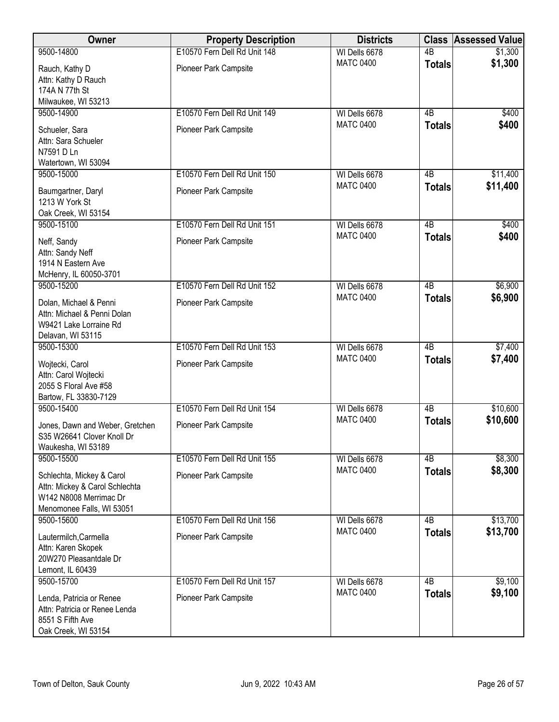| Owner                                                                                                              | <b>Property Description</b>  | <b>Districts</b> | <b>Class</b>    | <b>Assessed Value</b> |
|--------------------------------------------------------------------------------------------------------------------|------------------------------|------------------|-----------------|-----------------------|
| 9500-14800                                                                                                         | E10570 Fern Dell Rd Unit 148 | WI Dells 6678    | $\overline{AB}$ | \$1,300               |
| Rauch, Kathy D<br>Attn: Kathy D Rauch<br>174A N 77th St<br>Milwaukee, WI 53213                                     | Pioneer Park Campsite        | <b>MATC 0400</b> | <b>Totals</b>   | \$1,300               |
| 9500-14900                                                                                                         | E10570 Fern Dell Rd Unit 149 | WI Dells 6678    | 4B              | \$400                 |
| Schueler, Sara<br>Attn: Sara Schueler<br>N7591 D Ln<br>Watertown, WI 53094                                         | Pioneer Park Campsite        | <b>MATC 0400</b> | <b>Totals</b>   | \$400                 |
| 9500-15000                                                                                                         | E10570 Fern Dell Rd Unit 150 | WI Dells 6678    | 4B              | \$11,400              |
| Baumgartner, Daryl<br>1213 W York St<br>Oak Creek, WI 53154                                                        | Pioneer Park Campsite        | <b>MATC 0400</b> | <b>Totals</b>   | \$11,400              |
| 9500-15100                                                                                                         | E10570 Fern Dell Rd Unit 151 | WI Dells 6678    | $\overline{AB}$ | \$400                 |
| Neff, Sandy<br>Attn: Sandy Neff<br>1914 N Eastern Ave<br>McHenry, IL 60050-3701                                    | Pioneer Park Campsite        | <b>MATC 0400</b> | <b>Totals</b>   | \$400                 |
| 9500-15200                                                                                                         | E10570 Fern Dell Rd Unit 152 | WI Dells 6678    | $\overline{AB}$ | \$6,900               |
| Dolan, Michael & Penni<br>Attn: Michael & Penni Dolan<br>W9421 Lake Lorraine Rd<br>Delavan, WI 53115               | Pioneer Park Campsite        | <b>MATC 0400</b> | <b>Totals</b>   | \$6,900               |
| 9500-15300                                                                                                         | E10570 Fern Dell Rd Unit 153 | WI Dells 6678    | $\overline{AB}$ | \$7,400               |
| Wojtecki, Carol<br>Attn: Carol Wojtecki<br>2055 S Floral Ave #58<br>Bartow, FL 33830-7129                          | Pioneer Park Campsite        | <b>MATC 0400</b> | <b>Totals</b>   | \$7,400               |
| 9500-15400                                                                                                         | E10570 Fern Dell Rd Unit 154 | WI Dells 6678    | $\overline{AB}$ | \$10,600              |
| Jones, Dawn and Weber, Gretchen<br>S35 W26641 Clover Knoll Dr<br>Waukesha, WI 53189                                | Pioneer Park Campsite        | <b>MATC 0400</b> | <b>Totals</b>   | \$10,600              |
| 9500-15500                                                                                                         | E10570 Fern Dell Rd Unit 155 | WI Dells 6678    | 4B              | \$8,300               |
| Schlechta, Mickey & Carol<br>Attn: Mickey & Carol Schlechta<br>W142 N8008 Merrimac Dr<br>Menomonee Falls, WI 53051 | Pioneer Park Campsite        | <b>MATC 0400</b> | <b>Totals</b>   | \$8,300               |
| 9500-15600                                                                                                         | E10570 Fern Dell Rd Unit 156 | WI Dells 6678    | 4B              | \$13,700              |
| Lautermilch, Carmella<br>Attn: Karen Skopek<br>20W270 Pleasantdale Dr<br>Lemont, IL 60439                          | Pioneer Park Campsite        | <b>MATC 0400</b> | <b>Totals</b>   | \$13,700              |
| 9500-15700                                                                                                         | E10570 Fern Dell Rd Unit 157 | WI Dells 6678    | $\overline{AB}$ | \$9,100               |
| Lenda, Patricia or Renee<br>Attn: Patricia or Renee Lenda<br>8551 S Fifth Ave<br>Oak Creek, WI 53154               | Pioneer Park Campsite        | <b>MATC 0400</b> | <b>Totals</b>   | \$9,100               |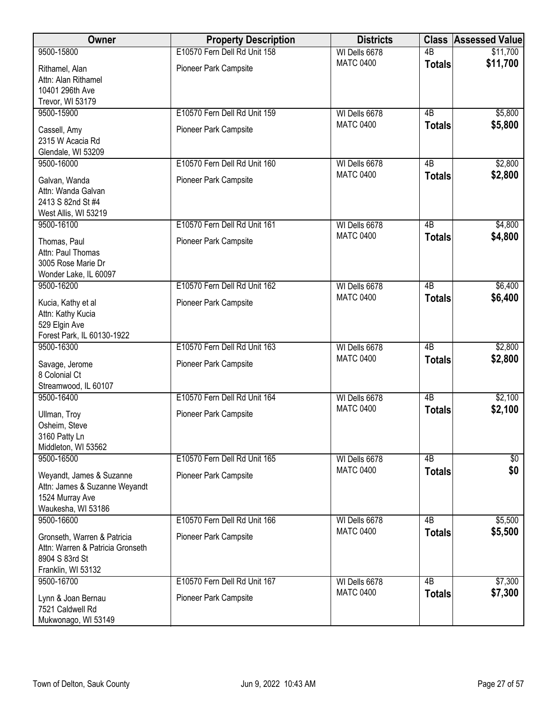| Owner                                                                                                   | <b>Property Description</b>  | <b>Districts</b> |                 | <b>Class Assessed Value</b> |
|---------------------------------------------------------------------------------------------------------|------------------------------|------------------|-----------------|-----------------------------|
| 9500-15800                                                                                              | E10570 Fern Dell Rd Unit 158 | WI Dells 6678    | $\overline{AB}$ | \$11,700                    |
| Rithamel, Alan<br>Attn: Alan Rithamel<br>10401 296th Ave                                                | Pioneer Park Campsite        | <b>MATC 0400</b> | <b>Totals</b>   | \$11,700                    |
| Trevor, WI 53179<br>9500-15900                                                                          | E10570 Fern Dell Rd Unit 159 | WI Dells 6678    | 4B              |                             |
| Cassell, Amy<br>2315 W Acacia Rd<br>Glendale, WI 53209                                                  | Pioneer Park Campsite        | <b>MATC 0400</b> | <b>Totals</b>   | \$5,800<br>\$5,800          |
| 9500-16000                                                                                              | E10570 Fern Dell Rd Unit 160 | WI Dells 6678    | 4B              | \$2,800                     |
| Galvan, Wanda<br>Attn: Wanda Galvan<br>2413 S 82nd St #4<br>West Allis, WI 53219                        | Pioneer Park Campsite        | <b>MATC 0400</b> | <b>Totals</b>   | \$2,800                     |
| 9500-16100                                                                                              | E10570 Fern Dell Rd Unit 161 | WI Dells 6678    | $\overline{AB}$ | \$4,800                     |
| Thomas, Paul<br>Attn: Paul Thomas<br>3005 Rose Marie Dr<br>Wonder Lake, IL 60097                        | Pioneer Park Campsite        | <b>MATC 0400</b> | <b>Totals</b>   | \$4,800                     |
| 9500-16200                                                                                              | E10570 Fern Dell Rd Unit 162 | WI Dells 6678    | $\overline{AB}$ | \$6,400                     |
| Kucia, Kathy et al<br>Attn: Kathy Kucia<br>529 Elgin Ave<br>Forest Park, IL 60130-1922                  | Pioneer Park Campsite        | <b>MATC 0400</b> | <b>Totals</b>   | \$6,400                     |
| 9500-16300                                                                                              | E10570 Fern Dell Rd Unit 163 | WI Dells 6678    | $\overline{AB}$ | \$2,800                     |
| Savage, Jerome<br>8 Colonial Ct<br>Streamwood, IL 60107                                                 | Pioneer Park Campsite        | <b>MATC 0400</b> | <b>Totals</b>   | \$2,800                     |
| 9500-16400                                                                                              | E10570 Fern Dell Rd Unit 164 | WI Dells 6678    | $\overline{AB}$ | \$2,100                     |
| Ullman, Troy<br>Osheim, Steve<br>3160 Patty Ln<br>Middleton, WI 53562                                   | Pioneer Park Campsite        | <b>MATC 0400</b> | <b>Totals</b>   | \$2,100                     |
| 9500-16500                                                                                              | E10570 Fern Dell Rd Unit 165 | WI Dells 6678    | 4B              | $\sqrt[6]{3}$               |
| Weyandt, James & Suzanne<br>Attn: James & Suzanne Weyandt<br>1524 Murray Ave<br>Waukesha, WI 53186      | Pioneer Park Campsite        | <b>MATC 0400</b> | <b>Totals</b>   | \$0                         |
| 9500-16600                                                                                              | E10570 Fern Dell Rd Unit 166 | WI Dells 6678    | 4B              | \$5,500                     |
| Gronseth, Warren & Patricia<br>Attn: Warren & Patricia Gronseth<br>8904 S 83rd St<br>Franklin, WI 53132 | Pioneer Park Campsite        | <b>MATC 0400</b> | <b>Totals</b>   | \$5,500                     |
| 9500-16700                                                                                              | E10570 Fern Dell Rd Unit 167 | WI Dells 6678    | $\overline{AB}$ | \$7,300                     |
| Lynn & Joan Bernau<br>7521 Caldwell Rd<br>Mukwonago, WI 53149                                           | Pioneer Park Campsite        | <b>MATC 0400</b> | <b>Totals</b>   | \$7,300                     |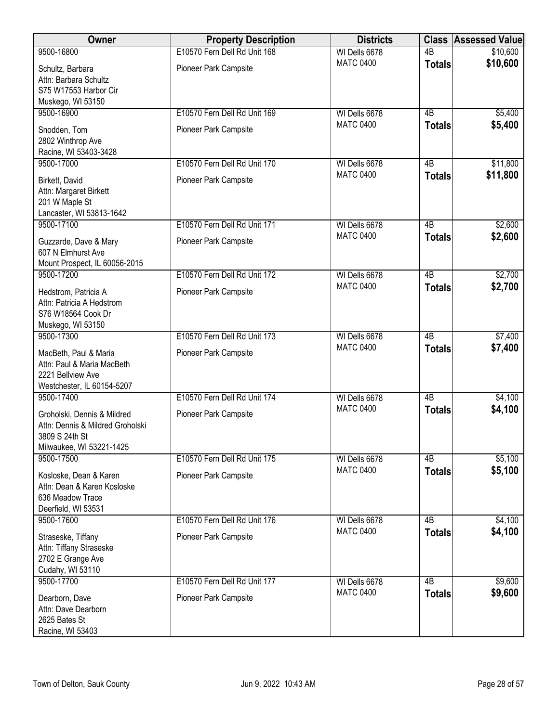| E10570 Fern Dell Rd Unit 168<br>9500-16800<br>$\overline{AB}$<br>\$10,600<br>WI Dells 6678<br>\$10,600<br><b>MATC 0400</b><br><b>Totals</b><br>Pioneer Park Campsite<br>Schultz, Barbara<br>Attn: Barbara Schultz<br>S75 W17553 Harbor Cir<br>Muskego, WI 53150<br>E10570 Fern Dell Rd Unit 169<br>9500-16900<br>WI Dells 6678<br>4B<br>\$5,400<br><b>MATC 0400</b><br>\$5,400<br><b>Totals</b><br>Pioneer Park Campsite<br>Snodden, Tom<br>2802 Winthrop Ave<br>Racine, WI 53403-3428<br>E10570 Fern Dell Rd Unit 170<br>9500-17000<br>4B<br>\$11,800<br>WI Dells 6678<br>\$11,800<br><b>MATC 0400</b><br><b>Totals</b><br>Pioneer Park Campsite<br>Birkett, David<br>Attn: Margaret Birkett<br>201 W Maple St<br>Lancaster, WI 53813-1642<br>9500-17100<br>E10570 Fern Dell Rd Unit 171<br>WI Dells 6678<br>$\overline{AB}$<br>\$2,600<br>\$2,600<br><b>MATC 0400</b><br><b>Totals</b><br>Pioneer Park Campsite<br>Guzzarde, Dave & Mary<br>607 N Elmhurst Ave<br>Mount Prospect, IL 60056-2015<br>E10570 Fern Dell Rd Unit 172<br>$\overline{AB}$<br>\$2,700<br>9500-17200<br>WI Dells 6678<br>\$2,700<br><b>MATC 0400</b><br><b>Totals</b><br>Pioneer Park Campsite<br>Hedstrom, Patricia A<br>Attn: Patricia A Hedstrom<br>S76 W18564 Cook Dr<br>Muskego, WI 53150<br>\$7,400<br>9500-17300<br>E10570 Fern Dell Rd Unit 173<br>$\overline{AB}$<br>WI Dells 6678<br><b>MATC 0400</b><br>\$7,400<br><b>Totals</b><br>Pioneer Park Campsite<br>MacBeth, Paul & Maria<br>Attn: Paul & Maria MacBeth<br>2221 Bellview Ave<br>Westchester, IL 60154-5207<br>E10570 Fern Dell Rd Unit 174<br>$\overline{AB}$<br>9500-17400<br>WI Dells 6678<br>\$4,100<br>\$4,100<br><b>MATC 0400</b><br><b>Totals</b><br>Pioneer Park Campsite<br>Groholski, Dennis & Mildred<br>Attn: Dennis & Mildred Groholski<br>3809 S 24th St<br>Milwaukee, WI 53221-1425<br>E10570 Fern Dell Rd Unit 175<br>4B<br>\$5,100<br>9500-17500<br>WI Dells 6678<br>\$5,100<br><b>MATC 0400</b><br><b>Totals</b><br>Pioneer Park Campsite<br>Kosloske, Dean & Karen<br>Attn: Dean & Karen Kosloske<br>636 Meadow Trace<br>Deerfield, WI 53531<br>\$4,100<br>E10570 Fern Dell Rd Unit 176<br>WI Dells 6678<br>4B<br>9500-17600<br>\$4,100<br><b>MATC 0400</b><br><b>Totals</b><br>Pioneer Park Campsite<br>Straseske, Tiffany<br>Attn: Tiffany Straseske<br>2702 E Grange Ave<br>Cudahy, WI 53110<br>9500-17700<br>E10570 Fern Dell Rd Unit 177<br>$\overline{AB}$<br>\$9,600<br>WI Dells 6678<br>\$9,600<br><b>MATC 0400</b><br><b>Totals</b><br>Pioneer Park Campsite<br>Dearborn, Dave<br>Attn: Dave Dearborn<br>2625 Bates St | Owner            | <b>Property Description</b> | <b>Districts</b> | <b>Class Assessed Value</b> |
|------------------------------------------------------------------------------------------------------------------------------------------------------------------------------------------------------------------------------------------------------------------------------------------------------------------------------------------------------------------------------------------------------------------------------------------------------------------------------------------------------------------------------------------------------------------------------------------------------------------------------------------------------------------------------------------------------------------------------------------------------------------------------------------------------------------------------------------------------------------------------------------------------------------------------------------------------------------------------------------------------------------------------------------------------------------------------------------------------------------------------------------------------------------------------------------------------------------------------------------------------------------------------------------------------------------------------------------------------------------------------------------------------------------------------------------------------------------------------------------------------------------------------------------------------------------------------------------------------------------------------------------------------------------------------------------------------------------------------------------------------------------------------------------------------------------------------------------------------------------------------------------------------------------------------------------------------------------------------------------------------------------------------------------------------------------------------------------------------------------------------------------------------------------------------------------------------------------------------------------------------------------------------------------------------------------------------------------------------------------------------------------------------------------------------------------------------------------------------------------------------------------------------------------------------------------------------------------------|------------------|-----------------------------|------------------|-----------------------------|
|                                                                                                                                                                                                                                                                                                                                                                                                                                                                                                                                                                                                                                                                                                                                                                                                                                                                                                                                                                                                                                                                                                                                                                                                                                                                                                                                                                                                                                                                                                                                                                                                                                                                                                                                                                                                                                                                                                                                                                                                                                                                                                                                                                                                                                                                                                                                                                                                                                                                                                                                                                                                |                  |                             |                  |                             |
|                                                                                                                                                                                                                                                                                                                                                                                                                                                                                                                                                                                                                                                                                                                                                                                                                                                                                                                                                                                                                                                                                                                                                                                                                                                                                                                                                                                                                                                                                                                                                                                                                                                                                                                                                                                                                                                                                                                                                                                                                                                                                                                                                                                                                                                                                                                                                                                                                                                                                                                                                                                                |                  |                             |                  |                             |
|                                                                                                                                                                                                                                                                                                                                                                                                                                                                                                                                                                                                                                                                                                                                                                                                                                                                                                                                                                                                                                                                                                                                                                                                                                                                                                                                                                                                                                                                                                                                                                                                                                                                                                                                                                                                                                                                                                                                                                                                                                                                                                                                                                                                                                                                                                                                                                                                                                                                                                                                                                                                |                  |                             |                  |                             |
|                                                                                                                                                                                                                                                                                                                                                                                                                                                                                                                                                                                                                                                                                                                                                                                                                                                                                                                                                                                                                                                                                                                                                                                                                                                                                                                                                                                                                                                                                                                                                                                                                                                                                                                                                                                                                                                                                                                                                                                                                                                                                                                                                                                                                                                                                                                                                                                                                                                                                                                                                                                                |                  |                             |                  |                             |
|                                                                                                                                                                                                                                                                                                                                                                                                                                                                                                                                                                                                                                                                                                                                                                                                                                                                                                                                                                                                                                                                                                                                                                                                                                                                                                                                                                                                                                                                                                                                                                                                                                                                                                                                                                                                                                                                                                                                                                                                                                                                                                                                                                                                                                                                                                                                                                                                                                                                                                                                                                                                |                  |                             |                  |                             |
|                                                                                                                                                                                                                                                                                                                                                                                                                                                                                                                                                                                                                                                                                                                                                                                                                                                                                                                                                                                                                                                                                                                                                                                                                                                                                                                                                                                                                                                                                                                                                                                                                                                                                                                                                                                                                                                                                                                                                                                                                                                                                                                                                                                                                                                                                                                                                                                                                                                                                                                                                                                                |                  |                             |                  |                             |
|                                                                                                                                                                                                                                                                                                                                                                                                                                                                                                                                                                                                                                                                                                                                                                                                                                                                                                                                                                                                                                                                                                                                                                                                                                                                                                                                                                                                                                                                                                                                                                                                                                                                                                                                                                                                                                                                                                                                                                                                                                                                                                                                                                                                                                                                                                                                                                                                                                                                                                                                                                                                |                  |                             |                  |                             |
|                                                                                                                                                                                                                                                                                                                                                                                                                                                                                                                                                                                                                                                                                                                                                                                                                                                                                                                                                                                                                                                                                                                                                                                                                                                                                                                                                                                                                                                                                                                                                                                                                                                                                                                                                                                                                                                                                                                                                                                                                                                                                                                                                                                                                                                                                                                                                                                                                                                                                                                                                                                                |                  |                             |                  |                             |
|                                                                                                                                                                                                                                                                                                                                                                                                                                                                                                                                                                                                                                                                                                                                                                                                                                                                                                                                                                                                                                                                                                                                                                                                                                                                                                                                                                                                                                                                                                                                                                                                                                                                                                                                                                                                                                                                                                                                                                                                                                                                                                                                                                                                                                                                                                                                                                                                                                                                                                                                                                                                |                  |                             |                  |                             |
|                                                                                                                                                                                                                                                                                                                                                                                                                                                                                                                                                                                                                                                                                                                                                                                                                                                                                                                                                                                                                                                                                                                                                                                                                                                                                                                                                                                                                                                                                                                                                                                                                                                                                                                                                                                                                                                                                                                                                                                                                                                                                                                                                                                                                                                                                                                                                                                                                                                                                                                                                                                                |                  |                             |                  |                             |
|                                                                                                                                                                                                                                                                                                                                                                                                                                                                                                                                                                                                                                                                                                                                                                                                                                                                                                                                                                                                                                                                                                                                                                                                                                                                                                                                                                                                                                                                                                                                                                                                                                                                                                                                                                                                                                                                                                                                                                                                                                                                                                                                                                                                                                                                                                                                                                                                                                                                                                                                                                                                |                  |                             |                  |                             |
|                                                                                                                                                                                                                                                                                                                                                                                                                                                                                                                                                                                                                                                                                                                                                                                                                                                                                                                                                                                                                                                                                                                                                                                                                                                                                                                                                                                                                                                                                                                                                                                                                                                                                                                                                                                                                                                                                                                                                                                                                                                                                                                                                                                                                                                                                                                                                                                                                                                                                                                                                                                                |                  |                             |                  |                             |
|                                                                                                                                                                                                                                                                                                                                                                                                                                                                                                                                                                                                                                                                                                                                                                                                                                                                                                                                                                                                                                                                                                                                                                                                                                                                                                                                                                                                                                                                                                                                                                                                                                                                                                                                                                                                                                                                                                                                                                                                                                                                                                                                                                                                                                                                                                                                                                                                                                                                                                                                                                                                |                  |                             |                  |                             |
|                                                                                                                                                                                                                                                                                                                                                                                                                                                                                                                                                                                                                                                                                                                                                                                                                                                                                                                                                                                                                                                                                                                                                                                                                                                                                                                                                                                                                                                                                                                                                                                                                                                                                                                                                                                                                                                                                                                                                                                                                                                                                                                                                                                                                                                                                                                                                                                                                                                                                                                                                                                                |                  |                             |                  |                             |
|                                                                                                                                                                                                                                                                                                                                                                                                                                                                                                                                                                                                                                                                                                                                                                                                                                                                                                                                                                                                                                                                                                                                                                                                                                                                                                                                                                                                                                                                                                                                                                                                                                                                                                                                                                                                                                                                                                                                                                                                                                                                                                                                                                                                                                                                                                                                                                                                                                                                                                                                                                                                |                  |                             |                  |                             |
|                                                                                                                                                                                                                                                                                                                                                                                                                                                                                                                                                                                                                                                                                                                                                                                                                                                                                                                                                                                                                                                                                                                                                                                                                                                                                                                                                                                                                                                                                                                                                                                                                                                                                                                                                                                                                                                                                                                                                                                                                                                                                                                                                                                                                                                                                                                                                                                                                                                                                                                                                                                                |                  |                             |                  |                             |
|                                                                                                                                                                                                                                                                                                                                                                                                                                                                                                                                                                                                                                                                                                                                                                                                                                                                                                                                                                                                                                                                                                                                                                                                                                                                                                                                                                                                                                                                                                                                                                                                                                                                                                                                                                                                                                                                                                                                                                                                                                                                                                                                                                                                                                                                                                                                                                                                                                                                                                                                                                                                |                  |                             |                  |                             |
|                                                                                                                                                                                                                                                                                                                                                                                                                                                                                                                                                                                                                                                                                                                                                                                                                                                                                                                                                                                                                                                                                                                                                                                                                                                                                                                                                                                                                                                                                                                                                                                                                                                                                                                                                                                                                                                                                                                                                                                                                                                                                                                                                                                                                                                                                                                                                                                                                                                                                                                                                                                                |                  |                             |                  |                             |
|                                                                                                                                                                                                                                                                                                                                                                                                                                                                                                                                                                                                                                                                                                                                                                                                                                                                                                                                                                                                                                                                                                                                                                                                                                                                                                                                                                                                                                                                                                                                                                                                                                                                                                                                                                                                                                                                                                                                                                                                                                                                                                                                                                                                                                                                                                                                                                                                                                                                                                                                                                                                |                  |                             |                  |                             |
|                                                                                                                                                                                                                                                                                                                                                                                                                                                                                                                                                                                                                                                                                                                                                                                                                                                                                                                                                                                                                                                                                                                                                                                                                                                                                                                                                                                                                                                                                                                                                                                                                                                                                                                                                                                                                                                                                                                                                                                                                                                                                                                                                                                                                                                                                                                                                                                                                                                                                                                                                                                                |                  |                             |                  |                             |
|                                                                                                                                                                                                                                                                                                                                                                                                                                                                                                                                                                                                                                                                                                                                                                                                                                                                                                                                                                                                                                                                                                                                                                                                                                                                                                                                                                                                                                                                                                                                                                                                                                                                                                                                                                                                                                                                                                                                                                                                                                                                                                                                                                                                                                                                                                                                                                                                                                                                                                                                                                                                |                  |                             |                  |                             |
|                                                                                                                                                                                                                                                                                                                                                                                                                                                                                                                                                                                                                                                                                                                                                                                                                                                                                                                                                                                                                                                                                                                                                                                                                                                                                                                                                                                                                                                                                                                                                                                                                                                                                                                                                                                                                                                                                                                                                                                                                                                                                                                                                                                                                                                                                                                                                                                                                                                                                                                                                                                                |                  |                             |                  |                             |
|                                                                                                                                                                                                                                                                                                                                                                                                                                                                                                                                                                                                                                                                                                                                                                                                                                                                                                                                                                                                                                                                                                                                                                                                                                                                                                                                                                                                                                                                                                                                                                                                                                                                                                                                                                                                                                                                                                                                                                                                                                                                                                                                                                                                                                                                                                                                                                                                                                                                                                                                                                                                |                  |                             |                  |                             |
|                                                                                                                                                                                                                                                                                                                                                                                                                                                                                                                                                                                                                                                                                                                                                                                                                                                                                                                                                                                                                                                                                                                                                                                                                                                                                                                                                                                                                                                                                                                                                                                                                                                                                                                                                                                                                                                                                                                                                                                                                                                                                                                                                                                                                                                                                                                                                                                                                                                                                                                                                                                                |                  |                             |                  |                             |
|                                                                                                                                                                                                                                                                                                                                                                                                                                                                                                                                                                                                                                                                                                                                                                                                                                                                                                                                                                                                                                                                                                                                                                                                                                                                                                                                                                                                                                                                                                                                                                                                                                                                                                                                                                                                                                                                                                                                                                                                                                                                                                                                                                                                                                                                                                                                                                                                                                                                                                                                                                                                |                  |                             |                  |                             |
|                                                                                                                                                                                                                                                                                                                                                                                                                                                                                                                                                                                                                                                                                                                                                                                                                                                                                                                                                                                                                                                                                                                                                                                                                                                                                                                                                                                                                                                                                                                                                                                                                                                                                                                                                                                                                                                                                                                                                                                                                                                                                                                                                                                                                                                                                                                                                                                                                                                                                                                                                                                                |                  |                             |                  |                             |
|                                                                                                                                                                                                                                                                                                                                                                                                                                                                                                                                                                                                                                                                                                                                                                                                                                                                                                                                                                                                                                                                                                                                                                                                                                                                                                                                                                                                                                                                                                                                                                                                                                                                                                                                                                                                                                                                                                                                                                                                                                                                                                                                                                                                                                                                                                                                                                                                                                                                                                                                                                                                |                  |                             |                  |                             |
|                                                                                                                                                                                                                                                                                                                                                                                                                                                                                                                                                                                                                                                                                                                                                                                                                                                                                                                                                                                                                                                                                                                                                                                                                                                                                                                                                                                                                                                                                                                                                                                                                                                                                                                                                                                                                                                                                                                                                                                                                                                                                                                                                                                                                                                                                                                                                                                                                                                                                                                                                                                                |                  |                             |                  |                             |
|                                                                                                                                                                                                                                                                                                                                                                                                                                                                                                                                                                                                                                                                                                                                                                                                                                                                                                                                                                                                                                                                                                                                                                                                                                                                                                                                                                                                                                                                                                                                                                                                                                                                                                                                                                                                                                                                                                                                                                                                                                                                                                                                                                                                                                                                                                                                                                                                                                                                                                                                                                                                |                  |                             |                  |                             |
|                                                                                                                                                                                                                                                                                                                                                                                                                                                                                                                                                                                                                                                                                                                                                                                                                                                                                                                                                                                                                                                                                                                                                                                                                                                                                                                                                                                                                                                                                                                                                                                                                                                                                                                                                                                                                                                                                                                                                                                                                                                                                                                                                                                                                                                                                                                                                                                                                                                                                                                                                                                                |                  |                             |                  |                             |
|                                                                                                                                                                                                                                                                                                                                                                                                                                                                                                                                                                                                                                                                                                                                                                                                                                                                                                                                                                                                                                                                                                                                                                                                                                                                                                                                                                                                                                                                                                                                                                                                                                                                                                                                                                                                                                                                                                                                                                                                                                                                                                                                                                                                                                                                                                                                                                                                                                                                                                                                                                                                |                  |                             |                  |                             |
|                                                                                                                                                                                                                                                                                                                                                                                                                                                                                                                                                                                                                                                                                                                                                                                                                                                                                                                                                                                                                                                                                                                                                                                                                                                                                                                                                                                                                                                                                                                                                                                                                                                                                                                                                                                                                                                                                                                                                                                                                                                                                                                                                                                                                                                                                                                                                                                                                                                                                                                                                                                                |                  |                             |                  |                             |
|                                                                                                                                                                                                                                                                                                                                                                                                                                                                                                                                                                                                                                                                                                                                                                                                                                                                                                                                                                                                                                                                                                                                                                                                                                                                                                                                                                                                                                                                                                                                                                                                                                                                                                                                                                                                                                                                                                                                                                                                                                                                                                                                                                                                                                                                                                                                                                                                                                                                                                                                                                                                |                  |                             |                  |                             |
|                                                                                                                                                                                                                                                                                                                                                                                                                                                                                                                                                                                                                                                                                                                                                                                                                                                                                                                                                                                                                                                                                                                                                                                                                                                                                                                                                                                                                                                                                                                                                                                                                                                                                                                                                                                                                                                                                                                                                                                                                                                                                                                                                                                                                                                                                                                                                                                                                                                                                                                                                                                                |                  |                             |                  |                             |
|                                                                                                                                                                                                                                                                                                                                                                                                                                                                                                                                                                                                                                                                                                                                                                                                                                                                                                                                                                                                                                                                                                                                                                                                                                                                                                                                                                                                                                                                                                                                                                                                                                                                                                                                                                                                                                                                                                                                                                                                                                                                                                                                                                                                                                                                                                                                                                                                                                                                                                                                                                                                |                  |                             |                  |                             |
|                                                                                                                                                                                                                                                                                                                                                                                                                                                                                                                                                                                                                                                                                                                                                                                                                                                                                                                                                                                                                                                                                                                                                                                                                                                                                                                                                                                                                                                                                                                                                                                                                                                                                                                                                                                                                                                                                                                                                                                                                                                                                                                                                                                                                                                                                                                                                                                                                                                                                                                                                                                                |                  |                             |                  |                             |
|                                                                                                                                                                                                                                                                                                                                                                                                                                                                                                                                                                                                                                                                                                                                                                                                                                                                                                                                                                                                                                                                                                                                                                                                                                                                                                                                                                                                                                                                                                                                                                                                                                                                                                                                                                                                                                                                                                                                                                                                                                                                                                                                                                                                                                                                                                                                                                                                                                                                                                                                                                                                |                  |                             |                  |                             |
|                                                                                                                                                                                                                                                                                                                                                                                                                                                                                                                                                                                                                                                                                                                                                                                                                                                                                                                                                                                                                                                                                                                                                                                                                                                                                                                                                                                                                                                                                                                                                                                                                                                                                                                                                                                                                                                                                                                                                                                                                                                                                                                                                                                                                                                                                                                                                                                                                                                                                                                                                                                                |                  |                             |                  |                             |
|                                                                                                                                                                                                                                                                                                                                                                                                                                                                                                                                                                                                                                                                                                                                                                                                                                                                                                                                                                                                                                                                                                                                                                                                                                                                                                                                                                                                                                                                                                                                                                                                                                                                                                                                                                                                                                                                                                                                                                                                                                                                                                                                                                                                                                                                                                                                                                                                                                                                                                                                                                                                |                  |                             |                  |                             |
|                                                                                                                                                                                                                                                                                                                                                                                                                                                                                                                                                                                                                                                                                                                                                                                                                                                                                                                                                                                                                                                                                                                                                                                                                                                                                                                                                                                                                                                                                                                                                                                                                                                                                                                                                                                                                                                                                                                                                                                                                                                                                                                                                                                                                                                                                                                                                                                                                                                                                                                                                                                                |                  |                             |                  |                             |
|                                                                                                                                                                                                                                                                                                                                                                                                                                                                                                                                                                                                                                                                                                                                                                                                                                                                                                                                                                                                                                                                                                                                                                                                                                                                                                                                                                                                                                                                                                                                                                                                                                                                                                                                                                                                                                                                                                                                                                                                                                                                                                                                                                                                                                                                                                                                                                                                                                                                                                                                                                                                |                  |                             |                  |                             |
|                                                                                                                                                                                                                                                                                                                                                                                                                                                                                                                                                                                                                                                                                                                                                                                                                                                                                                                                                                                                                                                                                                                                                                                                                                                                                                                                                                                                                                                                                                                                                                                                                                                                                                                                                                                                                                                                                                                                                                                                                                                                                                                                                                                                                                                                                                                                                                                                                                                                                                                                                                                                |                  |                             |                  |                             |
|                                                                                                                                                                                                                                                                                                                                                                                                                                                                                                                                                                                                                                                                                                                                                                                                                                                                                                                                                                                                                                                                                                                                                                                                                                                                                                                                                                                                                                                                                                                                                                                                                                                                                                                                                                                                                                                                                                                                                                                                                                                                                                                                                                                                                                                                                                                                                                                                                                                                                                                                                                                                |                  |                             |                  |                             |
|                                                                                                                                                                                                                                                                                                                                                                                                                                                                                                                                                                                                                                                                                                                                                                                                                                                                                                                                                                                                                                                                                                                                                                                                                                                                                                                                                                                                                                                                                                                                                                                                                                                                                                                                                                                                                                                                                                                                                                                                                                                                                                                                                                                                                                                                                                                                                                                                                                                                                                                                                                                                |                  |                             |                  |                             |
|                                                                                                                                                                                                                                                                                                                                                                                                                                                                                                                                                                                                                                                                                                                                                                                                                                                                                                                                                                                                                                                                                                                                                                                                                                                                                                                                                                                                                                                                                                                                                                                                                                                                                                                                                                                                                                                                                                                                                                                                                                                                                                                                                                                                                                                                                                                                                                                                                                                                                                                                                                                                |                  |                             |                  |                             |
|                                                                                                                                                                                                                                                                                                                                                                                                                                                                                                                                                                                                                                                                                                                                                                                                                                                                                                                                                                                                                                                                                                                                                                                                                                                                                                                                                                                                                                                                                                                                                                                                                                                                                                                                                                                                                                                                                                                                                                                                                                                                                                                                                                                                                                                                                                                                                                                                                                                                                                                                                                                                | Racine, WI 53403 |                             |                  |                             |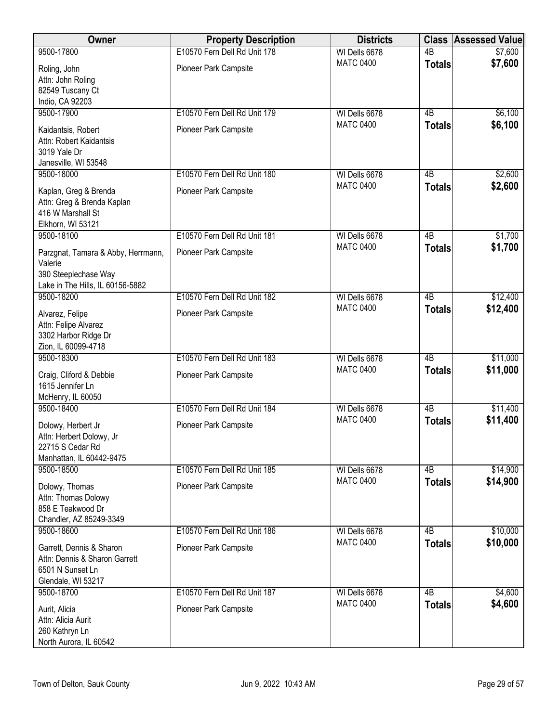| <b>Owner</b>                                                                                              | <b>Property Description</b>  | <b>Districts</b> | <b>Class</b>    | <b>Assessed Value</b> |
|-----------------------------------------------------------------------------------------------------------|------------------------------|------------------|-----------------|-----------------------|
| 9500-17800                                                                                                | E10570 Fern Dell Rd Unit 178 | WI Dells 6678    | $\overline{AB}$ | \$7,600               |
| Roling, John<br>Attn: John Roling<br>82549 Tuscany Ct                                                     | Pioneer Park Campsite        | <b>MATC 0400</b> | <b>Totals</b>   | \$7,600               |
| Indio, CA 92203<br>9500-17900                                                                             | E10570 Fern Dell Rd Unit 179 | WI Dells 6678    | 4B              | \$6,100               |
| Kaidantsis, Robert<br>Attn: Robert Kaidantsis<br>3019 Yale Dr<br>Janesville, WI 53548                     | Pioneer Park Campsite        | <b>MATC 0400</b> | <b>Totals</b>   | \$6,100               |
| 9500-18000                                                                                                | E10570 Fern Dell Rd Unit 180 | WI Dells 6678    | 4 <sub>B</sub>  | \$2,600               |
| Kaplan, Greg & Brenda<br>Attn: Greg & Brenda Kaplan<br>416 W Marshall St<br>Elkhorn, WI 53121             | Pioneer Park Campsite        | <b>MATC 0400</b> | <b>Totals</b>   | \$2,600               |
| 9500-18100                                                                                                | E10570 Fern Dell Rd Unit 181 | WI Dells 6678    | $\overline{AB}$ | \$1,700               |
| Parzgnat, Tamara & Abby, Herrmann,<br>Valerie<br>390 Steeplechase Way<br>Lake in The Hills, IL 60156-5882 | Pioneer Park Campsite        | <b>MATC 0400</b> | <b>Totals</b>   | \$1,700               |
| 9500-18200                                                                                                | E10570 Fern Dell Rd Unit 182 | WI Dells 6678    | $\overline{AB}$ | \$12,400              |
| Alvarez, Felipe<br>Attn: Felipe Alvarez<br>3302 Harbor Ridge Dr<br>Zion, IL 60099-4718                    | Pioneer Park Campsite        | <b>MATC 0400</b> | <b>Totals</b>   | \$12,400              |
| 9500-18300                                                                                                | E10570 Fern Dell Rd Unit 183 | WI Dells 6678    | $\overline{AB}$ | \$11,000              |
| Craig, Cliford & Debbie<br>1615 Jennifer Ln<br>McHenry, IL 60050                                          | Pioneer Park Campsite        | <b>MATC 0400</b> | <b>Totals</b>   | \$11,000              |
| 9500-18400                                                                                                | E10570 Fern Dell Rd Unit 184 | WI Dells 6678    | $\overline{AB}$ | \$11,400              |
| Dolowy, Herbert Jr<br>Attn: Herbert Dolowy, Jr<br>22715 S Cedar Rd<br>Manhattan, IL 60442-9475            | <b>Pioneer Park Campsite</b> | <b>MATC 0400</b> | <b>Totals</b>   | \$11,400              |
| 9500-18500                                                                                                | E10570 Fern Dell Rd Unit 185 | WI Dells 6678    | 4B              | \$14,900              |
| Dolowy, Thomas<br>Attn: Thomas Dolowy<br>858 E Teakwood Dr<br>Chandler, AZ 85249-3349                     | Pioneer Park Campsite        | <b>MATC 0400</b> | <b>Totals</b>   | \$14,900              |
| 9500-18600                                                                                                | E10570 Fern Dell Rd Unit 186 | WI Dells 6678    | $\overline{AB}$ | \$10,000              |
| Garrett, Dennis & Sharon<br>Attn: Dennis & Sharon Garrett<br>6501 N Sunset Ln<br>Glendale, WI 53217       | Pioneer Park Campsite        | <b>MATC 0400</b> | <b>Totals</b>   | \$10,000              |
| 9500-18700                                                                                                | E10570 Fern Dell Rd Unit 187 | WI Dells 6678    | $\overline{AB}$ | \$4,600               |
| Aurit, Alicia<br>Attn: Alicia Aurit<br>260 Kathryn Ln<br>North Aurora, IL 60542                           | Pioneer Park Campsite        | <b>MATC 0400</b> | <b>Totals</b>   | \$4,600               |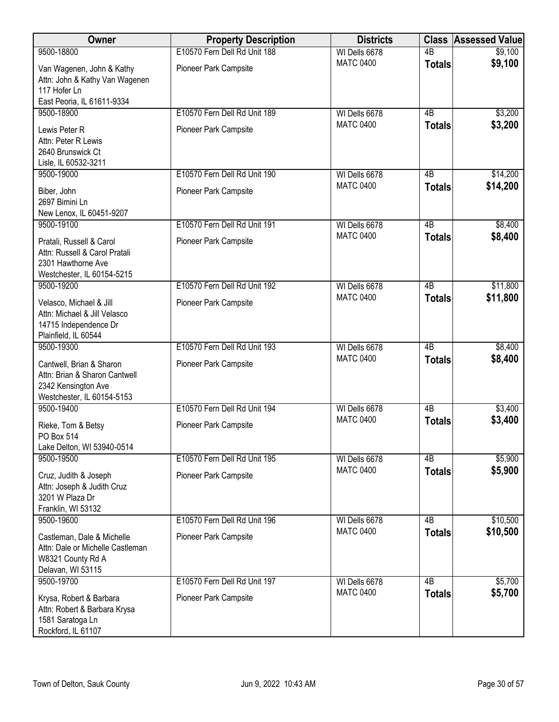| Owner                                                                                                          | <b>Property Description</b>  | <b>Districts</b> | <b>Class</b>    | <b>Assessed Value</b> |
|----------------------------------------------------------------------------------------------------------------|------------------------------|------------------|-----------------|-----------------------|
| 9500-18800                                                                                                     | E10570 Fern Dell Rd Unit 188 | WI Dells 6678    | 4B              | \$9,100               |
| Van Wagenen, John & Kathy<br>Attn: John & Kathy Van Wagenen<br>117 Hofer Ln<br>East Peoria, IL 61611-9334      | Pioneer Park Campsite        | <b>MATC 0400</b> | <b>Totals</b>   | \$9,100               |
| 9500-18900                                                                                                     | E10570 Fern Dell Rd Unit 189 | WI Dells 6678    | 4B              | \$3,200               |
| Lewis Peter R<br>Attn: Peter R Lewis<br>2640 Brunswick Ct<br>Lisle, IL 60532-3211                              | Pioneer Park Campsite        | <b>MATC 0400</b> | <b>Totals</b>   | \$3,200               |
| 9500-19000                                                                                                     | E10570 Fern Dell Rd Unit 190 | WI Dells 6678    | 4B              | \$14,200              |
| Biber, John<br>2697 Bimini Ln<br>New Lenox, IL 60451-9207                                                      | Pioneer Park Campsite        | <b>MATC 0400</b> | <b>Totals</b>   | \$14,200              |
| 9500-19100                                                                                                     | E10570 Fern Dell Rd Unit 191 | WI Dells 6678    | 4B              | \$8,400               |
| Pratali, Russell & Carol<br>Attn: Russell & Carol Pratali<br>2301 Hawthorne Ave<br>Westchester, IL 60154-5215  | Pioneer Park Campsite        | <b>MATC 0400</b> | <b>Totals</b>   | \$8,400               |
| 9500-19200                                                                                                     | E10570 Fern Dell Rd Unit 192 | WI Dells 6678    | $\overline{AB}$ | \$11,800              |
| Velasco, Michael & Jill<br>Attn: Michael & Jill Velasco<br>14715 Independence Dr<br>Plainfield, IL 60544       | Pioneer Park Campsite        | <b>MATC 0400</b> | <b>Totals</b>   | \$11,800              |
| 9500-19300                                                                                                     | E10570 Fern Dell Rd Unit 193 | WI Dells 6678    | $\overline{AB}$ | \$8,400               |
| Cantwell, Brian & Sharon<br>Attn: Brian & Sharon Cantwell<br>2342 Kensington Ave<br>Westchester, IL 60154-5153 | Pioneer Park Campsite        | <b>MATC 0400</b> | <b>Totals</b>   | \$8,400               |
| 9500-19400                                                                                                     | E10570 Fern Dell Rd Unit 194 | WI Dells 6678    | 4B              | \$3,400               |
| Rieke, Tom & Betsy<br>PO Box 514<br>Lake Delton, WI 53940-0514                                                 | Pioneer Park Campsite        | <b>MATC 0400</b> | <b>Totals</b>   | \$3,400               |
| 9500-19500                                                                                                     | E10570 Fern Dell Rd Unit 195 | WI Dells 6678    | 4B              | \$5,900               |
| Cruz, Judith & Joseph<br>Attn: Joseph & Judith Cruz<br>3201 W Plaza Dr<br>Franklin, WI 53132                   | Pioneer Park Campsite        | <b>MATC 0400</b> | <b>Totals</b>   | \$5,900               |
| 9500-19600                                                                                                     | E10570 Fern Dell Rd Unit 196 | WI Dells 6678    | 4B              | \$10,500              |
| Castleman, Dale & Michelle<br>Attn: Dale or Michelle Castleman<br>W8321 County Rd A<br>Delavan, WI 53115       | Pioneer Park Campsite        | <b>MATC 0400</b> | <b>Totals</b>   | \$10,500              |
| 9500-19700                                                                                                     | E10570 Fern Dell Rd Unit 197 | WI Dells 6678    | $\overline{AB}$ | \$5,700               |
| Krysa, Robert & Barbara<br>Attn: Robert & Barbara Krysa<br>1581 Saratoga Ln<br>Rockford, IL 61107              | Pioneer Park Campsite        | <b>MATC 0400</b> | <b>Totals</b>   | \$5,700               |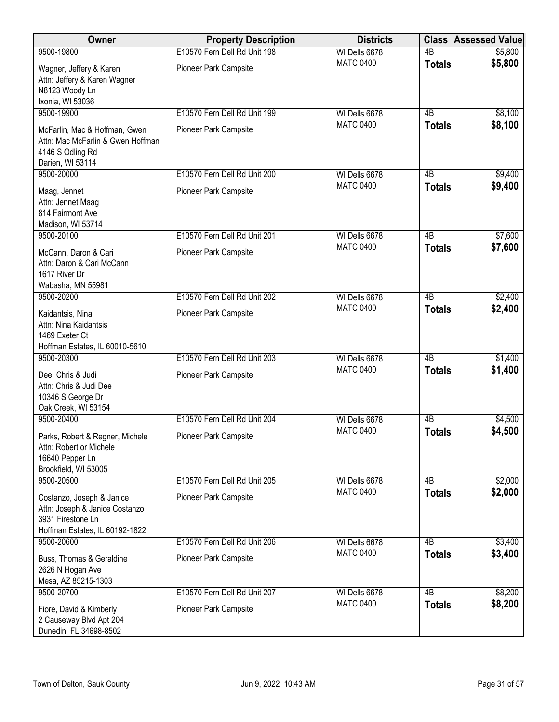| Owner                                                                                                              | <b>Property Description</b>  | <b>Districts</b> | <b>Class</b>    | <b>Assessed Value</b> |
|--------------------------------------------------------------------------------------------------------------------|------------------------------|------------------|-----------------|-----------------------|
| 9500-19800                                                                                                         | E10570 Fern Dell Rd Unit 198 | WI Dells 6678    | $\overline{AB}$ | \$5,800               |
| Wagner, Jeffery & Karen<br>Attn: Jeffery & Karen Wagner<br>N8123 Woody Ln<br>Ixonia, WI 53036                      | Pioneer Park Campsite        | <b>MATC 0400</b> | <b>Totals</b>   | \$5,800               |
| 9500-19900                                                                                                         | E10570 Fern Dell Rd Unit 199 | WI Dells 6678    | $\overline{AB}$ | \$8,100               |
| McFarlin, Mac & Hoffman, Gwen<br>Attn: Mac McFarlin & Gwen Hoffman<br>4146 S Odling Rd<br>Darien, WI 53114         | Pioneer Park Campsite        | <b>MATC 0400</b> | <b>Totals</b>   | \$8,100               |
| 9500-20000                                                                                                         | E10570 Fern Dell Rd Unit 200 | WI Dells 6678    | 4B              | \$9,400               |
| Maag, Jennet<br>Attn: Jennet Maag<br>814 Fairmont Ave<br>Madison, WI 53714                                         | Pioneer Park Campsite        | <b>MATC 0400</b> | <b>Totals</b>   | \$9,400               |
| 9500-20100                                                                                                         | E10570 Fern Dell Rd Unit 201 | WI Dells 6678    | $\overline{AB}$ | \$7,600               |
| McCann, Daron & Cari<br>Attn: Daron & Cari McCann<br>1617 River Dr<br>Wabasha, MN 55981                            | Pioneer Park Campsite        | <b>MATC 0400</b> | <b>Totals</b>   | \$7,600               |
| 9500-20200                                                                                                         | E10570 Fern Dell Rd Unit 202 | WI Dells 6678    | $\overline{AB}$ | \$2,400               |
| Kaidantsis, Nina<br>Attn: Nina Kaidantsis<br>1469 Exeter Ct<br>Hoffman Estates, IL 60010-5610                      | Pioneer Park Campsite        | <b>MATC 0400</b> | <b>Totals</b>   | \$2,400               |
| 9500-20300                                                                                                         | E10570 Fern Dell Rd Unit 203 | WI Dells 6678    | $\overline{AB}$ | \$1,400               |
| Dee, Chris & Judi<br>Attn: Chris & Judi Dee<br>10346 S George Dr<br>Oak Creek, WI 53154                            | Pioneer Park Campsite        | <b>MATC 0400</b> | <b>Totals</b>   | \$1,400               |
| 9500-20400                                                                                                         | E10570 Fern Dell Rd Unit 204 | WI Dells 6678    | $\overline{AB}$ | \$4,500               |
| Parks, Robert & Regner, Michele<br>Attn: Robert or Michele<br>16640 Pepper Ln<br>Brookfield, WI 53005              | <b>Pioneer Park Campsite</b> | <b>MATC 0400</b> | <b>Totals</b>   | \$4,500               |
| 9500-20500                                                                                                         | E10570 Fern Dell Rd Unit 205 | WI Dells 6678    | 4B              | \$2,000               |
| Costanzo, Joseph & Janice<br>Attn: Joseph & Janice Costanzo<br>3931 Firestone Ln<br>Hoffman Estates, IL 60192-1822 | Pioneer Park Campsite        | <b>MATC 0400</b> | <b>Totals</b>   | \$2,000               |
| 9500-20600                                                                                                         | E10570 Fern Dell Rd Unit 206 | WI Dells 6678    | 4B              | \$3,400               |
| Buss, Thomas & Geraldine<br>2626 N Hogan Ave<br>Mesa, AZ 85215-1303                                                | Pioneer Park Campsite        | <b>MATC 0400</b> | <b>Totals</b>   | \$3,400               |
| 9500-20700                                                                                                         | E10570 Fern Dell Rd Unit 207 | WI Dells 6678    | $\overline{AB}$ | \$8,200               |
| Fiore, David & Kimberly<br>2 Causeway Blvd Apt 204<br>Dunedin, FL 34698-8502                                       | Pioneer Park Campsite        | <b>MATC 0400</b> | <b>Totals</b>   | \$8,200               |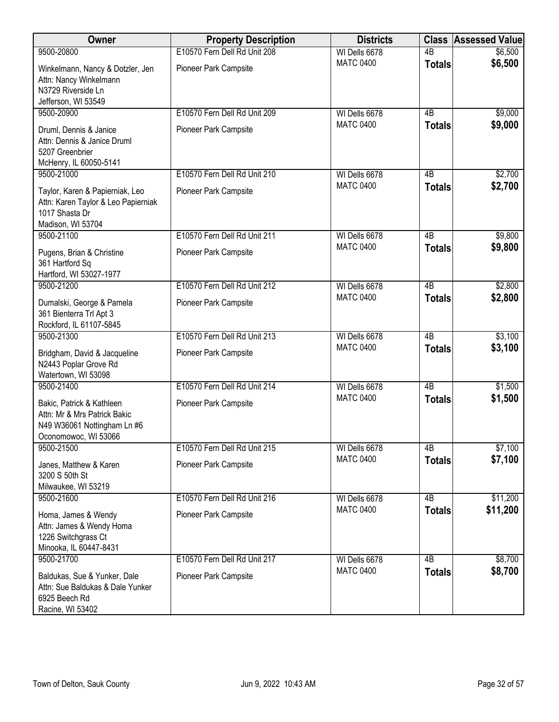| Owner                                                                                                            | <b>Property Description</b>                           | <b>Districts</b>                  | <b>Class</b>                     | <b>Assessed Value</b> |
|------------------------------------------------------------------------------------------------------------------|-------------------------------------------------------|-----------------------------------|----------------------------------|-----------------------|
| 9500-20800                                                                                                       | E10570 Fern Dell Rd Unit 208                          | WI Dells 6678                     | $\overline{AB}$                  | \$6,500               |
| Winkelmann, Nancy & Dotzler, Jen<br>Attn: Nancy Winkelmann<br>N3729 Riverside Ln                                 | Pioneer Park Campsite                                 | <b>MATC 0400</b>                  | <b>Totals</b>                    | \$6,500               |
| Jefferson, WI 53549                                                                                              |                                                       |                                   |                                  |                       |
| 9500-20900<br>Druml, Dennis & Janice<br>Attn: Dennis & Janice Druml<br>5207 Greenbrier                           | E10570 Fern Dell Rd Unit 209<br>Pioneer Park Campsite | WI Dells 6678<br><b>MATC 0400</b> | $\overline{AB}$<br><b>Totals</b> | \$9,000<br>\$9,000    |
| McHenry, IL 60050-5141<br>9500-21000                                                                             | E10570 Fern Dell Rd Unit 210                          | WI Dells 6678                     | 4B                               | \$2,700               |
| Taylor, Karen & Papierniak, Leo<br>Attn: Karen Taylor & Leo Papierniak<br>1017 Shasta Dr<br>Madison, WI 53704    | Pioneer Park Campsite                                 | <b>MATC 0400</b>                  | <b>Totals</b>                    | \$2,700               |
| 9500-21100                                                                                                       | E10570 Fern Dell Rd Unit 211                          | WI Dells 6678                     | $\overline{AB}$                  | \$9,800               |
| Pugens, Brian & Christine<br>361 Hartford Sq<br>Hartford, WI 53027-1977                                          | Pioneer Park Campsite                                 | <b>MATC 0400</b>                  | <b>Totals</b>                    | \$9,800               |
| 9500-21200                                                                                                       | E10570 Fern Dell Rd Unit 212                          | WI Dells 6678                     | $\overline{AB}$                  | \$2,800               |
| Dumalski, George & Pamela<br>361 Bienterra Trl Apt 3<br>Rockford, IL 61107-5845                                  | Pioneer Park Campsite                                 | <b>MATC 0400</b>                  | <b>Totals</b>                    | \$2,800               |
| 9500-21300                                                                                                       | E10570 Fern Dell Rd Unit 213                          | WI Dells 6678                     | $\overline{AB}$                  | \$3,100               |
| Bridgham, David & Jacqueline<br>N2443 Poplar Grove Rd<br>Watertown, WI 53098                                     | Pioneer Park Campsite                                 | <b>MATC 0400</b>                  | <b>Totals</b>                    | \$3,100               |
| 9500-21400                                                                                                       | E10570 Fern Dell Rd Unit 214                          | WI Dells 6678                     | $\overline{AB}$                  | \$1,500               |
| Bakic, Patrick & Kathleen<br>Attn: Mr & Mrs Patrick Bakic<br>N49 W36061 Nottingham Ln #6<br>Oconomowoc, WI 53066 | Pioneer Park Campsite                                 | <b>MATC 0400</b>                  | <b>Totals</b>                    | \$1,500               |
| 9500-21500                                                                                                       | E10570 Fern Dell Rd Unit 215                          | WI Dells 6678                     | 4B                               | \$7,100               |
| Janes, Matthew & Karen<br>3200 S 50th St<br>Milwaukee, WI 53219                                                  | Pioneer Park Campsite                                 | <b>MATC 0400</b>                  | <b>Totals</b>                    | \$7,100               |
| 9500-21600                                                                                                       | E10570 Fern Dell Rd Unit 216                          | WI Dells 6678                     | 4B                               | \$11,200              |
| Homa, James & Wendy<br>Attn: James & Wendy Homa<br>1226 Switchgrass Ct<br>Minooka, IL 60447-8431                 | Pioneer Park Campsite                                 | <b>MATC 0400</b>                  | <b>Totals</b>                    | \$11,200              |
| 9500-21700                                                                                                       | E10570 Fern Dell Rd Unit 217                          | WI Dells 6678                     | $\overline{AB}$                  | \$8,700               |
| Baldukas, Sue & Yunker, Dale<br>Attn: Sue Baldukas & Dale Yunker<br>6925 Beech Rd<br>Racine, WI 53402            | Pioneer Park Campsite                                 | <b>MATC 0400</b>                  | <b>Totals</b>                    | \$8,700               |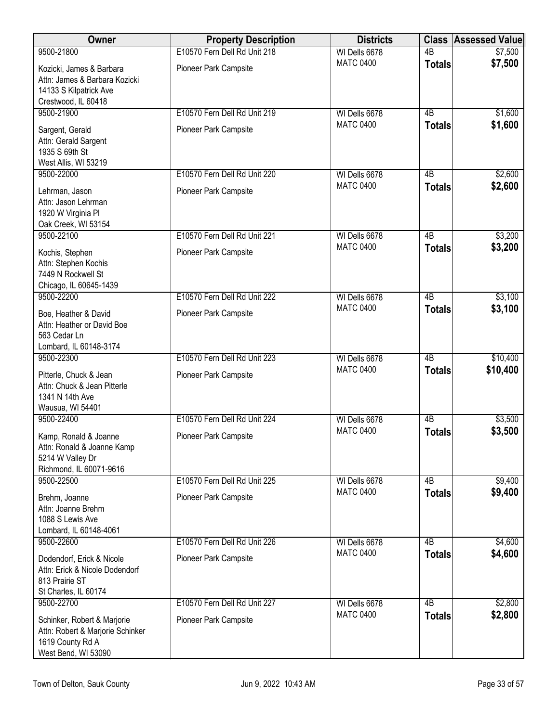| Owner                                                                                                      | <b>Property Description</b>  | <b>Districts</b> | <b>Class</b>    | <b>Assessed Value</b> |
|------------------------------------------------------------------------------------------------------------|------------------------------|------------------|-----------------|-----------------------|
| 9500-21800                                                                                                 | E10570 Fern Dell Rd Unit 218 | WI Dells 6678    | $\overline{AB}$ | \$7,500               |
| Kozicki, James & Barbara<br>Attn: James & Barbara Kozicki<br>14133 S Kilpatrick Ave<br>Crestwood, IL 60418 | Pioneer Park Campsite        | <b>MATC 0400</b> | <b>Totals</b>   | \$7,500               |
| 9500-21900                                                                                                 | E10570 Fern Dell Rd Unit 219 | WI Dells 6678    | 4B              | \$1,600               |
| Sargent, Gerald<br>Attn: Gerald Sargent<br>1935 S 69th St<br>West Allis, WI 53219                          | Pioneer Park Campsite        | <b>MATC 0400</b> | <b>Totals</b>   | \$1,600               |
| 9500-22000                                                                                                 | E10570 Fern Dell Rd Unit 220 | WI Dells 6678    | 4 <sub>B</sub>  | \$2,600               |
| Lehrman, Jason<br>Attn: Jason Lehrman<br>1920 W Virginia Pl<br>Oak Creek, WI 53154                         | Pioneer Park Campsite        | <b>MATC 0400</b> | <b>Totals</b>   | \$2,600               |
| 9500-22100                                                                                                 | E10570 Fern Dell Rd Unit 221 | WI Dells 6678    | $\overline{AB}$ | \$3,200               |
| Kochis, Stephen<br>Attn: Stephen Kochis<br>7449 N Rockwell St<br>Chicago, IL 60645-1439                    | Pioneer Park Campsite        | <b>MATC 0400</b> | <b>Totals</b>   | \$3,200               |
| 9500-22200                                                                                                 | E10570 Fern Dell Rd Unit 222 | WI Dells 6678    | $\overline{AB}$ | \$3,100               |
| Boe, Heather & David<br>Attn: Heather or David Boe<br>563 Cedar Ln<br>Lombard, IL 60148-3174               | Pioneer Park Campsite        | <b>MATC 0400</b> | <b>Totals</b>   | \$3,100               |
| 9500-22300                                                                                                 | E10570 Fern Dell Rd Unit 223 | WI Dells 6678    | $\overline{AB}$ | \$10,400              |
| Pitterle, Chuck & Jean<br>Attn: Chuck & Jean Pitterle<br>1341 N 14th Ave<br>Wausua, WI 54401               | Pioneer Park Campsite        | <b>MATC 0400</b> | <b>Totals</b>   | \$10,400              |
| 9500-22400                                                                                                 | E10570 Fern Dell Rd Unit 224 | WI Dells 6678    | 4B              | \$3,500               |
| Kamp, Ronald & Joanne<br>Attn: Ronald & Joanne Kamp<br>5214 W Valley Dr<br>Richmond, IL 60071-9616         | Pioneer Park Campsite        | <b>MATC 0400</b> | <b>Totals</b>   | \$3,500               |
| 9500-22500                                                                                                 | E10570 Fern Dell Rd Unit 225 | WI Dells 6678    | 4B              | \$9,400               |
| Brehm, Joanne<br>Attn: Joanne Brehm<br>1088 S Lewis Ave<br>Lombard, IL 60148-4061                          | Pioneer Park Campsite        | <b>MATC 0400</b> | <b>Totals</b>   | \$9,400               |
| 9500-22600                                                                                                 | E10570 Fern Dell Rd Unit 226 | WI Dells 6678    | $\overline{AB}$ | \$4,600               |
| Dodendorf, Erick & Nicole<br>Attn: Erick & Nicole Dodendorf<br>813 Prairie ST<br>St Charles, IL 60174      | Pioneer Park Campsite        | <b>MATC 0400</b> | <b>Totals</b>   | \$4,600               |
| 9500-22700                                                                                                 | E10570 Fern Dell Rd Unit 227 | WI Dells 6678    | $\overline{AB}$ | \$2,800               |
| Schinker, Robert & Marjorie<br>Attn: Robert & Marjorie Schinker<br>1619 County Rd A<br>West Bend, WI 53090 | Pioneer Park Campsite        | <b>MATC 0400</b> | <b>Totals</b>   | \$2,800               |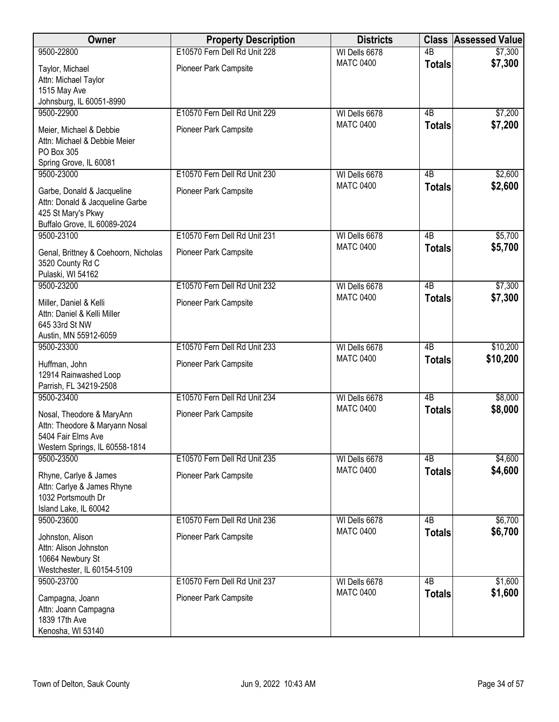| Owner                                                                                                               | <b>Property Description</b>  | <b>Districts</b> | <b>Class</b>    | <b>Assessed Value</b> |
|---------------------------------------------------------------------------------------------------------------------|------------------------------|------------------|-----------------|-----------------------|
| 9500-22800                                                                                                          | E10570 Fern Dell Rd Unit 228 | WI Dells 6678    | $\overline{AB}$ | \$7,300               |
| Taylor, Michael<br>Attn: Michael Taylor<br>1515 May Ave<br>Johnsburg, IL 60051-8990                                 | Pioneer Park Campsite        | <b>MATC 0400</b> | <b>Totals</b>   | \$7,300               |
| 9500-22900                                                                                                          | E10570 Fern Dell Rd Unit 229 | WI Dells 6678    | 4B              | \$7,200               |
| Meier, Michael & Debbie<br>Attn: Michael & Debbie Meier<br>PO Box 305<br>Spring Grove, IL 60081                     | Pioneer Park Campsite        | <b>MATC 0400</b> | <b>Totals</b>   | \$7,200               |
| 9500-23000                                                                                                          | E10570 Fern Dell Rd Unit 230 | WI Dells 6678    | 4B              | \$2,600               |
| Garbe, Donald & Jacqueline<br>Attn: Donald & Jacqueline Garbe<br>425 St Mary's Pkwy<br>Buffalo Grove, IL 60089-2024 | Pioneer Park Campsite        | <b>MATC 0400</b> | <b>Totals</b>   | \$2,600               |
| 9500-23100                                                                                                          | E10570 Fern Dell Rd Unit 231 | WI Dells 6678    | $\overline{AB}$ | \$5,700               |
| Genal, Brittney & Coehoorn, Nicholas<br>3520 County Rd C<br>Pulaski, WI 54162                                       | Pioneer Park Campsite        | <b>MATC 0400</b> | <b>Totals</b>   | \$5,700               |
| 9500-23200                                                                                                          | E10570 Fern Dell Rd Unit 232 | WI Dells 6678    | $\overline{AB}$ | \$7,300               |
| Miller, Daniel & Kelli<br>Attn: Daniel & Kelli Miller<br>645 33rd St NW<br>Austin, MN 55912-6059                    | Pioneer Park Campsite        | <b>MATC 0400</b> | <b>Totals</b>   | \$7,300               |
| 9500-23300                                                                                                          | E10570 Fern Dell Rd Unit 233 | WI Dells 6678    | $\overline{AB}$ | \$10,200              |
| Huffman, John<br>12914 Rainwashed Loop<br>Parrish, FL 34219-2508                                                    | Pioneer Park Campsite        | <b>MATC 0400</b> | <b>Totals</b>   | \$10,200              |
| 9500-23400                                                                                                          | E10570 Fern Dell Rd Unit 234 | WI Dells 6678    | $\overline{AB}$ | \$8,000               |
| Nosal, Theodore & MaryAnn<br>Attn: Theodore & Maryann Nosal<br>5404 Fair Elms Ave<br>Western Springs, IL 60558-1814 | Pioneer Park Campsite        | <b>MATC 0400</b> | <b>Totals</b>   | \$8,000               |
| 9500-23500                                                                                                          | E10570 Fern Dell Rd Unit 235 | WI Dells 6678    | 4B              | \$4,600               |
| Rhyne, Carlye & James<br>Attn: Carlye & James Rhyne<br>1032 Portsmouth Dr<br>Island Lake, IL 60042                  | Pioneer Park Campsite        | <b>MATC 0400</b> | <b>Totals</b>   | \$4,600               |
| 9500-23600                                                                                                          | E10570 Fern Dell Rd Unit 236 | WI Dells 6678    | $\overline{AB}$ | \$6,700               |
| Johnston, Alison<br>Attn: Alison Johnston<br>10664 Newbury St<br>Westchester, IL 60154-5109                         | Pioneer Park Campsite        | <b>MATC 0400</b> | <b>Totals</b>   | \$6,700               |
| 9500-23700                                                                                                          | E10570 Fern Dell Rd Unit 237 | WI Dells 6678    | $\overline{AB}$ | \$1,600               |
| Campagna, Joann<br>Attn: Joann Campagna<br>1839 17th Ave<br>Kenosha, WI 53140                                       | Pioneer Park Campsite        | <b>MATC 0400</b> | <b>Totals</b>   | \$1,600               |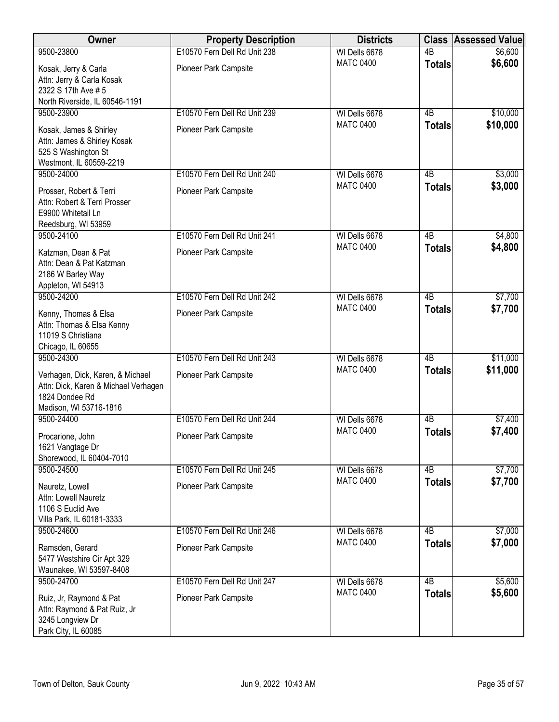| Owner                                                                                                                | <b>Property Description</b>  | <b>Districts</b> |                 | <b>Class Assessed Value</b> |
|----------------------------------------------------------------------------------------------------------------------|------------------------------|------------------|-----------------|-----------------------------|
| 9500-23800                                                                                                           | E10570 Fern Dell Rd Unit 238 | WI Dells 6678    | $\overline{AB}$ | \$6,600                     |
| Kosak, Jerry & Carla<br>Attn: Jerry & Carla Kosak<br>2322 S 17th Ave # 5<br>North Riverside, IL 60546-1191           | Pioneer Park Campsite        | <b>MATC 0400</b> | <b>Totals</b>   | \$6,600                     |
| 9500-23900                                                                                                           | E10570 Fern Dell Rd Unit 239 | WI Dells 6678    | $\overline{AB}$ | \$10,000                    |
| Kosak, James & Shirley<br>Attn: James & Shirley Kosak<br>525 S Washington St<br>Westmont, IL 60559-2219              | Pioneer Park Campsite        | <b>MATC 0400</b> | <b>Totals</b>   | \$10,000                    |
| 9500-24000                                                                                                           | E10570 Fern Dell Rd Unit 240 | WI Dells 6678    | 4B              | \$3,000                     |
| Prosser, Robert & Terri<br>Attn: Robert & Terri Prosser<br>E9900 Whitetail Ln<br>Reedsburg, WI 53959                 | Pioneer Park Campsite        | <b>MATC 0400</b> | <b>Totals</b>   | \$3,000                     |
| 9500-24100                                                                                                           | E10570 Fern Dell Rd Unit 241 | WI Dells 6678    | $\overline{AB}$ | \$4,800                     |
| Katzman, Dean & Pat<br>Attn: Dean & Pat Katzman<br>2186 W Barley Way<br>Appleton, WI 54913                           | Pioneer Park Campsite        | <b>MATC 0400</b> | <b>Totals</b>   | \$4,800                     |
| 9500-24200                                                                                                           | E10570 Fern Dell Rd Unit 242 | WI Dells 6678    | $\overline{AB}$ | \$7,700                     |
| Kenny, Thomas & Elsa<br>Attn: Thomas & Elsa Kenny<br>11019 S Christiana<br>Chicago, IL 60655                         | Pioneer Park Campsite        | <b>MATC 0400</b> | <b>Totals</b>   | \$7,700                     |
| 9500-24300                                                                                                           | E10570 Fern Dell Rd Unit 243 | WI Dells 6678    | $\overline{AB}$ | \$11,000                    |
| Verhagen, Dick, Karen, & Michael<br>Attn: Dick, Karen & Michael Verhagen<br>1824 Dondee Rd<br>Madison, WI 53716-1816 | Pioneer Park Campsite        | <b>MATC 0400</b> | <b>Totals</b>   | \$11,000                    |
| 9500-24400                                                                                                           | E10570 Fern Dell Rd Unit 244 | WI Dells 6678    | $\overline{AB}$ | \$7,400                     |
| Procarione, John<br>1621 Vangtage Dr<br>Shorewood, IL 60404-7010                                                     | <b>Pioneer Park Campsite</b> | <b>MATC 0400</b> | <b>Totals</b>   | \$7,400                     |
| 9500-24500                                                                                                           | E10570 Fern Dell Rd Unit 245 | WI Dells 6678    | 4B              | \$7,700                     |
| Nauretz, Lowell<br>Attn: Lowell Nauretz<br>1106 S Euclid Ave<br>Villa Park, IL 60181-3333                            | Pioneer Park Campsite        | <b>MATC 0400</b> | <b>Totals</b>   | \$7,700                     |
| 9500-24600                                                                                                           | E10570 Fern Dell Rd Unit 246 | WI Dells 6678    | $\overline{AB}$ | \$7,000                     |
| Ramsden, Gerard<br>5477 Westshire Cir Apt 329<br>Waunakee, WI 53597-8408                                             | Pioneer Park Campsite        | <b>MATC 0400</b> | <b>Totals</b>   | \$7,000                     |
| 9500-24700                                                                                                           | E10570 Fern Dell Rd Unit 247 | WI Dells 6678    | $\overline{AB}$ | \$5,600                     |
| Ruiz, Jr, Raymond & Pat<br>Attn: Raymond & Pat Ruiz, Jr<br>3245 Longview Dr<br>Park City, IL 60085                   | Pioneer Park Campsite        | <b>MATC 0400</b> | <b>Totals</b>   | \$5,600                     |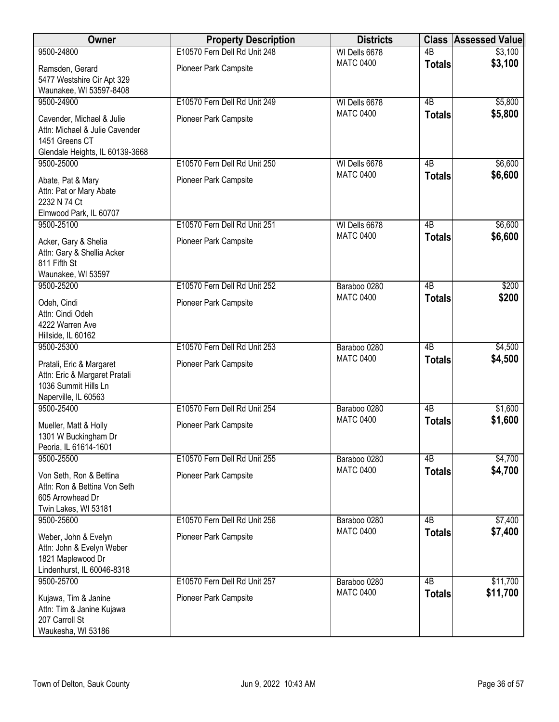| Owner                                                     | <b>Property Description</b>  | <b>Districts</b>                  | <b>Class</b>        | <b>Assessed Value</b> |
|-----------------------------------------------------------|------------------------------|-----------------------------------|---------------------|-----------------------|
| 9500-24800                                                | E10570 Fern Dell Rd Unit 248 | WI Dells 6678                     | $\overline{AB}$     | \$3,100               |
| Ramsden, Gerard                                           | Pioneer Park Campsite        | <b>MATC 0400</b>                  | <b>Totals</b>       | \$3,100               |
| 5477 Westshire Cir Apt 329                                |                              |                                   |                     |                       |
| Waunakee, WI 53597-8408                                   |                              |                                   |                     |                       |
| 9500-24900                                                | E10570 Fern Dell Rd Unit 249 | WI Dells 6678<br><b>MATC 0400</b> | $\overline{AB}$     | \$5,800<br>\$5,800    |
| Cavender, Michael & Julie                                 | Pioneer Park Campsite        |                                   | <b>Totals</b>       |                       |
| Attn: Michael & Julie Cavender                            |                              |                                   |                     |                       |
| 1451 Greens CT<br>Glendale Heights, IL 60139-3668         |                              |                                   |                     |                       |
| 9500-25000                                                | E10570 Fern Dell Rd Unit 250 | WI Dells 6678                     | 4B                  | \$6,600               |
|                                                           |                              | <b>MATC 0400</b>                  | <b>Totals</b>       | \$6,600               |
| Abate, Pat & Mary<br>Attn: Pat or Mary Abate              | Pioneer Park Campsite        |                                   |                     |                       |
| 2232 N 74 Ct                                              |                              |                                   |                     |                       |
| Elmwood Park, IL 60707                                    |                              |                                   |                     |                       |
| 9500-25100                                                | E10570 Fern Dell Rd Unit 251 | WI Dells 6678                     | 4B                  | \$6,600               |
| Acker, Gary & Shelia                                      | Pioneer Park Campsite        | <b>MATC 0400</b>                  | <b>Totals</b>       | \$6,600               |
| Attn: Gary & Shellia Acker                                |                              |                                   |                     |                       |
| 811 Fifth St                                              |                              |                                   |                     |                       |
| Waunakee, WI 53597                                        |                              |                                   |                     |                       |
| 9500-25200                                                | E10570 Fern Dell Rd Unit 252 | Baraboo 0280<br><b>MATC 0400</b>  | $\overline{AB}$     | \$200                 |
| Odeh, Cindi                                               | Pioneer Park Campsite        |                                   | <b>Totals</b>       | \$200                 |
| Attn: Cindi Odeh                                          |                              |                                   |                     |                       |
| 4222 Warren Ave                                           |                              |                                   |                     |                       |
| Hillside, IL 60162<br>9500-25300                          | E10570 Fern Dell Rd Unit 253 | Baraboo 0280                      | $\overline{AB}$     | \$4,500               |
|                                                           |                              | <b>MATC 0400</b>                  | <b>Totals</b>       | \$4,500               |
| Pratali, Eric & Margaret<br>Attn: Eric & Margaret Pratali | Pioneer Park Campsite        |                                   |                     |                       |
| 1036 Summit Hills Ln                                      |                              |                                   |                     |                       |
| Naperville, IL 60563                                      |                              |                                   |                     |                       |
| 9500-25400                                                | E10570 Fern Dell Rd Unit 254 | Baraboo 0280                      | $\overline{AB}$     | \$1,600               |
| Mueller, Matt & Holly                                     | Pioneer Park Campsite        | <b>MATC 0400</b>                  | <b>Totals</b>       | \$1,600               |
| 1301 W Buckingham Dr                                      |                              |                                   |                     |                       |
| Peoria, IL 61614-1601                                     |                              |                                   |                     |                       |
| 9500-25500                                                | E10570 Fern Dell Rd Unit 255 | Baraboo 0280                      | 4B                  | \$4,700               |
| Von Seth, Ron & Bettina                                   | Pioneer Park Campsite        | <b>MATC 0400</b>                  | <b>Totals</b>       | \$4,700               |
| Attn: Ron & Bettina Von Seth                              |                              |                                   |                     |                       |
| 605 Arrowhead Dr                                          |                              |                                   |                     |                       |
| Twin Lakes, WI 53181                                      | E10570 Fern Dell Rd Unit 256 |                                   |                     |                       |
| 9500-25600                                                |                              | Baraboo 0280<br><b>MATC 0400</b>  | 4B<br><b>Totals</b> | \$7,400<br>\$7,400    |
| Weber, John & Evelyn                                      | Pioneer Park Campsite        |                                   |                     |                       |
| Attn: John & Evelyn Weber<br>1821 Maplewood Dr            |                              |                                   |                     |                       |
| Lindenhurst, IL 60046-8318                                |                              |                                   |                     |                       |
| 9500-25700                                                | E10570 Fern Dell Rd Unit 257 | Baraboo 0280                      | $\overline{AB}$     | \$11,700              |
|                                                           | Pioneer Park Campsite        | <b>MATC 0400</b>                  | <b>Totals</b>       | \$11,700              |
| Kujawa, Tim & Janine<br>Attn: Tim & Janine Kujawa         |                              |                                   |                     |                       |
| 207 Carroll St                                            |                              |                                   |                     |                       |
| Waukesha, WI 53186                                        |                              |                                   |                     |                       |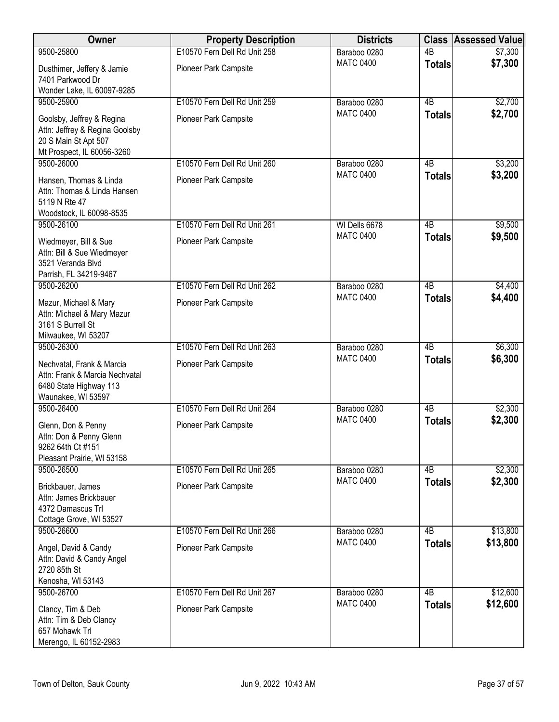| Owner                                                                                                             | <b>Property Description</b>  | <b>Districts</b> |                 | <b>Class Assessed Value</b> |
|-------------------------------------------------------------------------------------------------------------------|------------------------------|------------------|-----------------|-----------------------------|
| 9500-25800                                                                                                        | E10570 Fern Dell Rd Unit 258 | Baraboo 0280     | $\overline{AB}$ | $\sqrt{$7,300}$             |
| Dusthimer, Jeffery & Jamie<br>7401 Parkwood Dr                                                                    | Pioneer Park Campsite        | <b>MATC 0400</b> | <b>Totals</b>   | \$7,300                     |
| Wonder Lake, IL 60097-9285                                                                                        |                              |                  |                 |                             |
| 9500-25900                                                                                                        | E10570 Fern Dell Rd Unit 259 | Baraboo 0280     | $\overline{AB}$ | \$2,700                     |
| Goolsby, Jeffrey & Regina<br>Attn: Jeffrey & Regina Goolsby<br>20 S Main St Apt 507<br>Mt Prospect, IL 60056-3260 | Pioneer Park Campsite        | <b>MATC 0400</b> | <b>Totals</b>   | \$2,700                     |
| 9500-26000                                                                                                        | E10570 Fern Dell Rd Unit 260 | Baraboo 0280     | 4B              | \$3,200                     |
| Hansen, Thomas & Linda<br>Attn: Thomas & Linda Hansen<br>5119 N Rte 47<br>Woodstock, IL 60098-8535                | Pioneer Park Campsite        | <b>MATC 0400</b> | <b>Totals</b>   | \$3,200                     |
| 9500-26100                                                                                                        | E10570 Fern Dell Rd Unit 261 | WI Dells 6678    | $\overline{AB}$ | \$9,500                     |
| Wiedmeyer, Bill & Sue<br>Attn: Bill & Sue Wiedmeyer<br>3521 Veranda Blvd<br>Parrish, FL 34219-9467                | Pioneer Park Campsite        | <b>MATC 0400</b> | <b>Totals</b>   | \$9,500                     |
| 9500-26200                                                                                                        | E10570 Fern Dell Rd Unit 262 | Baraboo 0280     | $\overline{AB}$ | \$4,400                     |
| Mazur, Michael & Mary<br>Attn: Michael & Mary Mazur<br>3161 S Burrell St<br>Milwaukee, WI 53207                   | Pioneer Park Campsite        | <b>MATC 0400</b> | <b>Totals</b>   | \$4,400                     |
| 9500-26300                                                                                                        | E10570 Fern Dell Rd Unit 263 | Baraboo 0280     | $\overline{AB}$ | \$6,300                     |
| Nechvatal, Frank & Marcia<br>Attn: Frank & Marcia Nechvatal<br>6480 State Highway 113<br>Waunakee, WI 53597       | Pioneer Park Campsite        | <b>MATC 0400</b> | <b>Totals</b>   | \$6,300                     |
| 9500-26400                                                                                                        | E10570 Fern Dell Rd Unit 264 | Baraboo 0280     | $\overline{AB}$ | \$2,300                     |
| Glenn, Don & Penny<br>Attn: Don & Penny Glenn<br>9262 64th Ct #151<br>Pleasant Prairie, WI 53158                  | Pioneer Park Campsite        | <b>MATC 0400</b> | <b>Totals</b>   | \$2,300                     |
| 9500-26500                                                                                                        | E10570 Fern Dell Rd Unit 265 | Baraboo 0280     | 4B              | \$2,300                     |
| Brickbauer, James<br>Attn: James Brickbauer<br>4372 Damascus Trl<br>Cottage Grove, WI 53527                       | <b>Pioneer Park Campsite</b> | <b>MATC 0400</b> | <b>Totals</b>   | \$2,300                     |
| 9500-26600                                                                                                        | E10570 Fern Dell Rd Unit 266 | Baraboo 0280     | $\overline{AB}$ | \$13,800                    |
| Angel, David & Candy<br>Attn: David & Candy Angel<br>2720 85th St<br>Kenosha, WI 53143                            | Pioneer Park Campsite        | <b>MATC 0400</b> | <b>Totals</b>   | \$13,800                    |
| 9500-26700                                                                                                        | E10570 Fern Dell Rd Unit 267 | Baraboo 0280     | $\overline{AB}$ | \$12,600                    |
| Clancy, Tim & Deb<br>Attn: Tim & Deb Clancy<br>657 Mohawk Trl<br>Merengo, IL 60152-2983                           | Pioneer Park Campsite        | <b>MATC 0400</b> | <b>Totals</b>   | \$12,600                    |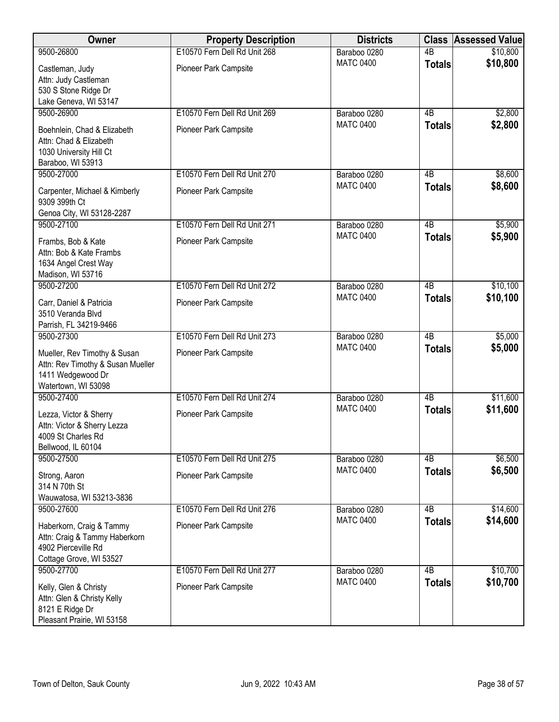| Owner                                                                                                         | <b>Property Description</b>  | <b>Districts</b> |                 | <b>Class Assessed Value</b> |
|---------------------------------------------------------------------------------------------------------------|------------------------------|------------------|-----------------|-----------------------------|
| 9500-26800                                                                                                    | E10570 Fern Dell Rd Unit 268 | Baraboo 0280     | $\overline{AB}$ | \$10,800                    |
| Castleman, Judy<br>Attn: Judy Castleman<br>530 S Stone Ridge Dr<br>Lake Geneva, WI 53147                      | Pioneer Park Campsite        | <b>MATC 0400</b> | <b>Totals</b>   | \$10,800                    |
| 9500-26900                                                                                                    | E10570 Fern Dell Rd Unit 269 | Baraboo 0280     | 4B              | \$2,800                     |
| Boehnlein, Chad & Elizabeth<br>Attn: Chad & Elizabeth<br>1030 University Hill Ct<br>Baraboo, WI 53913         | Pioneer Park Campsite        | <b>MATC 0400</b> | <b>Totals</b>   | \$2,800                     |
| 9500-27000                                                                                                    | E10570 Fern Dell Rd Unit 270 | Baraboo 0280     | 4B              | \$8,600                     |
| Carpenter, Michael & Kimberly<br>9309 399th Ct<br>Genoa City, WI 53128-2287                                   | Pioneer Park Campsite        | <b>MATC 0400</b> | <b>Totals</b>   | \$8,600                     |
| 9500-27100                                                                                                    | E10570 Fern Dell Rd Unit 271 | Baraboo 0280     | $\overline{AB}$ | \$5,900                     |
| Frambs, Bob & Kate<br>Attn: Bob & Kate Frambs<br>1634 Angel Crest Way<br>Madison, WI 53716                    | Pioneer Park Campsite        | <b>MATC 0400</b> | <b>Totals</b>   | \$5,900                     |
| 9500-27200                                                                                                    | E10570 Fern Dell Rd Unit 272 | Baraboo 0280     | $\overline{AB}$ | \$10,100                    |
| Carr, Daniel & Patricia<br>3510 Veranda Blvd<br>Parrish, FL 34219-9466                                        | Pioneer Park Campsite        | <b>MATC 0400</b> | <b>Totals</b>   | \$10,100                    |
| 9500-27300                                                                                                    | E10570 Fern Dell Rd Unit 273 | Baraboo 0280     | $\overline{AB}$ | \$5,000                     |
| Mueller, Rev Timothy & Susan<br>Attn: Rev Timothy & Susan Mueller<br>1411 Wedgewood Dr<br>Watertown, WI 53098 | Pioneer Park Campsite        | <b>MATC 0400</b> | <b>Totals</b>   | \$5,000                     |
| 9500-27400                                                                                                    | E10570 Fern Dell Rd Unit 274 | Baraboo 0280     | $\overline{AB}$ | \$11,600                    |
| Lezza, Victor & Sherry<br>Attn: Victor & Sherry Lezza<br>4009 St Charles Rd<br>Bellwood, IL 60104             | <b>Pioneer Park Campsite</b> | <b>MATC 0400</b> | <b>Totals</b>   | \$11,600                    |
| 9500-27500                                                                                                    | E10570 Fern Dell Rd Unit 275 | Baraboo 0280     | 4B              | \$6,500                     |
| Strong, Aaron<br>314 N 70th St<br>Wauwatosa, WI 53213-3836                                                    | Pioneer Park Campsite        | <b>MATC 0400</b> | <b>Totals</b>   | \$6,500                     |
| 9500-27600                                                                                                    | E10570 Fern Dell Rd Unit 276 | Baraboo 0280     | 4B              | \$14,600                    |
| Haberkorn, Craig & Tammy<br>Attn: Craig & Tammy Haberkorn<br>4902 Pierceville Rd<br>Cottage Grove, WI 53527   | Pioneer Park Campsite        | <b>MATC 0400</b> | <b>Totals</b>   | \$14,600                    |
| 9500-27700                                                                                                    | E10570 Fern Dell Rd Unit 277 | Baraboo 0280     | $\overline{AB}$ | \$10,700                    |
| Kelly, Glen & Christy<br>Attn: Glen & Christy Kelly<br>8121 E Ridge Dr<br>Pleasant Prairie, WI 53158          | Pioneer Park Campsite        | <b>MATC 0400</b> | <b>Totals</b>   | \$10,700                    |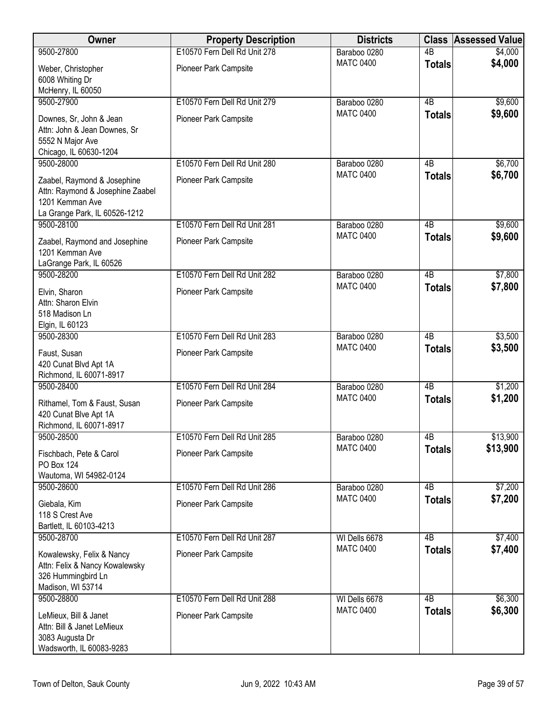| <b>Owner</b>                                                                                                        | <b>Property Description</b>  | <b>Districts</b> | <b>Class</b>    | <b>Assessed Value</b> |
|---------------------------------------------------------------------------------------------------------------------|------------------------------|------------------|-----------------|-----------------------|
| 9500-27800                                                                                                          | E10570 Fern Dell Rd Unit 278 | Baraboo 0280     | $\overline{AB}$ | \$4,000               |
| Weber, Christopher<br>6008 Whiting Dr<br>McHenry, IL 60050                                                          | Pioneer Park Campsite        | <b>MATC 0400</b> | <b>Totals</b>   | \$4,000               |
| 9500-27900                                                                                                          | E10570 Fern Dell Rd Unit 279 | Baraboo 0280     | $\overline{AB}$ | \$9,600               |
| Downes, Sr, John & Jean<br>Attn: John & Jean Downes, Sr<br>5552 N Major Ave<br>Chicago, IL 60630-1204               | Pioneer Park Campsite        | <b>MATC 0400</b> | <b>Totals</b>   | \$9,600               |
| 9500-28000                                                                                                          | E10570 Fern Dell Rd Unit 280 | Baraboo 0280     | 4 <sub>B</sub>  | \$6,700               |
| Zaabel, Raymond & Josephine<br>Attn: Raymond & Josephine Zaabel<br>1201 Kemman Ave<br>La Grange Park, IL 60526-1212 | Pioneer Park Campsite        | <b>MATC 0400</b> | <b>Totals</b>   | \$6,700               |
| 9500-28100                                                                                                          | E10570 Fern Dell Rd Unit 281 | Baraboo 0280     | $\overline{AB}$ | \$9,600               |
| Zaabel, Raymond and Josephine<br>1201 Kemman Ave<br>LaGrange Park, IL 60526                                         | Pioneer Park Campsite        | <b>MATC 0400</b> | <b>Totals</b>   | \$9,600               |
| 9500-28200                                                                                                          | E10570 Fern Dell Rd Unit 282 | Baraboo 0280     | $\overline{AB}$ | \$7,800               |
| Elvin, Sharon<br>Attn: Sharon Elvin<br>518 Madison Ln<br>Elgin, IL 60123                                            | Pioneer Park Campsite        | <b>MATC 0400</b> | <b>Totals</b>   | \$7,800               |
| 9500-28300                                                                                                          | E10570 Fern Dell Rd Unit 283 | Baraboo 0280     | 4B              | \$3,500               |
| Faust, Susan<br>420 Cunat Blvd Apt 1A<br>Richmond, IL 60071-8917                                                    | Pioneer Park Campsite        | <b>MATC 0400</b> | <b>Totals</b>   | \$3,500               |
| 9500-28400                                                                                                          | E10570 Fern Dell Rd Unit 284 | Baraboo 0280     | $\overline{AB}$ | \$1,200               |
| Rithamel, Tom & Faust, Susan<br>420 Cunat Blve Apt 1A<br>Richmond, IL 60071-8917                                    | Pioneer Park Campsite        | <b>MATC 0400</b> | <b>Totals</b>   | \$1,200               |
| 9500-28500                                                                                                          | E10570 Fern Dell Rd Unit 285 | Baraboo 0280     | 4 <sub>B</sub>  | \$13,900              |
| Fischbach, Pete & Carol<br>PO Box 124<br>Wautoma, WI 54982-0124                                                     | Pioneer Park Campsite        | <b>MATC 0400</b> | <b>Totals</b>   | \$13,900              |
| 9500-28600                                                                                                          | E10570 Fern Dell Rd Unit 286 | Baraboo 0280     | 4B              | \$7,200               |
| Giebala, Kim<br>118 S Crest Ave<br>Bartlett, IL 60103-4213                                                          | Pioneer Park Campsite        | <b>MATC 0400</b> | <b>Totals</b>   | \$7,200               |
| 9500-28700                                                                                                          | E10570 Fern Dell Rd Unit 287 | WI Dells 6678    | $\overline{AB}$ | \$7,400               |
| Kowalewsky, Felix & Nancy<br>Attn: Felix & Nancy Kowalewsky<br>326 Hummingbird Ln<br>Madison, WI 53714              | Pioneer Park Campsite        | <b>MATC 0400</b> | <b>Totals</b>   | \$7,400               |
| 9500-28800                                                                                                          | E10570 Fern Dell Rd Unit 288 | WI Dells 6678    | 4B              | \$6,300               |
| LeMieux, Bill & Janet<br>Attn: Bill & Janet LeMieux<br>3083 Augusta Dr<br>Wadsworth, IL 60083-9283                  | Pioneer Park Campsite        | <b>MATC 0400</b> | <b>Totals</b>   | \$6,300               |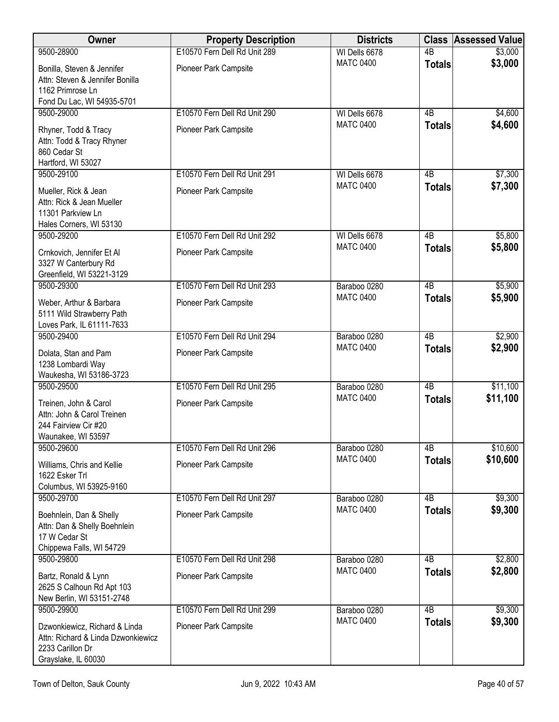| <b>Owner</b>                                                                                                   | <b>Property Description</b>  | <b>Districts</b>                  |                 | <b>Class Assessed Value</b> |
|----------------------------------------------------------------------------------------------------------------|------------------------------|-----------------------------------|-----------------|-----------------------------|
| 9500-28900                                                                                                     | E10570 Fern Dell Rd Unit 289 | WI Dells 6678                     | 4B              | \$3,000                     |
| Bonilla, Steven & Jennifer<br>Attn: Steven & Jennifer Bonilla<br>1162 Primrose Ln                              | Pioneer Park Campsite        | <b>MATC 0400</b>                  | <b>Totals</b>   | \$3,000                     |
| Fond Du Lac, WI 54935-5701                                                                                     |                              |                                   |                 |                             |
| 9500-29000                                                                                                     | E10570 Fern Dell Rd Unit 290 | WI Dells 6678<br><b>MATC 0400</b> | $\overline{AB}$ | \$4,600                     |
| Rhyner, Todd & Tracy<br>Attn: Todd & Tracy Rhyner<br>860 Cedar St<br>Hartford, WI 53027                        | Pioneer Park Campsite        |                                   | <b>Totals</b>   | \$4,600                     |
| 9500-29100                                                                                                     | E10570 Fern Dell Rd Unit 291 | WI Dells 6678                     | 4B              | \$7,300                     |
| Mueller, Rick & Jean<br>Attn: Rick & Jean Mueller<br>11301 Parkview Ln<br>Hales Corners, WI 53130              | Pioneer Park Campsite        | <b>MATC 0400</b>                  | <b>Totals</b>   | \$7,300                     |
| 9500-29200                                                                                                     | E10570 Fern Dell Rd Unit 292 | WI Dells 6678                     | $\overline{AB}$ | \$5,800                     |
| Crnkovich, Jennifer Et Al<br>3327 W Canterbury Rd<br>Greenfield, WI 53221-3129                                 | Pioneer Park Campsite        | <b>MATC 0400</b>                  | <b>Totals</b>   | \$5,800                     |
| 9500-29300                                                                                                     | E10570 Fern Dell Rd Unit 293 | Baraboo 0280                      | 4B              | \$5,900                     |
| Weber, Arthur & Barbara<br>5111 Wild Strawberry Path<br>Loves Park, IL 61111-7633                              | Pioneer Park Campsite        | <b>MATC 0400</b>                  | <b>Totals</b>   | \$5,900                     |
| 9500-29400                                                                                                     | E10570 Fern Dell Rd Unit 294 | Baraboo 0280                      | $\overline{AB}$ | \$2,900                     |
| Dolata, Stan and Pam<br>1238 Lombardi Way<br>Waukesha, WI 53186-3723                                           | Pioneer Park Campsite        | <b>MATC 0400</b>                  | <b>Totals</b>   | \$2,900                     |
| 9500-29500                                                                                                     | E10570 Fern Dell Rd Unit 295 | Baraboo 0280                      | $\overline{AB}$ | \$11,100                    |
| Treinen, John & Carol<br>Attn: John & Carol Treinen<br>244 Fairview Cir #20<br>Waunakee, WI 53597              | Pioneer Park Campsite        | <b>MATC 0400</b>                  | <b>Totals</b>   | \$11,100                    |
| 9500-29600                                                                                                     | E10570 Fern Dell Rd Unit 296 | Baraboo 0280                      | 4B              | \$10,600                    |
| Williams, Chris and Kellie<br>1622 Esker Trl<br>Columbus, WI 53925-9160                                        | Pioneer Park Campsite        | <b>MATC 0400</b>                  | <b>Totals</b>   | \$10,600                    |
| 9500-29700                                                                                                     | E10570 Fern Dell Rd Unit 297 | Baraboo 0280                      | 4B              | \$9,300                     |
| Boehnlein, Dan & Shelly<br>Attn: Dan & Shelly Boehnlein<br>17 W Cedar St<br>Chippewa Falls, WI 54729           | Pioneer Park Campsite        | <b>MATC 0400</b>                  | <b>Totals</b>   | \$9,300                     |
| 9500-29800                                                                                                     | E10570 Fern Dell Rd Unit 298 | Baraboo 0280                      | 4B              | \$2,800                     |
| Bartz, Ronald & Lynn<br>2625 S Calhoun Rd Apt 103<br>New Berlin, WI 53151-2748                                 | Pioneer Park Campsite        | <b>MATC 0400</b>                  | <b>Totals</b>   | \$2,800                     |
| 9500-29900                                                                                                     | E10570 Fern Dell Rd Unit 299 | Baraboo 0280                      | $\overline{AB}$ | \$9,300                     |
| Dzwonkiewicz, Richard & Linda<br>Attn: Richard & Linda Dzwonkiewicz<br>2233 Carillon Dr<br>Grayslake, IL 60030 | Pioneer Park Campsite        | <b>MATC 0400</b>                  | <b>Totals</b>   | \$9,300                     |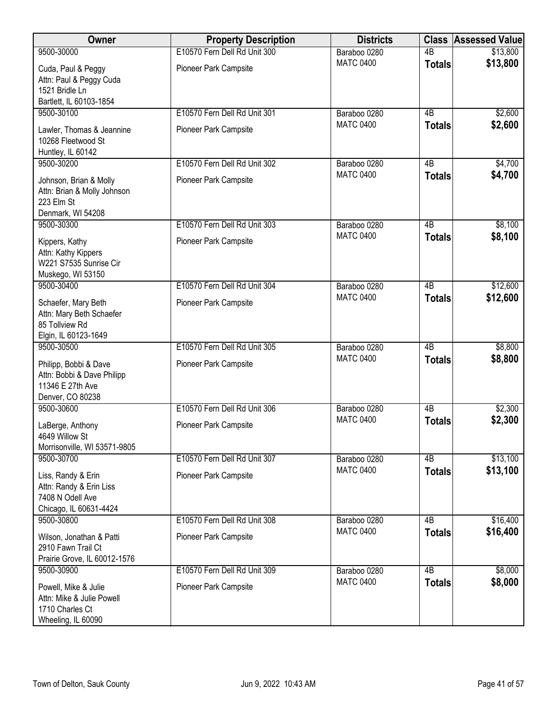| Owner                                                                                       | <b>Property Description</b>  | <b>Districts</b> |                 | <b>Class Assessed Value</b> |
|---------------------------------------------------------------------------------------------|------------------------------|------------------|-----------------|-----------------------------|
| 9500-30000                                                                                  | E10570 Fern Dell Rd Unit 300 | Baraboo 0280     | $\overline{AB}$ | \$13,800                    |
| Cuda, Paul & Peggy<br>Attn: Paul & Peggy Cuda<br>1521 Bridle Ln<br>Bartlett, IL 60103-1854  | Pioneer Park Campsite        | <b>MATC 0400</b> | <b>Totals</b>   | \$13,800                    |
| 9500-30100                                                                                  | E10570 Fern Dell Rd Unit 301 | Baraboo 0280     | 4B              | \$2,600                     |
| Lawler, Thomas & Jeannine<br>10268 Fleetwood St<br>Huntley, IL 60142                        | Pioneer Park Campsite        | <b>MATC 0400</b> | <b>Totals</b>   | \$2,600                     |
| 9500-30200                                                                                  | E10570 Fern Dell Rd Unit 302 | Baraboo 0280     | 4B              | \$4,700                     |
| Johnson, Brian & Molly<br>Attn: Brian & Molly Johnson<br>223 Elm St<br>Denmark, WI 54208    | Pioneer Park Campsite        | <b>MATC 0400</b> | <b>Totals</b>   | \$4,700                     |
| 9500-30300                                                                                  | E10570 Fern Dell Rd Unit 303 | Baraboo 0280     | $\overline{AB}$ | \$8,100                     |
| Kippers, Kathy<br>Attn: Kathy Kippers<br>W221 S7535 Sunrise Cir<br>Muskego, WI 53150        | Pioneer Park Campsite        | <b>MATC 0400</b> | <b>Totals</b>   | \$8,100                     |
| 9500-30400                                                                                  | E10570 Fern Dell Rd Unit 304 | Baraboo 0280     | $\overline{AB}$ | \$12,600                    |
| Schaefer, Mary Beth<br>Attn: Mary Beth Schaefer<br>85 Tollview Rd<br>Elgin, IL 60123-1649   | Pioneer Park Campsite        | <b>MATC 0400</b> | <b>Totals</b>   | \$12,600                    |
| 9500-30500                                                                                  | E10570 Fern Dell Rd Unit 305 | Baraboo 0280     | $\overline{AB}$ | \$8,800                     |
| Philipp, Bobbi & Dave<br>Attn: Bobbi & Dave Philipp<br>11346 E 27th Ave<br>Denver, CO 80238 | Pioneer Park Campsite        | <b>MATC 0400</b> | <b>Totals</b>   | \$8,800                     |
| 9500-30600                                                                                  | E10570 Fern Dell Rd Unit 306 | Baraboo 0280     | $\overline{AB}$ | \$2,300                     |
| LaBerge, Anthony<br>4649 Willow St<br>Morrisonville, WI 53571-9805                          | Pioneer Park Campsite        | <b>MATC 0400</b> | <b>Totals</b>   | \$2,300                     |
| 9500-30700                                                                                  | E10570 Fern Dell Rd Unit 307 | Baraboo 0280     | 4B              | \$13,100                    |
| Liss, Randy & Erin<br>Attn: Randy & Erin Liss<br>7408 N Odell Ave<br>Chicago, IL 60631-4424 | Pioneer Park Campsite        | <b>MATC 0400</b> | <b>Totals</b>   | \$13,100                    |
| 9500-30800                                                                                  | E10570 Fern Dell Rd Unit 308 | Baraboo 0280     | 4B              | \$16,400                    |
| Wilson, Jonathan & Patti<br>2910 Fawn Trail Ct<br>Prairie Grove, IL 60012-1576              | Pioneer Park Campsite        | <b>MATC 0400</b> | <b>Totals</b>   | \$16,400                    |
| 9500-30900                                                                                  | E10570 Fern Dell Rd Unit 309 | Baraboo 0280     | $\overline{AB}$ | \$8,000                     |
| Powell, Mike & Julie<br>Attn: Mike & Julie Powell<br>1710 Charles Ct<br>Wheeling, IL 60090  | Pioneer Park Campsite        | <b>MATC 0400</b> | <b>Totals</b>   | \$8,000                     |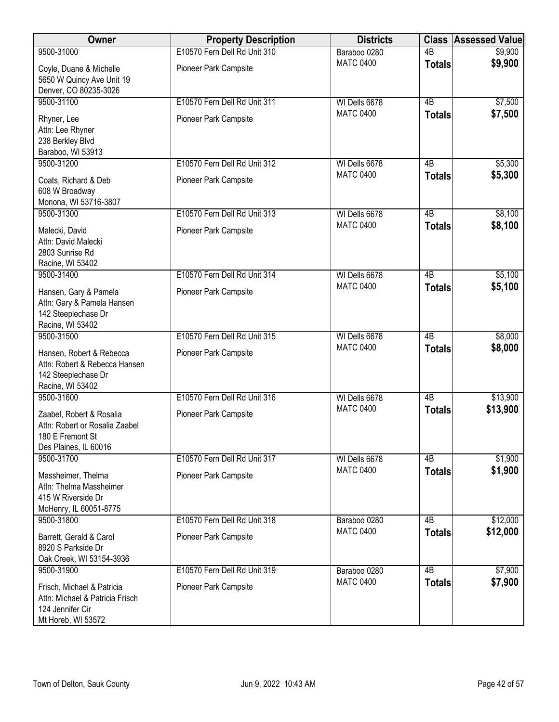| Owner                                                                                                   | <b>Property Description</b>  | <b>Districts</b> | <b>Class</b>    | <b>Assessed Value</b> |
|---------------------------------------------------------------------------------------------------------|------------------------------|------------------|-----------------|-----------------------|
| 9500-31000                                                                                              | E10570 Fern Dell Rd Unit 310 | Baraboo 0280     | $\overline{AB}$ | \$9,900               |
| Coyle, Duane & Michelle<br>5650 W Quincy Ave Unit 19<br>Denver, CO 80235-3026                           | Pioneer Park Campsite        | <b>MATC 0400</b> | <b>Totals</b>   | \$9,900               |
| 9500-31100                                                                                              | E10570 Fern Dell Rd Unit 311 | WI Dells 6678    | $\overline{AB}$ | \$7,500               |
| Rhyner, Lee<br>Attn: Lee Rhyner<br>238 Berkley Blvd<br>Baraboo, WI 53913                                | Pioneer Park Campsite        | <b>MATC 0400</b> | <b>Totals</b>   | \$7,500               |
| 9500-31200                                                                                              | E10570 Fern Dell Rd Unit 312 | WI Dells 6678    | 4B              | \$5,300               |
| Coats, Richard & Deb<br>608 W Broadway<br>Monona, WI 53716-3807                                         | Pioneer Park Campsite        | <b>MATC 0400</b> | <b>Totals</b>   | \$5,300               |
| 9500-31300                                                                                              | E10570 Fern Dell Rd Unit 313 | WI Dells 6678    | 4B              | \$8,100               |
| Malecki, David<br>Attn: David Malecki<br>2803 Sunrise Rd<br>Racine, WI 53402                            | Pioneer Park Campsite        | <b>MATC 0400</b> | <b>Totals</b>   | \$8,100               |
| 9500-31400                                                                                              | E10570 Fern Dell Rd Unit 314 | WI Dells 6678    | $\overline{AB}$ | \$5,100               |
| Hansen, Gary & Pamela<br>Attn: Gary & Pamela Hansen<br>142 Steeplechase Dr<br>Racine, WI 53402          | Pioneer Park Campsite        | <b>MATC 0400</b> | <b>Totals</b>   | \$5,100               |
| 9500-31500                                                                                              | E10570 Fern Dell Rd Unit 315 | WI Dells 6678    | $\overline{AB}$ | \$8,000               |
| Hansen, Robert & Rebecca<br>Attn: Robert & Rebecca Hansen<br>142 Steeplechase Dr<br>Racine, WI 53402    | Pioneer Park Campsite        | <b>MATC 0400</b> | <b>Totals</b>   | \$8,000               |
| 9500-31600                                                                                              | E10570 Fern Dell Rd Unit 316 | WI Dells 6678    | $\overline{AB}$ | \$13,900              |
| Zaabel, Robert & Rosalia<br>Attn: Robert or Rosalia Zaabel<br>180 E Fremont St<br>Des Plaines, IL 60016 | Pioneer Park Campsite        | <b>MATC 0400</b> | <b>Totals</b>   | \$13,900              |
| 9500-31700                                                                                              | E10570 Fern Dell Rd Unit 317 | WI Dells 6678    | 4B              | \$1,900               |
| Massheimer, Thelma<br>Attn: Thelma Massheimer<br>415 W Riverside Dr<br>McHenry, IL 60051-8775           | Pioneer Park Campsite        | <b>MATC 0400</b> | <b>Totals</b>   | \$1,900               |
| 9500-31800                                                                                              | E10570 Fern Dell Rd Unit 318 | Baraboo 0280     | 4 <sub>B</sub>  | \$12,000              |
| Barrett, Gerald & Carol<br>8920 S Parkside Dr<br>Oak Creek, WI 53154-3936                               | Pioneer Park Campsite        | <b>MATC 0400</b> | <b>Totals</b>   | \$12,000              |
| 9500-31900                                                                                              | E10570 Fern Dell Rd Unit 319 | Baraboo 0280     | $\overline{AB}$ | \$7,900               |
| Frisch, Michael & Patricia<br>Attn: Michael & Patricia Frisch<br>124 Jennifer Cir<br>Mt Horeb, WI 53572 | Pioneer Park Campsite        | <b>MATC 0400</b> | <b>Totals</b>   | \$7,900               |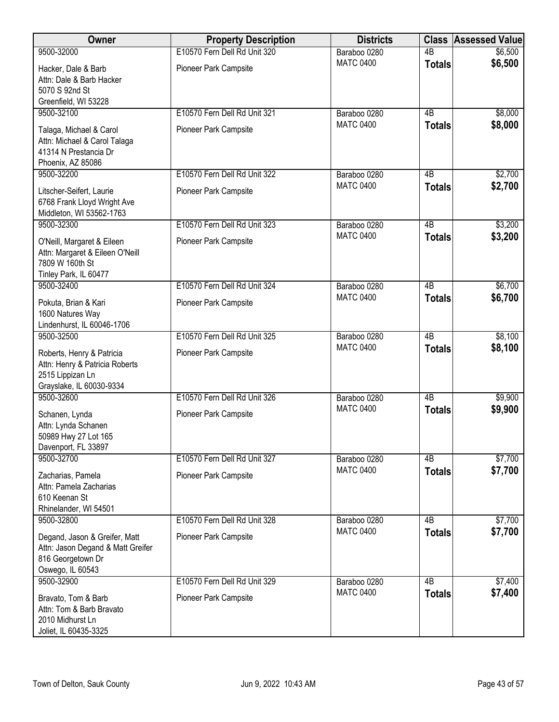| Owner                                                                                                       | <b>Property Description</b>  | <b>Districts</b> |                 | <b>Class Assessed Value</b> |
|-------------------------------------------------------------------------------------------------------------|------------------------------|------------------|-----------------|-----------------------------|
| 9500-32000                                                                                                  | E10570 Fern Dell Rd Unit 320 | Baraboo 0280     | $\overline{AB}$ | \$6,500                     |
| Hacker, Dale & Barb<br>Attn: Dale & Barb Hacker<br>5070 S 92nd St<br>Greenfield, WI 53228                   | Pioneer Park Campsite        | <b>MATC 0400</b> | <b>Totals</b>   | \$6,500                     |
| 9500-32100                                                                                                  | E10570 Fern Dell Rd Unit 321 | Baraboo 0280     | $\overline{AB}$ | \$8,000                     |
| Talaga, Michael & Carol<br>Attn: Michael & Carol Talaga<br>41314 N Prestancia Dr<br>Phoenix, AZ 85086       | Pioneer Park Campsite        | <b>MATC 0400</b> | <b>Totals</b>   | \$8,000                     |
| 9500-32200                                                                                                  | E10570 Fern Dell Rd Unit 322 | Baraboo 0280     | 4B              | \$2,700                     |
| Litscher-Seifert, Laurie<br>6768 Frank Lloyd Wright Ave<br>Middleton, WI 53562-1763                         | Pioneer Park Campsite        | <b>MATC 0400</b> | <b>Totals</b>   | \$2,700                     |
| 9500-32300                                                                                                  | E10570 Fern Dell Rd Unit 323 | Baraboo 0280     | $\overline{AB}$ | \$3,200                     |
| O'Neill, Margaret & Eileen<br>Attn: Margaret & Eileen O'Neill<br>7809 W 160th St<br>Tinley Park, IL 60477   | Pioneer Park Campsite        | <b>MATC 0400</b> | <b>Totals</b>   | \$3,200                     |
| 9500-32400                                                                                                  | E10570 Fern Dell Rd Unit 324 | Baraboo 0280     | $\overline{AB}$ | \$6,700                     |
| Pokuta, Brian & Kari<br>1600 Natures Way<br>Lindenhurst, IL 60046-1706                                      | Pioneer Park Campsite        | <b>MATC 0400</b> | <b>Totals</b>   | \$6,700                     |
| 9500-32500                                                                                                  | E10570 Fern Dell Rd Unit 325 | Baraboo 0280     | $\overline{AB}$ | \$8,100                     |
| Roberts, Henry & Patricia<br>Attn: Henry & Patricia Roberts<br>2515 Lippizan Ln<br>Grayslake, IL 60030-9334 | Pioneer Park Campsite        | <b>MATC 0400</b> | <b>Totals</b>   | \$8,100                     |
| 9500-32600                                                                                                  | E10570 Fern Dell Rd Unit 326 | Baraboo 0280     | $\overline{AB}$ | \$9,900                     |
| Schanen, Lynda<br>Attn: Lynda Schanen<br>50989 Hwy 27 Lot 165<br>Davenport, FL 33897                        | Pioneer Park Campsite        | <b>MATC 0400</b> | <b>Totals</b>   | \$9,900                     |
| 9500-32700                                                                                                  | E10570 Fern Dell Rd Unit 327 | Baraboo 0280     | 4B              | \$7,700                     |
| Zacharias, Pamela<br>Attn: Pamela Zacharias<br>610 Keenan St<br>Rhinelander, WI 54501                       | Pioneer Park Campsite        | <b>MATC 0400</b> | <b>Totals</b>   | \$7,700                     |
| 9500-32800                                                                                                  | E10570 Fern Dell Rd Unit 328 | Baraboo 0280     | 4B              | \$7,700                     |
| Degand, Jason & Greifer, Matt<br>Attn: Jason Degand & Matt Greifer<br>816 Georgetown Dr<br>Oswego, IL 60543 | Pioneer Park Campsite        | <b>MATC 0400</b> | <b>Totals</b>   | \$7,700                     |
| 9500-32900                                                                                                  | E10570 Fern Dell Rd Unit 329 | Baraboo 0280     | $\overline{AB}$ | \$7,400                     |
| Bravato, Tom & Barb<br>Attn: Tom & Barb Bravato<br>2010 Midhurst Ln<br>Joliet, IL 60435-3325                | Pioneer Park Campsite        | <b>MATC 0400</b> | <b>Totals</b>   | \$7,400                     |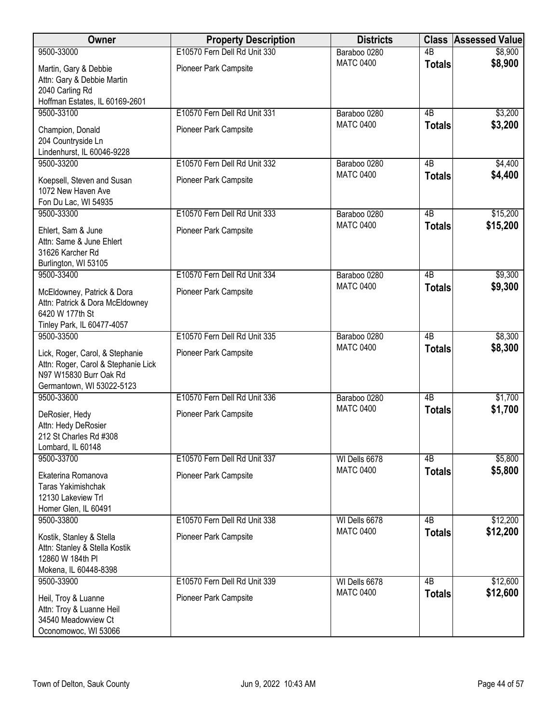| Owner                                       | <b>Property Description</b>  | <b>Districts</b>                  |                 | <b>Class Assessed Value</b> |
|---------------------------------------------|------------------------------|-----------------------------------|-----------------|-----------------------------|
| 9500-33000                                  | E10570 Fern Dell Rd Unit 330 | Baraboo 0280                      | $\overline{AB}$ | \$8,900                     |
| Martin, Gary & Debbie                       | Pioneer Park Campsite        | <b>MATC 0400</b>                  | <b>Totals</b>   | \$8,900                     |
| Attn: Gary & Debbie Martin                  |                              |                                   |                 |                             |
| 2040 Carling Rd                             |                              |                                   |                 |                             |
| Hoffman Estates, IL 60169-2601              |                              |                                   |                 |                             |
| 9500-33100                                  | E10570 Fern Dell Rd Unit 331 | Baraboo 0280                      | 4B              | \$3,200                     |
| Champion, Donald                            | Pioneer Park Campsite        | <b>MATC 0400</b>                  | <b>Totals</b>   | \$3,200                     |
| 204 Countryside Ln                          |                              |                                   |                 |                             |
| Lindenhurst, IL 60046-9228                  |                              |                                   |                 |                             |
| 9500-33200                                  | E10570 Fern Dell Rd Unit 332 | Baraboo 0280                      | 4B              | \$4,400                     |
| Koepsell, Steven and Susan                  | Pioneer Park Campsite        | <b>MATC 0400</b>                  | <b>Totals</b>   | \$4,400                     |
| 1072 New Haven Ave                          |                              |                                   |                 |                             |
| Fon Du Lac, WI 54935                        |                              |                                   |                 |                             |
| 9500-33300                                  | E10570 Fern Dell Rd Unit 333 | Baraboo 0280                      | $\overline{AB}$ | \$15,200                    |
| Ehlert, Sam & June                          | Pioneer Park Campsite        | <b>MATC 0400</b>                  | <b>Totals</b>   | \$15,200                    |
| Attn: Same & June Ehlert                    |                              |                                   |                 |                             |
| 31626 Karcher Rd                            |                              |                                   |                 |                             |
| Burlington, WI 53105                        |                              |                                   |                 |                             |
| 9500-33400                                  | E10570 Fern Dell Rd Unit 334 | Baraboo 0280                      | $\overline{AB}$ | \$9,300                     |
| McEldowney, Patrick & Dora                  | Pioneer Park Campsite        | <b>MATC 0400</b>                  | <b>Totals</b>   | \$9,300                     |
| Attn: Patrick & Dora McEldowney             |                              |                                   |                 |                             |
| 6420 W 177th St                             |                              |                                   |                 |                             |
| Tinley Park, IL 60477-4057                  |                              |                                   |                 |                             |
| 9500-33500                                  | E10570 Fern Dell Rd Unit 335 | Baraboo 0280                      | $\overline{AB}$ | \$8,300                     |
| Lick, Roger, Carol, & Stephanie             | Pioneer Park Campsite        | <b>MATC 0400</b>                  | <b>Totals</b>   | \$8,300                     |
| Attn: Roger, Carol & Stephanie Lick         |                              |                                   |                 |                             |
| N97 W15830 Burr Oak Rd                      |                              |                                   |                 |                             |
| Germantown, WI 53022-5123                   |                              |                                   |                 |                             |
| 9500-33600                                  | E10570 Fern Dell Rd Unit 336 | Baraboo 0280                      | $\overline{AB}$ | \$1,700                     |
| DeRosier, Hedy                              | Pioneer Park Campsite        | <b>MATC 0400</b>                  | <b>Totals</b>   | \$1,700                     |
| Attn: Hedy DeRosier                         |                              |                                   |                 |                             |
| 212 St Charles Rd #308                      |                              |                                   |                 |                             |
| Lombard, IL 60148<br>9500-33700             | E10570 Fern Dell Rd Unit 337 |                                   | 4B              |                             |
|                                             |                              | WI Dells 6678<br><b>MATC 0400</b> |                 | \$5,800<br>\$5,800          |
| Ekaterina Romanova                          | Pioneer Park Campsite        |                                   | <b>Totals</b>   |                             |
| Taras Yakimishchak                          |                              |                                   |                 |                             |
| 12130 Lakeview Trl                          |                              |                                   |                 |                             |
| Homer Glen, IL 60491<br>9500-33800          | E10570 Fern Dell Rd Unit 338 | WI Dells 6678                     | 4B              | \$12,200                    |
|                                             |                              | <b>MATC 0400</b>                  | <b>Totals</b>   | \$12,200                    |
| Kostik, Stanley & Stella                    | Pioneer Park Campsite        |                                   |                 |                             |
| Attn: Stanley & Stella Kostik               |                              |                                   |                 |                             |
| 12860 W 184th PI                            |                              |                                   |                 |                             |
| Mokena, IL 60448-8398<br>9500-33900         | E10570 Fern Dell Rd Unit 339 | WI Dells 6678                     | $\overline{AB}$ | \$12,600                    |
|                                             |                              | <b>MATC 0400</b>                  | <b>Totals</b>   | \$12,600                    |
| Heil, Troy & Luanne                         | Pioneer Park Campsite        |                                   |                 |                             |
| Attn: Troy & Luanne Heil                    |                              |                                   |                 |                             |
| 34540 Meadowview Ct<br>Oconomowoc, WI 53066 |                              |                                   |                 |                             |
|                                             |                              |                                   |                 |                             |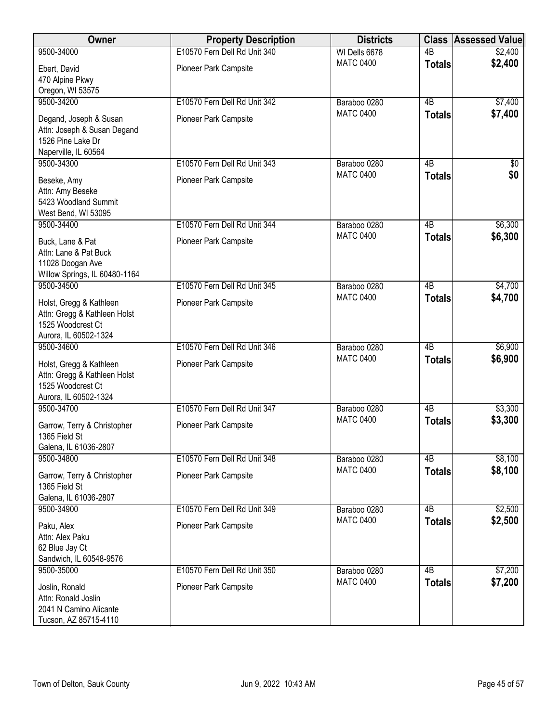| Owner                                                   | <b>Property Description</b>  | <b>Districts</b>                 |                 | <b>Class Assessed Value</b> |
|---------------------------------------------------------|------------------------------|----------------------------------|-----------------|-----------------------------|
| 9500-34000                                              | E10570 Fern Dell Rd Unit 340 | WI Dells 6678                    | $\overline{AB}$ | \$2,400                     |
| Ebert, David                                            | Pioneer Park Campsite        | <b>MATC 0400</b>                 | <b>Totals</b>   | \$2,400                     |
| 470 Alpine Pkwy                                         |                              |                                  |                 |                             |
| Oregon, WI 53575                                        |                              |                                  |                 |                             |
| 9500-34200                                              | E10570 Fern Dell Rd Unit 342 | Baraboo 0280                     | $\overline{AB}$ | \$7,400                     |
| Degand, Joseph & Susan                                  | Pioneer Park Campsite        | <b>MATC 0400</b>                 | <b>Totals</b>   | \$7,400                     |
| Attn: Joseph & Susan Degand                             |                              |                                  |                 |                             |
| 1526 Pine Lake Dr                                       |                              |                                  |                 |                             |
| Naperville, IL 60564                                    |                              |                                  |                 |                             |
| 9500-34300                                              | E10570 Fern Dell Rd Unit 343 | Baraboo 0280<br><b>MATC 0400</b> | 4B              | $\sqrt[6]{}$                |
| Beseke, Amy                                             | Pioneer Park Campsite        |                                  | <b>Totals</b>   | \$0                         |
| Attn: Amy Beseke                                        |                              |                                  |                 |                             |
| 5423 Woodland Summit                                    |                              |                                  |                 |                             |
| West Bend, WI 53095<br>9500-34400                       | E10570 Fern Dell Rd Unit 344 |                                  | $\overline{AB}$ | \$6,300                     |
|                                                         |                              | Baraboo 0280<br><b>MATC 0400</b> | <b>Totals</b>   | \$6,300                     |
| Buck, Lane & Pat                                        | Pioneer Park Campsite        |                                  |                 |                             |
| Attn: Lane & Pat Buck                                   |                              |                                  |                 |                             |
| 11028 Doogan Ave<br>Willow Springs, IL 60480-1164       |                              |                                  |                 |                             |
| 9500-34500                                              | E10570 Fern Dell Rd Unit 345 | Baraboo 0280                     | $\overline{AB}$ | \$4,700                     |
|                                                         |                              | <b>MATC 0400</b>                 | <b>Totals</b>   | \$4,700                     |
| Holst, Gregg & Kathleen                                 | Pioneer Park Campsite        |                                  |                 |                             |
| Attn: Gregg & Kathleen Holst<br>1525 Woodcrest Ct       |                              |                                  |                 |                             |
| Aurora, IL 60502-1324                                   |                              |                                  |                 |                             |
| 9500-34600                                              | E10570 Fern Dell Rd Unit 346 | Baraboo 0280                     | $\overline{AB}$ | \$6,900                     |
|                                                         |                              | <b>MATC 0400</b>                 | <b>Totals</b>   | \$6,900                     |
| Holst, Gregg & Kathleen<br>Attn: Gregg & Kathleen Holst | Pioneer Park Campsite        |                                  |                 |                             |
| 1525 Woodcrest Ct                                       |                              |                                  |                 |                             |
| Aurora, IL 60502-1324                                   |                              |                                  |                 |                             |
| 9500-34700                                              | E10570 Fern Dell Rd Unit 347 | Baraboo 0280                     | $\overline{AB}$ | \$3,300                     |
| Garrow, Terry & Christopher                             | Pioneer Park Campsite        | <b>MATC 0400</b>                 | <b>Totals</b>   | \$3,300                     |
| 1365 Field St                                           |                              |                                  |                 |                             |
| Galena, IL 61036-2807                                   |                              |                                  |                 |                             |
| 9500-34800                                              | E10570 Fern Dell Rd Unit 348 | Baraboo 0280                     | 4B              | \$8,100                     |
| Garrow, Terry & Christopher                             | Pioneer Park Campsite        | <b>MATC 0400</b>                 | <b>Totals</b>   | \$8,100                     |
| 1365 Field St                                           |                              |                                  |                 |                             |
| Galena, IL 61036-2807                                   |                              |                                  |                 |                             |
| 9500-34900                                              | E10570 Fern Dell Rd Unit 349 | Baraboo 0280                     | 4B              | \$2,500                     |
| Paku, Alex                                              | Pioneer Park Campsite        | <b>MATC 0400</b>                 | <b>Totals</b>   | \$2,500                     |
| Attn: Alex Paku                                         |                              |                                  |                 |                             |
| 62 Blue Jay Ct                                          |                              |                                  |                 |                             |
| Sandwich, IL 60548-9576                                 |                              |                                  |                 |                             |
| 9500-35000                                              | E10570 Fern Dell Rd Unit 350 | Baraboo 0280                     | $\overline{AB}$ | \$7,200                     |
| Joslin, Ronald                                          | Pioneer Park Campsite        | <b>MATC 0400</b>                 | <b>Totals</b>   | \$7,200                     |
| Attn: Ronald Joslin                                     |                              |                                  |                 |                             |
| 2041 N Camino Alicante                                  |                              |                                  |                 |                             |
| Tucson, AZ 85715-4110                                   |                              |                                  |                 |                             |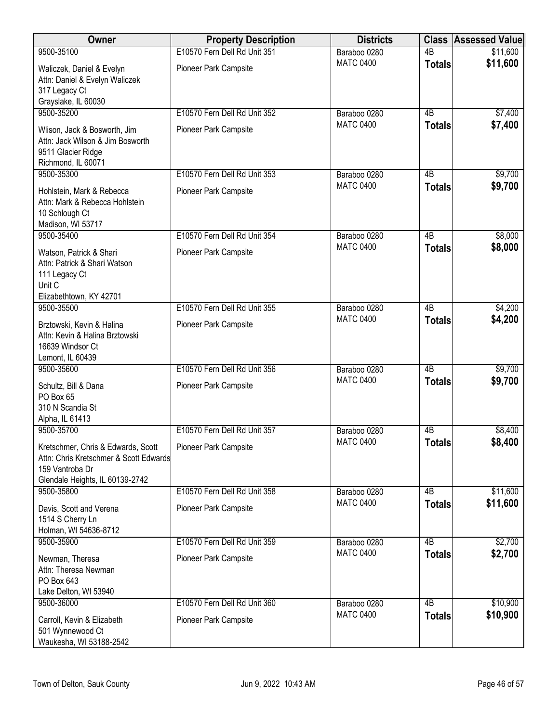| Owner                                                                                                                              | <b>Property Description</b>  | <b>Districts</b> |                 | <b>Class Assessed Value</b> |
|------------------------------------------------------------------------------------------------------------------------------------|------------------------------|------------------|-----------------|-----------------------------|
| 9500-35100                                                                                                                         | E10570 Fern Dell Rd Unit 351 | Baraboo 0280     | $\overline{AB}$ | \$11,600                    |
| Waliczek, Daniel & Evelyn<br>Attn: Daniel & Evelyn Waliczek<br>317 Legacy Ct<br>Grayslake, IL 60030                                | Pioneer Park Campsite        | <b>MATC 0400</b> | <b>Totals</b>   | \$11,600                    |
| 9500-35200                                                                                                                         | E10570 Fern Dell Rd Unit 352 | Baraboo 0280     | 4B              | \$7,400                     |
| Wlison, Jack & Bosworth, Jim<br>Attn: Jack Wilson & Jim Bosworth<br>9511 Glacier Ridge<br>Richmond, IL 60071                       | Pioneer Park Campsite        | <b>MATC 0400</b> | <b>Totals</b>   | \$7,400                     |
| 9500-35300                                                                                                                         | E10570 Fern Dell Rd Unit 353 | Baraboo 0280     | 4B              | \$9,700                     |
| Hohlstein, Mark & Rebecca<br>Attn: Mark & Rebecca Hohlstein<br>10 Schlough Ct<br>Madison, WI 53717                                 | Pioneer Park Campsite        | <b>MATC 0400</b> | <b>Totals</b>   | \$9,700                     |
| 9500-35400                                                                                                                         | E10570 Fern Dell Rd Unit 354 | Baraboo 0280     | $\overline{AB}$ | \$8,000                     |
| Watson, Patrick & Shari<br>Attn: Patrick & Shari Watson<br>111 Legacy Ct<br>Unit C<br>Elizabethtown, KY 42701                      | Pioneer Park Campsite        | <b>MATC 0400</b> | <b>Totals</b>   | \$8,000                     |
| 9500-35500                                                                                                                         | E10570 Fern Dell Rd Unit 355 | Baraboo 0280     | $\overline{AB}$ | \$4,200                     |
| Brztowski, Kevin & Halina<br>Attn: Kevin & Halina Brztowski<br>16639 Windsor Ct<br>Lemont, IL 60439                                | Pioneer Park Campsite        | <b>MATC 0400</b> | <b>Totals</b>   | \$4,200                     |
| 9500-35600                                                                                                                         | E10570 Fern Dell Rd Unit 356 | Baraboo 0280     | $\overline{AB}$ | \$9,700                     |
| Schultz, Bill & Dana<br>PO Box 65<br>310 N Scandia St<br>Alpha, IL 61413                                                           | Pioneer Park Campsite        | <b>MATC 0400</b> | <b>Totals</b>   | \$9,700                     |
| 9500-35700                                                                                                                         | E10570 Fern Dell Rd Unit 357 | Baraboo 0280     | 4B              | \$8,400                     |
| Kretschmer, Chris & Edwards, Scott<br>Attn: Chris Kretschmer & Scott Edwards<br>159 Vantroba Dr<br>Glendale Heights, IL 60139-2742 | <b>Pioneer Park Campsite</b> | <b>MATC 0400</b> | <b>Totals</b>   | \$8,400                     |
| 9500-35800                                                                                                                         | E10570 Fern Dell Rd Unit 358 | Baraboo 0280     | 4B              | \$11,600                    |
| Davis, Scott and Verena<br>1514 S Cherry Ln<br>Holman, WI 54636-8712                                                               | Pioneer Park Campsite        | <b>MATC 0400</b> | <b>Totals</b>   | \$11,600                    |
| 9500-35900                                                                                                                         | E10570 Fern Dell Rd Unit 359 | Baraboo 0280     | $\overline{AB}$ | \$2,700                     |
| Newman, Theresa<br>Attn: Theresa Newman<br>PO Box 643<br>Lake Delton, WI 53940                                                     | Pioneer Park Campsite        | <b>MATC 0400</b> | <b>Totals</b>   | \$2,700                     |
| 9500-36000                                                                                                                         | E10570 Fern Dell Rd Unit 360 | Baraboo 0280     | 4B              | \$10,900                    |
| Carroll, Kevin & Elizabeth<br>501 Wynnewood Ct<br>Waukesha, WI 53188-2542                                                          | Pioneer Park Campsite        | <b>MATC 0400</b> | <b>Totals</b>   | \$10,900                    |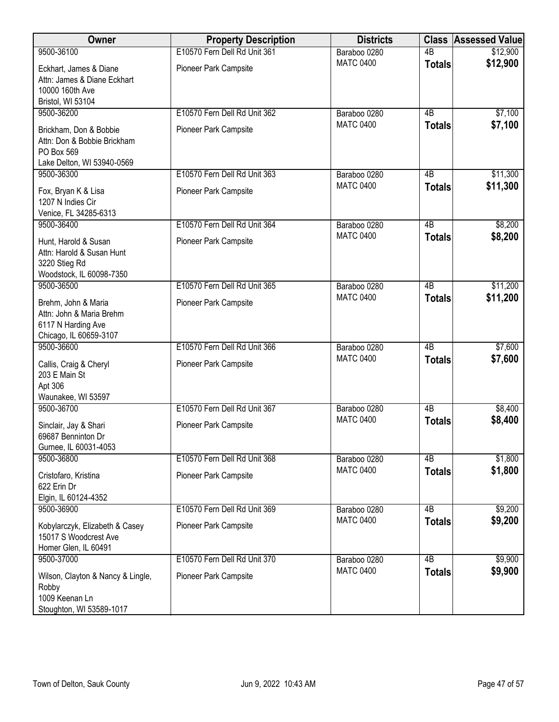| Owner                                                                                             | <b>Property Description</b>  | <b>Districts</b> |                 | <b>Class Assessed Value</b> |
|---------------------------------------------------------------------------------------------------|------------------------------|------------------|-----------------|-----------------------------|
| 9500-36100                                                                                        | E10570 Fern Dell Rd Unit 361 | Baraboo 0280     | $\overline{AB}$ | \$12,900                    |
| Eckhart, James & Diane<br>Attn: James & Diane Eckhart<br>10000 160th Ave<br>Bristol, WI 53104     | Pioneer Park Campsite        | <b>MATC 0400</b> | <b>Totals</b>   | \$12,900                    |
| 9500-36200                                                                                        | E10570 Fern Dell Rd Unit 362 | Baraboo 0280     | 4B              | \$7,100                     |
| Brickham, Don & Bobbie<br>Attn: Don & Bobbie Brickham<br>PO Box 569<br>Lake Delton, WI 53940-0569 | Pioneer Park Campsite        | <b>MATC 0400</b> | <b>Totals</b>   | \$7,100                     |
| 9500-36300                                                                                        | E10570 Fern Dell Rd Unit 363 | Baraboo 0280     | 4B              | \$11,300                    |
| Fox, Bryan K & Lisa<br>1207 N Indies Cir<br>Venice, FL 34285-6313                                 | Pioneer Park Campsite        | <b>MATC 0400</b> | <b>Totals</b>   | \$11,300                    |
| 9500-36400                                                                                        | E10570 Fern Dell Rd Unit 364 | Baraboo 0280     | 4B              | \$8,200                     |
| Hunt, Harold & Susan<br>Attn: Harold & Susan Hunt<br>3220 Stieg Rd<br>Woodstock, IL 60098-7350    | Pioneer Park Campsite        | <b>MATC 0400</b> | <b>Totals</b>   | \$8,200                     |
| 9500-36500                                                                                        | E10570 Fern Dell Rd Unit 365 | Baraboo 0280     | 4B              | \$11,200                    |
| Brehm, John & Maria<br>Attn: John & Maria Brehm<br>6117 N Harding Ave<br>Chicago, IL 60659-3107   | Pioneer Park Campsite        | <b>MATC 0400</b> | <b>Totals</b>   | \$11,200                    |
| 9500-36600                                                                                        | E10570 Fern Dell Rd Unit 366 | Baraboo 0280     | 4B              | \$7,600                     |
| Callis, Craig & Cheryl<br>203 E Main St<br>Apt 306<br>Waunakee, WI 53597                          | Pioneer Park Campsite        | <b>MATC 0400</b> | <b>Totals</b>   | \$7,600                     |
| 9500-36700                                                                                        | E10570 Fern Dell Rd Unit 367 | Baraboo 0280     | 4B              | \$8,400                     |
| Sinclair, Jay & Shari<br>69687 Benninton Dr<br>Gurnee, IL 60031-4053                              | Pioneer Park Campsite        | <b>MATC 0400</b> | <b>Totals</b>   | \$8,400                     |
| 9500-36800                                                                                        | E10570 Fern Dell Rd Unit 368 | Baraboo 0280     | 4B              | \$1,800                     |
| Cristofaro, Kristina<br>622 Erin Dr<br>Elgin, IL 60124-4352                                       | <b>Pioneer Park Campsite</b> | <b>MATC 0400</b> | <b>Totals</b>   | \$1,800                     |
| 9500-36900                                                                                        | E10570 Fern Dell Rd Unit 369 | Baraboo 0280     | 4B              | \$9,200                     |
| Kobylarczyk, Elizabeth & Casey<br>15017 S Woodcrest Ave<br>Homer Glen, IL 60491                   | Pioneer Park Campsite        | <b>MATC 0400</b> | <b>Totals</b>   | \$9,200                     |
| 9500-37000                                                                                        | E10570 Fern Dell Rd Unit 370 | Baraboo 0280     | $\overline{AB}$ | \$9,900                     |
| Wilson, Clayton & Nancy & Lingle,<br>Robby<br>1009 Keenan Ln<br>Stoughton, WI 53589-1017          | Pioneer Park Campsite        | <b>MATC 0400</b> | <b>Totals</b>   | \$9,900                     |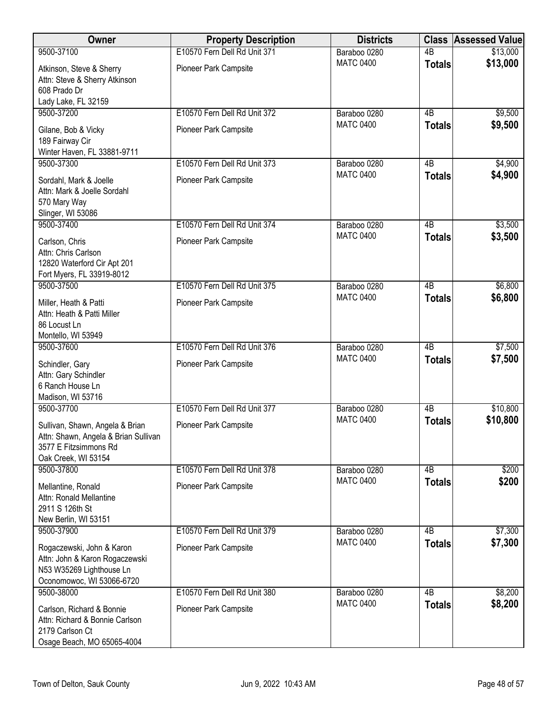| Owner                                                                                                                   | <b>Property Description</b>  | <b>Districts</b> | <b>Class</b>    | <b>Assessed Value</b> |
|-------------------------------------------------------------------------------------------------------------------------|------------------------------|------------------|-----------------|-----------------------|
| 9500-37100                                                                                                              | E10570 Fern Dell Rd Unit 371 | Baraboo 0280     | $\overline{AB}$ | \$13,000              |
| Atkinson, Steve & Sherry<br>Attn: Steve & Sherry Atkinson<br>608 Prado Dr<br>Lady Lake, FL 32159                        | Pioneer Park Campsite        | <b>MATC 0400</b> | <b>Totals</b>   | \$13,000              |
| 9500-37200                                                                                                              | E10570 Fern Dell Rd Unit 372 | Baraboo 0280     | 4B              | \$9,500               |
| Gilane, Bob & Vicky<br>189 Fairway Cir<br>Winter Haven, FL 33881-9711                                                   | Pioneer Park Campsite        | <b>MATC 0400</b> | <b>Totals</b>   | \$9,500               |
| 9500-37300                                                                                                              | E10570 Fern Dell Rd Unit 373 | Baraboo 0280     | 4B              | \$4,900               |
| Sordahl, Mark & Joelle<br>Attn: Mark & Joelle Sordahl<br>570 Mary Way<br>Slinger, WI 53086                              | Pioneer Park Campsite        | <b>MATC 0400</b> | <b>Totals</b>   | \$4,900               |
| 9500-37400                                                                                                              | E10570 Fern Dell Rd Unit 374 | Baraboo 0280     | 4B              | \$3,500               |
| Carlson, Chris<br>Attn: Chris Carlson<br>12820 Waterford Cir Apt 201<br>Fort Myers, FL 33919-8012                       | Pioneer Park Campsite        | <b>MATC 0400</b> | <b>Totals</b>   | \$3,500               |
| 9500-37500                                                                                                              | E10570 Fern Dell Rd Unit 375 | Baraboo 0280     | $\overline{AB}$ | \$6,800               |
| Miller, Heath & Patti<br>Attn: Heath & Patti Miller<br>86 Locust Ln<br>Montello, WI 53949                               | Pioneer Park Campsite        | <b>MATC 0400</b> | <b>Totals</b>   | \$6,800               |
| 9500-37600                                                                                                              | E10570 Fern Dell Rd Unit 376 | Baraboo 0280     | $\overline{AB}$ | \$7,500               |
| Schindler, Gary<br>Attn: Gary Schindler<br>6 Ranch House Ln<br>Madison, WI 53716                                        | Pioneer Park Campsite        | <b>MATC 0400</b> | <b>Totals</b>   | \$7,500               |
| 9500-37700                                                                                                              | E10570 Fern Dell Rd Unit 377 | Baraboo 0280     | $\overline{AB}$ | \$10,800              |
| Sullivan, Shawn, Angela & Brian<br>Attn: Shawn, Angela & Brian Sullivan<br>3577 E Fitzsimmons Rd<br>Oak Creek, WI 53154 | Pioneer Park Campsite        | <b>MATC 0400</b> | <b>Totals</b>   | \$10,800              |
| 9500-37800                                                                                                              | E10570 Fern Dell Rd Unit 378 | Baraboo 0280     | 4B              | \$200                 |
| Mellantine, Ronald<br>Attn: Ronald Mellantine<br>2911 S 126th St<br>New Berlin, WI 53151                                | Pioneer Park Campsite        | <b>MATC 0400</b> | <b>Totals</b>   | \$200                 |
| 9500-37900                                                                                                              | E10570 Fern Dell Rd Unit 379 | Baraboo 0280     | 4B              | \$7,300               |
| Rogaczewski, John & Karon<br>Attn: John & Karon Rogaczewski<br>N53 W35269 Lighthouse Ln<br>Oconomowoc, WI 53066-6720    | Pioneer Park Campsite        | <b>MATC 0400</b> | <b>Totals</b>   | \$7,300               |
| 9500-38000                                                                                                              | E10570 Fern Dell Rd Unit 380 | Baraboo 0280     | $\overline{AB}$ | \$8,200               |
| Carlson, Richard & Bonnie<br>Attn: Richard & Bonnie Carlson<br>2179 Carlson Ct<br>Osage Beach, MO 65065-4004            | Pioneer Park Campsite        | <b>MATC 0400</b> | <b>Totals</b>   | \$8,200               |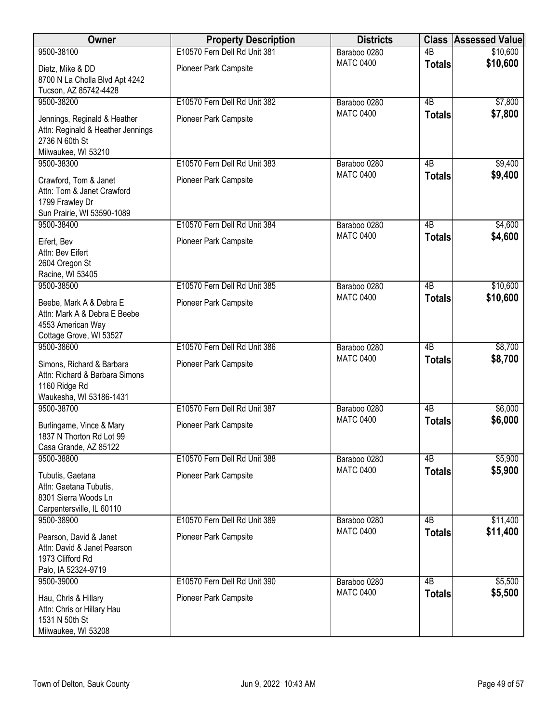| <b>Owner</b>                                                                                               | <b>Property Description</b>  | <b>Districts</b> | <b>Class</b>    | <b>Assessed Value</b> |
|------------------------------------------------------------------------------------------------------------|------------------------------|------------------|-----------------|-----------------------|
| 9500-38100                                                                                                 | E10570 Fern Dell Rd Unit 381 | Baraboo 0280     | 4B              | \$10,600              |
| Dietz, Mike & DD<br>8700 N La Cholla Blvd Apt 4242                                                         | Pioneer Park Campsite        | <b>MATC 0400</b> | <b>Totals</b>   | \$10,600              |
| Tucson, AZ 85742-4428                                                                                      |                              |                  |                 |                       |
| 9500-38200                                                                                                 | E10570 Fern Dell Rd Unit 382 | Baraboo 0280     | $\overline{AB}$ | \$7,800               |
| Jennings, Reginald & Heather<br>Attn: Reginald & Heather Jennings<br>2736 N 60th St<br>Milwaukee, WI 53210 | Pioneer Park Campsite        | <b>MATC 0400</b> | <b>Totals</b>   | \$7,800               |
| 9500-38300                                                                                                 | E10570 Fern Dell Rd Unit 383 | Baraboo 0280     | 4B              | \$9,400               |
| Crawford, Tom & Janet<br>Attn: Tom & Janet Crawford<br>1799 Frawley Dr<br>Sun Prairie, WI 53590-1089       | Pioneer Park Campsite        | <b>MATC 0400</b> | <b>Totals</b>   | \$9,400               |
| 9500-38400                                                                                                 | E10570 Fern Dell Rd Unit 384 | Baraboo 0280     | $\overline{AB}$ | \$4,600               |
| Eifert, Bev<br>Attn: Bev Eifert<br>2604 Oregon St<br>Racine, WI 53405                                      | Pioneer Park Campsite        | <b>MATC 0400</b> | <b>Totals</b>   | \$4,600               |
| 9500-38500                                                                                                 | E10570 Fern Dell Rd Unit 385 | Baraboo 0280     | $\overline{AB}$ | \$10,600              |
| Beebe, Mark A & Debra E<br>Attn: Mark A & Debra E Beebe<br>4553 American Way<br>Cottage Grove, WI 53527    | Pioneer Park Campsite        | <b>MATC 0400</b> | <b>Totals</b>   | \$10,600              |
| 9500-38600                                                                                                 | E10570 Fern Dell Rd Unit 386 | Baraboo 0280     | 4B              | \$8,700               |
| Simons, Richard & Barbara<br>Attn: Richard & Barbara Simons<br>1160 Ridge Rd<br>Waukesha, WI 53186-1431    | Pioneer Park Campsite        | <b>MATC 0400</b> | <b>Totals</b>   | \$8,700               |
| 9500-38700                                                                                                 | E10570 Fern Dell Rd Unit 387 | Baraboo 0280     | $\overline{AB}$ | \$6,000               |
| Burlingame, Vince & Mary<br>1837 N Thorton Rd Lot 99<br>Casa Grande, AZ 85122                              | Pioneer Park Campsite        | <b>MATC 0400</b> | <b>Totals</b>   | \$6,000               |
| 9500-38800                                                                                                 | E10570 Fern Dell Rd Unit 388 | Baraboo 0280     | 4B              | \$5,900               |
| Tubutis, Gaetana<br>Attn: Gaetana Tubutis,<br>8301 Sierra Woods Ln<br>Carpentersville, IL 60110            | Pioneer Park Campsite        | <b>MATC 0400</b> | <b>Totals</b>   | \$5,900               |
| 9500-38900                                                                                                 | E10570 Fern Dell Rd Unit 389 | Baraboo 0280     | 4B              | \$11,400              |
| Pearson, David & Janet<br>Attn: David & Janet Pearson<br>1973 Clifford Rd<br>Palo, IA 52324-9719           | Pioneer Park Campsite        | <b>MATC 0400</b> | <b>Totals</b>   | \$11,400              |
| 9500-39000                                                                                                 | E10570 Fern Dell Rd Unit 390 | Baraboo 0280     | $\overline{AB}$ | \$5,500               |
| Hau, Chris & Hillary<br>Attn: Chris or Hillary Hau<br>1531 N 50th St<br>Milwaukee, WI 53208                | Pioneer Park Campsite        | <b>MATC 0400</b> | <b>Totals</b>   | \$5,500               |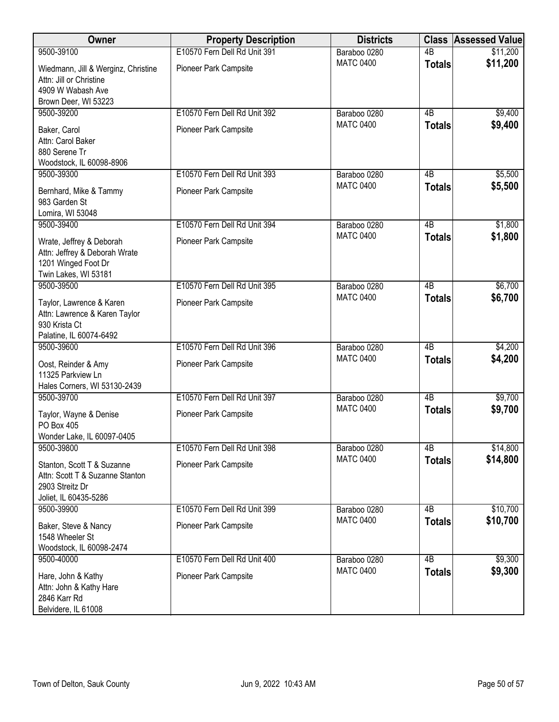| Owner                                                                                                     | <b>Property Description</b>  | <b>Districts</b> |                 | <b>Class Assessed Value</b> |
|-----------------------------------------------------------------------------------------------------------|------------------------------|------------------|-----------------|-----------------------------|
| 9500-39100                                                                                                | E10570 Fern Dell Rd Unit 391 | Baraboo 0280     | 4B              | \$11,200                    |
| Wiedmann, Jill & Werginz, Christine<br>Attn: Jill or Christine<br>4909 W Wabash Ave                       | Pioneer Park Campsite        | <b>MATC 0400</b> | <b>Totals</b>   | \$11,200                    |
| Brown Deer, WI 53223<br>9500-39200                                                                        | E10570 Fern Dell Rd Unit 392 | Baraboo 0280     | 4B              | \$9,400                     |
| Baker, Carol<br>Attn: Carol Baker<br>880 Serene Tr<br>Woodstock, IL 60098-8906                            | Pioneer Park Campsite        | <b>MATC 0400</b> | <b>Totals</b>   | \$9,400                     |
| 9500-39300                                                                                                | E10570 Fern Dell Rd Unit 393 | Baraboo 0280     | 4B              | \$5,500                     |
| Bernhard, Mike & Tammy<br>983 Garden St<br>Lomira, WI 53048                                               | Pioneer Park Campsite        | <b>MATC 0400</b> | <b>Totals</b>   | \$5,500                     |
| 9500-39400                                                                                                | E10570 Fern Dell Rd Unit 394 | Baraboo 0280     | 4B              | \$1,800                     |
| Wrate, Jeffrey & Deborah<br>Attn: Jeffrey & Deborah Wrate<br>1201 Winged Foot Dr<br>Twin Lakes, WI 53181  | Pioneer Park Campsite        | <b>MATC 0400</b> | <b>Totals</b>   | \$1,800                     |
| 9500-39500                                                                                                | E10570 Fern Dell Rd Unit 395 | Baraboo 0280     | $\overline{AB}$ | \$6,700                     |
| Taylor, Lawrence & Karen<br>Attn: Lawrence & Karen Taylor<br>930 Krista Ct                                | Pioneer Park Campsite        | <b>MATC 0400</b> | <b>Totals</b>   | \$6,700                     |
| Palatine, IL 60074-6492<br>9500-39600                                                                     | E10570 Fern Dell Rd Unit 396 | Baraboo 0280     | $\overline{AB}$ | \$4,200                     |
| Oost, Reinder & Amy<br>11325 Parkview Ln<br>Hales Corners, WI 53130-2439                                  | Pioneer Park Campsite        | <b>MATC 0400</b> | <b>Totals</b>   | \$4,200                     |
| 9500-39700                                                                                                | E10570 Fern Dell Rd Unit 397 | Baraboo 0280     | $\overline{AB}$ | \$9,700                     |
| Taylor, Wayne & Denise<br>PO Box 405<br>Wonder Lake, IL 60097-0405                                        | Pioneer Park Campsite        | <b>MATC 0400</b> | <b>Totals</b>   | \$9,700                     |
| 9500-39800                                                                                                | E10570 Fern Dell Rd Unit 398 | Baraboo 0280     | 4B              | \$14,800                    |
| Stanton, Scott T & Suzanne<br>Attn: Scott T & Suzanne Stanton<br>2903 Streitz Dr<br>Joliet, IL 60435-5286 | Pioneer Park Campsite        | <b>MATC 0400</b> | <b>Totals</b>   | \$14,800                    |
| 9500-39900                                                                                                | E10570 Fern Dell Rd Unit 399 | Baraboo 0280     | 4B              | \$10,700                    |
| Baker, Steve & Nancy<br>1548 Wheeler St<br>Woodstock, IL 60098-2474                                       | Pioneer Park Campsite        | <b>MATC 0400</b> | <b>Totals</b>   | \$10,700                    |
| 9500-40000                                                                                                | E10570 Fern Dell Rd Unit 400 | Baraboo 0280     | $\overline{AB}$ | \$9,300                     |
| Hare, John & Kathy<br>Attn: John & Kathy Hare<br>2846 Karr Rd<br>Belvidere, IL 61008                      | Pioneer Park Campsite        | <b>MATC 0400</b> | <b>Totals</b>   | \$9,300                     |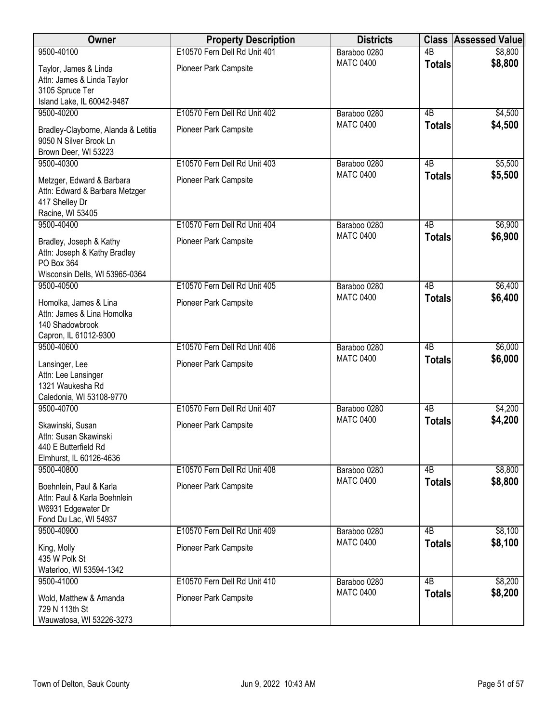| Owner                               | <b>Property Description</b>  | <b>Districts</b> |                 | <b>Class Assessed Value</b> |
|-------------------------------------|------------------------------|------------------|-----------------|-----------------------------|
| 9500-40100                          | E10570 Fern Dell Rd Unit 401 | Baraboo 0280     | $\overline{AB}$ | \$8,800                     |
| Taylor, James & Linda               | Pioneer Park Campsite        | <b>MATC 0400</b> | <b>Totals</b>   | \$8,800                     |
| Attn: James & Linda Taylor          |                              |                  |                 |                             |
| 3105 Spruce Ter                     |                              |                  |                 |                             |
| Island Lake, IL 60042-9487          |                              |                  |                 |                             |
| 9500-40200                          | E10570 Fern Dell Rd Unit 402 | Baraboo 0280     | $\overline{AB}$ | \$4,500                     |
| Bradley-Clayborne, Alanda & Letitia | Pioneer Park Campsite        | <b>MATC 0400</b> | <b>Totals</b>   | \$4,500                     |
| 9050 N Silver Brook Ln              |                              |                  |                 |                             |
| Brown Deer, WI 53223                |                              |                  |                 |                             |
| 9500-40300                          | E10570 Fern Dell Rd Unit 403 | Baraboo 0280     | 4B              | \$5,500                     |
| Metzger, Edward & Barbara           | Pioneer Park Campsite        | <b>MATC 0400</b> | <b>Totals</b>   | \$5,500                     |
| Attn: Edward & Barbara Metzger      |                              |                  |                 |                             |
| 417 Shelley Dr                      |                              |                  |                 |                             |
| Racine, WI 53405                    |                              |                  |                 |                             |
| 9500-40400                          | E10570 Fern Dell Rd Unit 404 | Baraboo 0280     | $\overline{AB}$ | \$6,900                     |
| Bradley, Joseph & Kathy             | Pioneer Park Campsite        | <b>MATC 0400</b> | <b>Totals</b>   | \$6,900                     |
| Attn: Joseph & Kathy Bradley        |                              |                  |                 |                             |
| PO Box 364                          |                              |                  |                 |                             |
| Wisconsin Dells, WI 53965-0364      |                              |                  |                 |                             |
| 9500-40500                          | E10570 Fern Dell Rd Unit 405 | Baraboo 0280     | $\overline{AB}$ | \$6,400                     |
| Homolka, James & Lina               | Pioneer Park Campsite        | <b>MATC 0400</b> | <b>Totals</b>   | \$6,400                     |
| Attn: James & Lina Homolka          |                              |                  |                 |                             |
| 140 Shadowbrook                     |                              |                  |                 |                             |
| Capron, IL 61012-9300               |                              |                  |                 |                             |
| 9500-40600                          | E10570 Fern Dell Rd Unit 406 | Baraboo 0280     | $\overline{AB}$ | \$6,000                     |
| Lansinger, Lee                      | Pioneer Park Campsite        | <b>MATC 0400</b> | <b>Totals</b>   | \$6,000                     |
| Attn: Lee Lansinger                 |                              |                  |                 |                             |
| 1321 Waukesha Rd                    |                              |                  |                 |                             |
| Caledonia, WI 53108-9770            |                              |                  |                 |                             |
| 9500-40700                          | E10570 Fern Dell Rd Unit 407 | Baraboo 0280     | $\overline{AB}$ | \$4,200                     |
| Skawinski, Susan                    | Pioneer Park Campsite        | <b>MATC 0400</b> | <b>Totals</b>   | \$4,200                     |
| Attn: Susan Skawinski               |                              |                  |                 |                             |
| 440 E Butterfield Rd                |                              |                  |                 |                             |
| Elmhurst, IL 60126-4636             |                              |                  |                 |                             |
| 9500-40800                          | E10570 Fern Dell Rd Unit 408 | Baraboo 0280     | 4B              | \$8,800                     |
| Boehnlein, Paul & Karla             | Pioneer Park Campsite        | <b>MATC 0400</b> | <b>Totals</b>   | \$8,800                     |
| Attn: Paul & Karla Boehnlein        |                              |                  |                 |                             |
| W6931 Edgewater Dr                  |                              |                  |                 |                             |
| Fond Du Lac, WI 54937               |                              |                  |                 |                             |
| 9500-40900                          | E10570 Fern Dell Rd Unit 409 | Baraboo 0280     | 4B              | \$8,100                     |
| King, Molly                         | Pioneer Park Campsite        | <b>MATC 0400</b> | <b>Totals</b>   | \$8,100                     |
| 435 W Polk St                       |                              |                  |                 |                             |
| Waterloo, WI 53594-1342             |                              |                  |                 |                             |
| 9500-41000                          | E10570 Fern Dell Rd Unit 410 | Baraboo 0280     | $\overline{AB}$ | \$8,200                     |
| Wold, Matthew & Amanda              | Pioneer Park Campsite        | <b>MATC 0400</b> | <b>Totals</b>   | \$8,200                     |
| 729 N 113th St                      |                              |                  |                 |                             |
| Wauwatosa, WI 53226-3273            |                              |                  |                 |                             |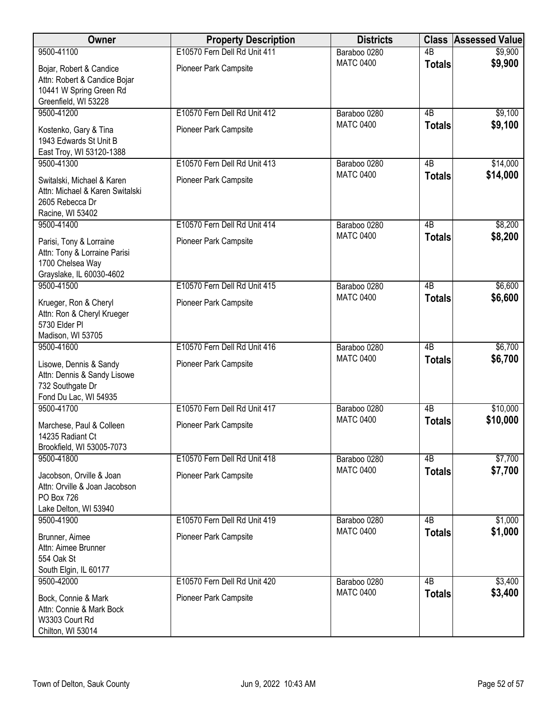| Owner                                                                                                      | <b>Property Description</b>  | <b>Districts</b> |                 | <b>Class Assessed Value</b> |
|------------------------------------------------------------------------------------------------------------|------------------------------|------------------|-----------------|-----------------------------|
| 9500-41100                                                                                                 | E10570 Fern Dell Rd Unit 411 | Baraboo 0280     | $\overline{AB}$ | \$9,900                     |
| Bojar, Robert & Candice<br>Attn: Robert & Candice Bojar<br>10441 W Spring Green Rd<br>Greenfield, WI 53228 | Pioneer Park Campsite        | <b>MATC 0400</b> | <b>Totals</b>   | \$9,900                     |
| 9500-41200                                                                                                 | E10570 Fern Dell Rd Unit 412 | Baraboo 0280     | 4B              | \$9,100                     |
| Kostenko, Gary & Tina<br>1943 Edwards St Unit B<br>East Troy, WI 53120-1388                                | Pioneer Park Campsite        | <b>MATC 0400</b> | <b>Totals</b>   | \$9,100                     |
| 9500-41300                                                                                                 | E10570 Fern Dell Rd Unit 413 | Baraboo 0280     | 4B              | \$14,000                    |
| Switalski, Michael & Karen<br>Attn: Michael & Karen Switalski<br>2605 Rebecca Dr<br>Racine, WI 53402       | Pioneer Park Campsite        | <b>MATC 0400</b> | <b>Totals</b>   | \$14,000                    |
| 9500-41400                                                                                                 | E10570 Fern Dell Rd Unit 414 | Baraboo 0280     | $\overline{AB}$ | \$8,200                     |
| Parisi, Tony & Lorraine<br>Attn: Tony & Lorraine Parisi<br>1700 Chelsea Way<br>Grayslake, IL 60030-4602    | Pioneer Park Campsite        | <b>MATC 0400</b> | <b>Totals</b>   | \$8,200                     |
| 9500-41500                                                                                                 | E10570 Fern Dell Rd Unit 415 | Baraboo 0280     | $\overline{AB}$ | \$6,600                     |
| Krueger, Ron & Cheryl<br>Attn: Ron & Cheryl Krueger<br>5730 Elder PI<br>Madison, WI 53705                  | Pioneer Park Campsite        | <b>MATC 0400</b> | <b>Totals</b>   | \$6,600                     |
| 9500-41600                                                                                                 | E10570 Fern Dell Rd Unit 416 | Baraboo 0280     | $\overline{AB}$ | \$6,700                     |
| Lisowe, Dennis & Sandy<br>Attn: Dennis & Sandy Lisowe<br>732 Southgate Dr<br>Fond Du Lac, WI 54935         | Pioneer Park Campsite        | <b>MATC 0400</b> | <b>Totals</b>   | \$6,700                     |
| 9500-41700                                                                                                 | E10570 Fern Dell Rd Unit 417 | Baraboo 0280     | $\overline{AB}$ | \$10,000                    |
| Marchese, Paul & Colleen<br>14235 Radiant Ct<br>Brookfield, WI 53005-7073                                  | Pioneer Park Campsite        | <b>MATC 0400</b> | <b>Totals</b>   | \$10,000                    |
| 9500-41800                                                                                                 | E10570 Fern Dell Rd Unit 418 | Baraboo 0280     | 4B              | \$7,700                     |
| Jacobson, Orville & Joan<br>Attn: Orville & Joan Jacobson<br><b>PO Box 726</b><br>Lake Delton, WI 53940    | Pioneer Park Campsite        | <b>MATC 0400</b> | <b>Totals</b>   | \$7,700                     |
| 9500-41900                                                                                                 | E10570 Fern Dell Rd Unit 419 | Baraboo 0280     | 4B              | \$1,000                     |
| Brunner, Aimee<br>Attn: Aimee Brunner<br>554 Oak St<br>South Elgin, IL 60177                               | Pioneer Park Campsite        | <b>MATC 0400</b> | <b>Totals</b>   | \$1,000                     |
| 9500-42000                                                                                                 | E10570 Fern Dell Rd Unit 420 | Baraboo 0280     | $\overline{AB}$ | \$3,400                     |
| Bock, Connie & Mark<br>Attn: Connie & Mark Bock<br>W3303 Court Rd<br>Chilton, WI 53014                     | Pioneer Park Campsite        | <b>MATC 0400</b> | <b>Totals</b>   | \$3,400                     |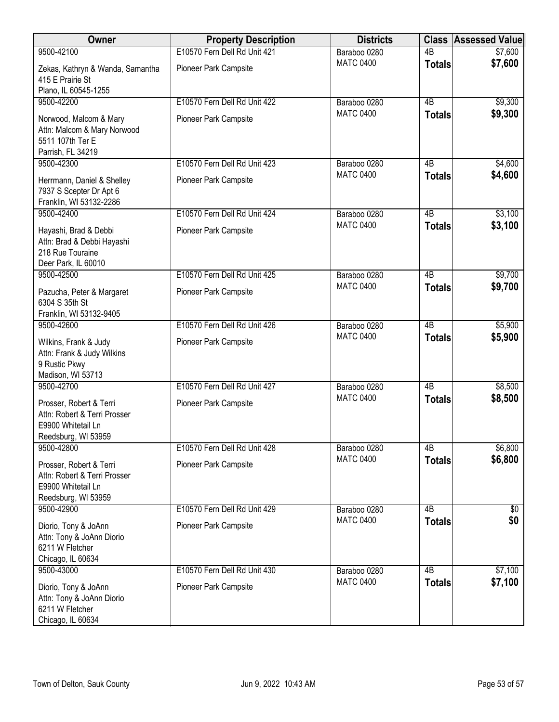| Owner                                                                                                   | <b>Property Description</b>                           | <b>Districts</b>                 | <b>Class</b>                     | <b>Assessed Value</b> |
|---------------------------------------------------------------------------------------------------------|-------------------------------------------------------|----------------------------------|----------------------------------|-----------------------|
| 9500-42100                                                                                              | E10570 Fern Dell Rd Unit 421                          | Baraboo 0280                     | $\overline{AB}$                  | \$7,600               |
| Zekas, Kathryn & Wanda, Samantha<br>415 E Prairie St                                                    | Pioneer Park Campsite                                 | <b>MATC 0400</b>                 | <b>Totals</b>                    | \$7,600               |
| Plano, IL 60545-1255                                                                                    |                                                       |                                  |                                  |                       |
| 9500-42200                                                                                              | E10570 Fern Dell Rd Unit 422                          | Baraboo 0280                     | $\overline{AB}$                  | \$9,300               |
| Norwood, Malcom & Mary<br>Attn: Malcom & Mary Norwood<br>5511 107th Ter E                               | Pioneer Park Campsite                                 | <b>MATC 0400</b>                 | <b>Totals</b>                    | \$9,300               |
| Parrish, FL 34219                                                                                       |                                                       |                                  |                                  |                       |
| 9500-42300<br>Herrmann, Daniel & Shelley<br>7937 S Scepter Dr Apt 6<br>Franklin, WI 53132-2286          | E10570 Fern Dell Rd Unit 423<br>Pioneer Park Campsite | Baraboo 0280<br><b>MATC 0400</b> | 4B<br><b>Totals</b>              | \$4,600<br>\$4,600    |
| 9500-42400                                                                                              | E10570 Fern Dell Rd Unit 424                          | Baraboo 0280                     | $\overline{AB}$                  | \$3,100               |
| Hayashi, Brad & Debbi<br>Attn: Brad & Debbi Hayashi<br>218 Rue Touraine<br>Deer Park, IL 60010          | Pioneer Park Campsite                                 | <b>MATC 0400</b>                 | <b>Totals</b>                    | \$3,100               |
| 9500-42500                                                                                              | E10570 Fern Dell Rd Unit 425                          | Baraboo 0280                     | $\overline{AB}$                  | \$9,700               |
| Pazucha, Peter & Margaret<br>6304 S 35th St                                                             | Pioneer Park Campsite                                 | <b>MATC 0400</b>                 | <b>Totals</b>                    | \$9,700               |
| Franklin, WI 53132-9405                                                                                 |                                                       |                                  |                                  |                       |
| 9500-42600<br>Wilkins, Frank & Judy<br>Attn: Frank & Judy Wilkins<br>9 Rustic Pkwy<br>Madison, WI 53713 | E10570 Fern Dell Rd Unit 426<br>Pioneer Park Campsite | Baraboo 0280<br><b>MATC 0400</b> | $\overline{AB}$<br><b>Totals</b> | \$5,900<br>\$5,900    |
| 9500-42700                                                                                              | E10570 Fern Dell Rd Unit 427                          | Baraboo 0280                     | $\overline{AB}$                  | \$8,500               |
| Prosser, Robert & Terri<br>Attn: Robert & Terri Prosser<br>E9900 Whitetail Ln<br>Reedsburg, WI 53959    | Pioneer Park Campsite                                 | <b>MATC 0400</b>                 | <b>Totals</b>                    | \$8,500               |
| 9500-42800                                                                                              | E10570 Fern Dell Rd Unit 428                          | Baraboo 0280                     | 4B                               | \$6,800               |
| Prosser, Robert & Terri<br>Attn: Robert & Terri Prosser<br>E9900 Whitetail Ln<br>Reedsburg, WI 53959    | Pioneer Park Campsite                                 | <b>MATC 0400</b>                 | <b>Totals</b>                    | \$6,800               |
| 9500-42900                                                                                              | E10570 Fern Dell Rd Unit 429                          | Baraboo 0280                     | 4B                               | \$0                   |
| Diorio, Tony & JoAnn<br>Attn: Tony & JoAnn Diorio<br>6211 W Fletcher<br>Chicago, IL 60634               | Pioneer Park Campsite                                 | <b>MATC 0400</b>                 | <b>Totals</b>                    | \$0                   |
| 9500-43000                                                                                              | E10570 Fern Dell Rd Unit 430                          | Baraboo 0280                     | $\overline{AB}$                  | \$7,100               |
| Diorio, Tony & JoAnn<br>Attn: Tony & JoAnn Diorio<br>6211 W Fletcher<br>Chicago, IL 60634               | Pioneer Park Campsite                                 | <b>MATC 0400</b>                 | <b>Totals</b>                    | \$7,100               |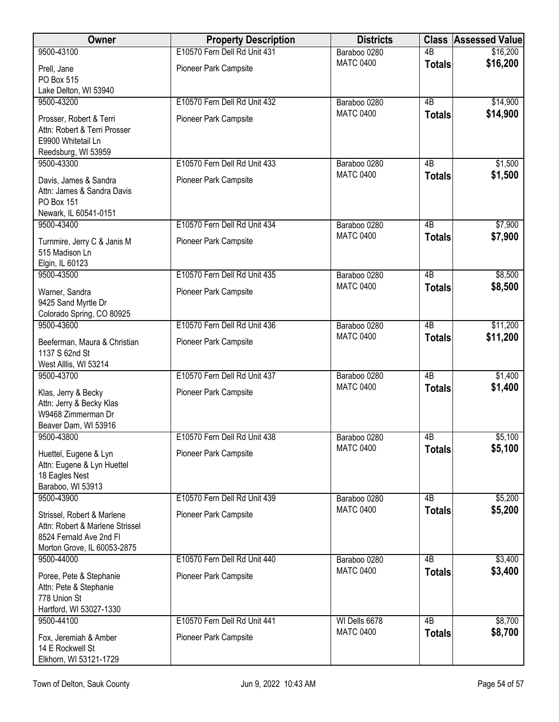| Owner                                                                                                                   | <b>Property Description</b>  | <b>Districts</b> |                 | <b>Class Assessed Value</b> |
|-------------------------------------------------------------------------------------------------------------------------|------------------------------|------------------|-----------------|-----------------------------|
| 9500-43100                                                                                                              | E10570 Fern Dell Rd Unit 431 | Baraboo 0280     | $\overline{AB}$ | \$16,200                    |
| Prell, Jane<br>PO Box 515<br>Lake Delton, WI 53940                                                                      | Pioneer Park Campsite        | <b>MATC 0400</b> | <b>Totals</b>   | \$16,200                    |
| 9500-43200                                                                                                              | E10570 Fern Dell Rd Unit 432 | Baraboo 0280     | 4B              | \$14,900                    |
| Prosser, Robert & Terri<br>Attn: Robert & Terri Prosser<br>E9900 Whitetail Ln<br>Reedsburg, WI 53959                    | Pioneer Park Campsite        | <b>MATC 0400</b> | <b>Totals</b>   | \$14,900                    |
| 9500-43300                                                                                                              | E10570 Fern Dell Rd Unit 433 | Baraboo 0280     | 4B              | \$1,500                     |
| Davis, James & Sandra<br>Attn: James & Sandra Davis<br>PO Box 151<br>Newark, IL 60541-0151                              | Pioneer Park Campsite        | <b>MATC 0400</b> | <b>Totals</b>   | \$1,500                     |
| 9500-43400                                                                                                              | E10570 Fern Dell Rd Unit 434 | Baraboo 0280     | $\overline{AB}$ | \$7,900                     |
| Turnmire, Jerry C & Janis M<br>515 Madison Ln<br>Elgin, IL 60123                                                        | Pioneer Park Campsite        | <b>MATC 0400</b> | <b>Totals</b>   | \$7,900                     |
| 9500-43500                                                                                                              | E10570 Fern Dell Rd Unit 435 | Baraboo 0280     | $\overline{AB}$ | \$8,500                     |
| Warner, Sandra<br>9425 Sand Myrtle Dr<br>Colorado Spring, CO 80925                                                      | Pioneer Park Campsite        | <b>MATC 0400</b> | <b>Totals</b>   | \$8,500                     |
| 9500-43600                                                                                                              | E10570 Fern Dell Rd Unit 436 | Baraboo 0280     | $\overline{AB}$ | \$11,200                    |
| Beeferman, Maura & Christian<br>1137 S 62nd St<br>West Alllis, WI 53214                                                 | Pioneer Park Campsite        | <b>MATC 0400</b> | <b>Totals</b>   | \$11,200                    |
| 9500-43700                                                                                                              | E10570 Fern Dell Rd Unit 437 | Baraboo 0280     | $\overline{AB}$ | \$1,400                     |
| Klas, Jerry & Becky<br>Attn: Jerry & Becky Klas<br>W9468 Zimmerman Dr<br>Beaver Dam, WI 53916                           | Pioneer Park Campsite        | <b>MATC 0400</b> | <b>Totals</b>   | \$1,400                     |
| 9500-43800                                                                                                              | E10570 Fern Dell Rd Unit 438 | Baraboo 0280     | 4 <sub>B</sub>  | \$5,100                     |
| Huettel, Eugene & Lyn<br>Attn: Eugene & Lyn Huettel<br>18 Eagles Nest<br>Baraboo, WI 53913                              | Pioneer Park Campsite        | <b>MATC 0400</b> | <b>Totals</b>   | \$5,100                     |
| 9500-43900                                                                                                              | E10570 Fern Dell Rd Unit 439 | Baraboo 0280     | $\overline{AB}$ | \$5,200                     |
| Strissel, Robert & Marlene<br>Attn: Robert & Marlene Strissel<br>8524 Fernald Ave 2nd Fl<br>Morton Grove, IL 60053-2875 | Pioneer Park Campsite        | <b>MATC 0400</b> | <b>Totals</b>   | \$5,200                     |
| 9500-44000                                                                                                              | E10570 Fern Dell Rd Unit 440 | Baraboo 0280     | 4B              | \$3,400                     |
| Poree, Pete & Stephanie<br>Attn: Pete & Stephanie<br>778 Union St<br>Hartford, WI 53027-1330                            | Pioneer Park Campsite        | <b>MATC 0400</b> | <b>Totals</b>   | \$3,400                     |
| 9500-44100                                                                                                              | E10570 Fern Dell Rd Unit 441 | WI Dells 6678    | 4B              | \$8,700                     |
| Fox, Jeremiah & Amber<br>14 E Rockwell St<br>Elkhorn, WI 53121-1729                                                     | Pioneer Park Campsite        | <b>MATC 0400</b> | <b>Totals</b>   | \$8,700                     |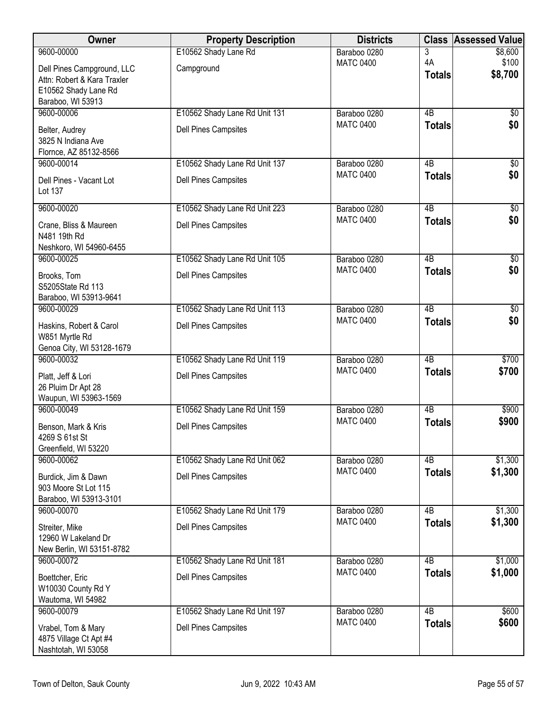| Owner                                            | <b>Property Description</b>   | <b>Districts</b>                 |                     | <b>Class Assessed Value</b> |
|--------------------------------------------------|-------------------------------|----------------------------------|---------------------|-----------------------------|
| 9600-00000                                       | E10562 Shady Lane Rd          | Baraboo 0280                     | 3                   | \$8,600                     |
| Dell Pines Campground, LLC                       | Campground                    | <b>MATC 0400</b>                 | 4A<br><b>Totals</b> | \$100<br>\$8,700            |
| Attn: Robert & Kara Traxler                      |                               |                                  |                     |                             |
| E10562 Shady Lane Rd<br>Baraboo, WI 53913        |                               |                                  |                     |                             |
| 9600-00006                                       | E10562 Shady Lane Rd Unit 131 | Baraboo 0280                     | $\overline{AB}$     | \$0                         |
| Belter, Audrey                                   | <b>Dell Pines Campsites</b>   | <b>MATC 0400</b>                 | <b>Totals</b>       | \$0                         |
| 3825 N Indiana Ave                               |                               |                                  |                     |                             |
| Flornce, AZ 85132-8566                           |                               |                                  |                     |                             |
| 9600-00014                                       | E10562 Shady Lane Rd Unit 137 | Baraboo 0280<br><b>MATC 0400</b> | 4B                  | \$0<br>\$0                  |
| Dell Pines - Vacant Lot                          | <b>Dell Pines Campsites</b>   |                                  | <b>Totals</b>       |                             |
| Lot 137                                          |                               |                                  |                     |                             |
| 9600-00020                                       | E10562 Shady Lane Rd Unit 223 | Baraboo 0280                     | 4B                  | \$0                         |
| Crane, Bliss & Maureen                           | <b>Dell Pines Campsites</b>   | <b>MATC 0400</b>                 | <b>Totals</b>       | \$0                         |
| N481 19th Rd                                     |                               |                                  |                     |                             |
| Neshkoro, WI 54960-6455                          |                               |                                  | $\overline{AB}$     |                             |
| 9600-00025                                       | E10562 Shady Lane Rd Unit 105 | Baraboo 0280<br><b>MATC 0400</b> | <b>Totals</b>       | \$0<br>\$0                  |
| Brooks, Tom                                      | <b>Dell Pines Campsites</b>   |                                  |                     |                             |
| S5205State Rd 113<br>Baraboo, WI 53913-9641      |                               |                                  |                     |                             |
| 9600-00029                                       | E10562 Shady Lane Rd Unit 113 | Baraboo 0280                     | $\overline{AB}$     | $\overline{50}$             |
| Haskins, Robert & Carol                          | <b>Dell Pines Campsites</b>   | <b>MATC 0400</b>                 | <b>Totals</b>       | \$0                         |
| W851 Myrtle Rd                                   |                               |                                  |                     |                             |
| Genoa City, WI 53128-1679                        |                               |                                  |                     |                             |
| 9600-00032                                       | E10562 Shady Lane Rd Unit 119 | Baraboo 0280                     | $\overline{AB}$     | \$700                       |
| Platt, Jeff & Lori                               | <b>Dell Pines Campsites</b>   | <b>MATC 0400</b>                 | <b>Totals</b>       | \$700                       |
| 26 Pluim Dr Apt 28                               |                               |                                  |                     |                             |
| Waupun, WI 53963-1569<br>9600-00049              | E10562 Shady Lane Rd Unit 159 | Baraboo 0280                     | $\overline{AB}$     | \$900                       |
|                                                  |                               | <b>MATC 0400</b>                 | <b>Totals</b>       | \$900                       |
| Benson, Mark & Kris<br>4269 S 61st St            | Dell Pines Campsites          |                                  |                     |                             |
| Greenfield, WI 53220                             |                               |                                  |                     |                             |
| 9600-00062                                       | E10562 Shady Lane Rd Unit 062 | Baraboo 0280                     | 4B                  | \$1,300                     |
| Burdick, Jim & Dawn                              | <b>Dell Pines Campsites</b>   | <b>MATC 0400</b>                 | <b>Totals</b>       | \$1,300                     |
| 903 Moore St Lot 115                             |                               |                                  |                     |                             |
| Baraboo, WI 53913-3101                           |                               |                                  |                     |                             |
| 9600-00070                                       | E10562 Shady Lane Rd Unit 179 | Baraboo 0280<br><b>MATC 0400</b> | 4B<br><b>Totals</b> | \$1,300<br>\$1,300          |
| Streiter, Mike                                   | <b>Dell Pines Campsites</b>   |                                  |                     |                             |
| 12960 W Lakeland Dr<br>New Berlin, WI 53151-8782 |                               |                                  |                     |                             |
| 9600-00072                                       | E10562 Shady Lane Rd Unit 181 | Baraboo 0280                     | $\overline{AB}$     | \$1,000                     |
| Boettcher, Eric                                  | Dell Pines Campsites          | <b>MATC 0400</b>                 | <b>Totals</b>       | \$1,000                     |
| W10030 County Rd Y                               |                               |                                  |                     |                             |
| Wautoma, WI 54982                                |                               |                                  |                     |                             |
| 9600-00079                                       | E10562 Shady Lane Rd Unit 197 | Baraboo 0280                     | $\overline{AB}$     | \$600                       |
| Vrabel, Tom & Mary                               | Dell Pines Campsites          | <b>MATC 0400</b>                 | <b>Totals</b>       | \$600                       |
| 4875 Village Ct Apt #4                           |                               |                                  |                     |                             |
| Nashtotah, WI 53058                              |                               |                                  |                     |                             |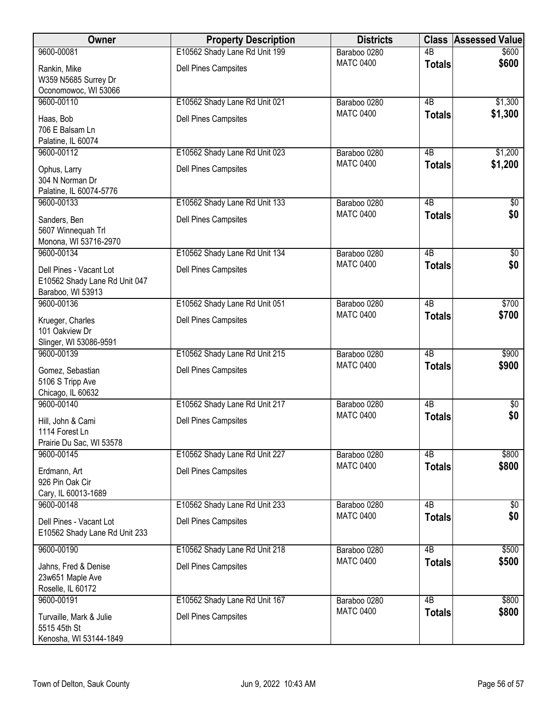| Owner                                                                         | <b>Property Description</b>   | <b>Districts</b> | <b>Class</b>    | <b>Assessed Value</b> |
|-------------------------------------------------------------------------------|-------------------------------|------------------|-----------------|-----------------------|
| 9600-00081                                                                    | E10562 Shady Lane Rd Unit 199 | Baraboo 0280     | $\overline{AB}$ | \$600                 |
| Rankin, Mike<br>W359 N5685 Surrey Dr<br>Oconomowoc, WI 53066                  | Dell Pines Campsites          | <b>MATC 0400</b> | <b>Totals</b>   | \$600                 |
| 9600-00110                                                                    | E10562 Shady Lane Rd Unit 021 | Baraboo 0280     | $\overline{AB}$ | \$1,300               |
| Haas, Bob<br>706 E Balsam Ln<br>Palatine, IL 60074                            | Dell Pines Campsites          | <b>MATC 0400</b> | <b>Totals</b>   | \$1,300               |
| 9600-00112                                                                    | E10562 Shady Lane Rd Unit 023 | Baraboo 0280     | 4B              | \$1,200               |
| Ophus, Larry<br>304 N Norman Dr<br>Palatine, IL 60074-5776                    | <b>Dell Pines Campsites</b>   | <b>MATC 0400</b> | <b>Totals</b>   | \$1,200               |
| 9600-00133                                                                    | E10562 Shady Lane Rd Unit 133 | Baraboo 0280     | $\overline{AB}$ | \$0                   |
| Sanders, Ben<br>5607 Winnequah Trl<br>Monona, WI 53716-2970                   | <b>Dell Pines Campsites</b>   | <b>MATC 0400</b> | <b>Totals</b>   | \$0                   |
| 9600-00134                                                                    | E10562 Shady Lane Rd Unit 134 | Baraboo 0280     | $\overline{AB}$ | $\sqrt[6]{30}$        |
| Dell Pines - Vacant Lot<br>E10562 Shady Lane Rd Unit 047<br>Baraboo, WI 53913 | Dell Pines Campsites          | <b>MATC 0400</b> | <b>Totals</b>   | \$0                   |
| 9600-00136                                                                    | E10562 Shady Lane Rd Unit 051 | Baraboo 0280     | $\overline{AB}$ | \$700                 |
| Krueger, Charles<br>101 Oakview Dr<br>Slinger, WI 53086-9591                  | <b>Dell Pines Campsites</b>   | <b>MATC 0400</b> | <b>Totals</b>   | \$700                 |
| 9600-00139                                                                    | E10562 Shady Lane Rd Unit 215 | Baraboo 0280     | $\overline{AB}$ | \$900                 |
| Gomez, Sebastian<br>5106 S Tripp Ave<br>Chicago, IL 60632                     | Dell Pines Campsites          | <b>MATC 0400</b> | <b>Totals</b>   | \$900                 |
| 9600-00140                                                                    | E10562 Shady Lane Rd Unit 217 | Baraboo 0280     | 4B              | $\sqrt[6]{}$          |
| Hill, John & Cami<br>1114 Forest Ln<br>Prairie Du Sac, WI 53578               | Dell Pines Campsites          | <b>MATC 0400</b> | <b>Totals</b>   | \$0                   |
| 9600-00145                                                                    | E10562 Shady Lane Rd Unit 227 | Baraboo 0280     | 4B              | \$800                 |
| Erdmann, Art<br>926 Pin Oak Cir<br>Cary, IL 60013-1689                        | <b>Dell Pines Campsites</b>   | <b>MATC 0400</b> | <b>Totals</b>   | \$800                 |
| 9600-00148                                                                    | E10562 Shady Lane Rd Unit 233 | Baraboo 0280     | $\overline{AB}$ | $\sqrt[6]{30}$        |
| Dell Pines - Vacant Lot<br>E10562 Shady Lane Rd Unit 233                      | <b>Dell Pines Campsites</b>   | <b>MATC 0400</b> | <b>Totals</b>   | \$0                   |
| 9600-00190                                                                    | E10562 Shady Lane Rd Unit 218 | Baraboo 0280     | $\overline{AB}$ | \$500                 |
| Jahns, Fred & Denise<br>23w651 Maple Ave<br>Roselle, IL 60172                 | <b>Dell Pines Campsites</b>   | <b>MATC 0400</b> | <b>Totals</b>   | \$500                 |
| 9600-00191                                                                    | E10562 Shady Lane Rd Unit 167 | Baraboo 0280     | $\overline{AB}$ | \$800                 |
| Turvaille, Mark & Julie<br>5515 45th St<br>Kenosha, WI 53144-1849             | Dell Pines Campsites          | <b>MATC 0400</b> | <b>Totals</b>   | \$800                 |